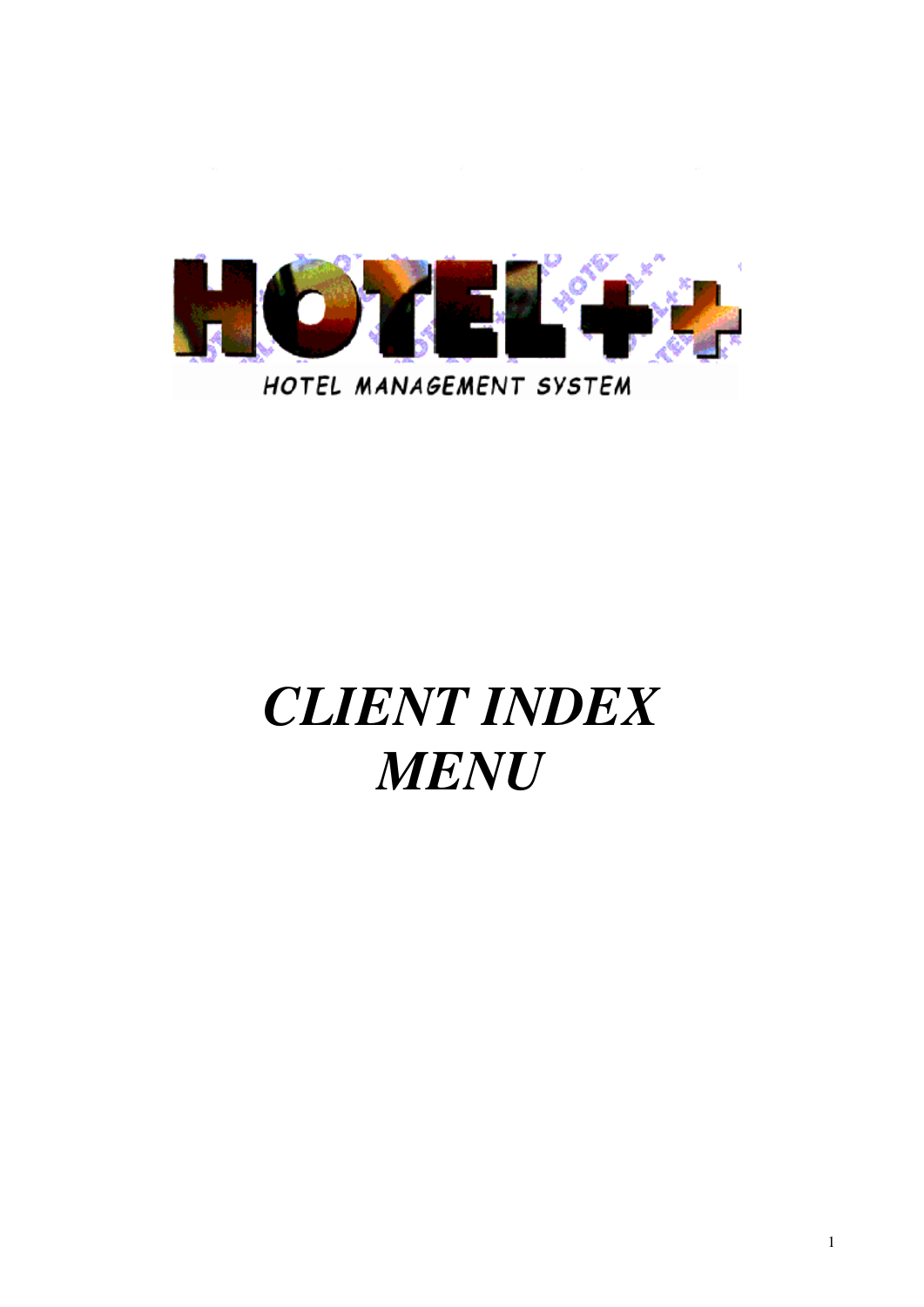

# *CLIENT INDEX MENU*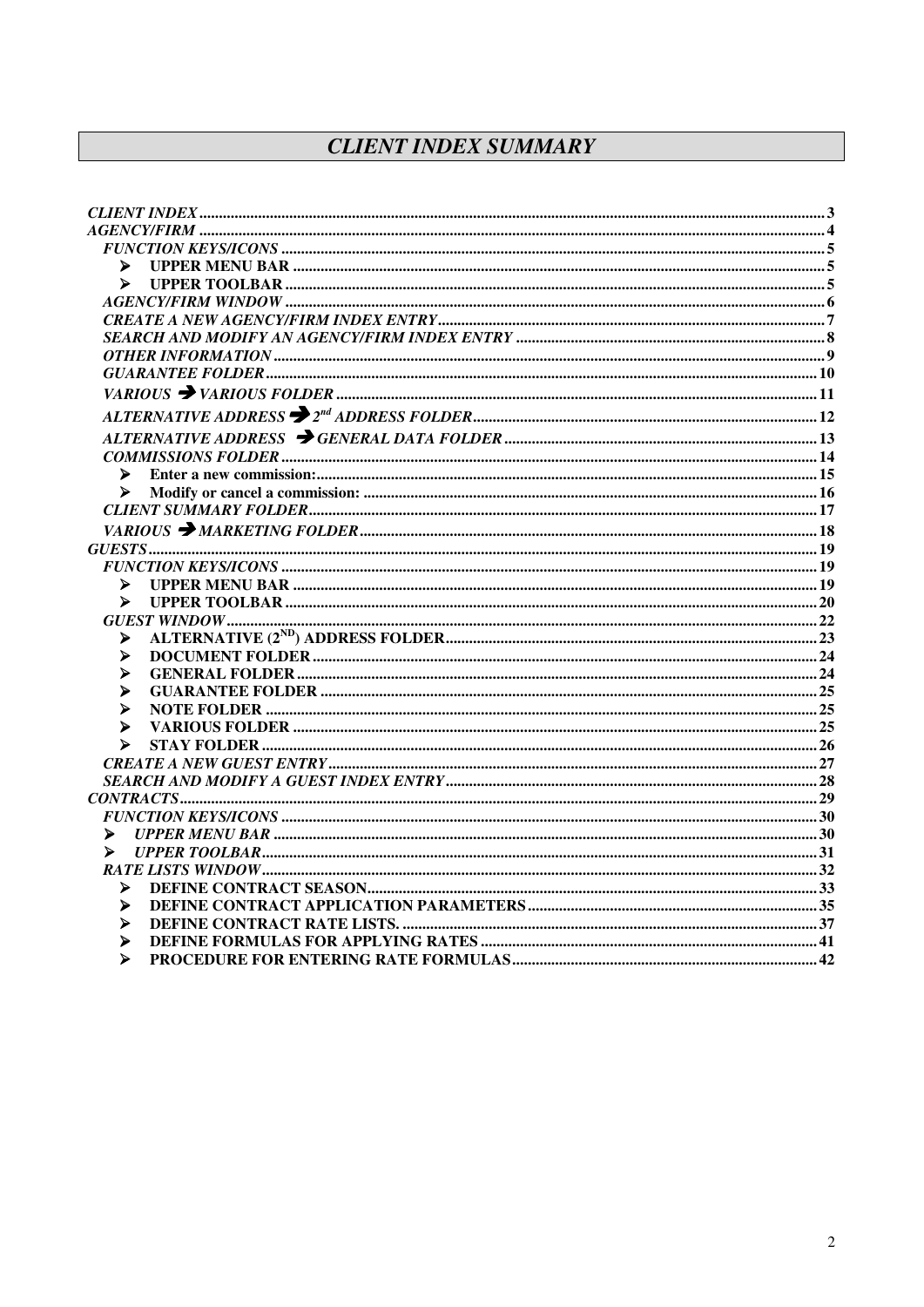# **CLIENT INDEX SUMMARY**

| ⋗                     |  |
|-----------------------|--|
| $\blacktriangleright$ |  |
|                       |  |
|                       |  |
|                       |  |
|                       |  |
|                       |  |
|                       |  |
|                       |  |
|                       |  |
|                       |  |
| ⋗                     |  |
| ⋗                     |  |
|                       |  |
|                       |  |
|                       |  |
|                       |  |
|                       |  |
| ⋗                     |  |
|                       |  |
| ⋗                     |  |
| ⋗                     |  |
| ⋗                     |  |
| ⋗                     |  |
| ⋗                     |  |
| ⋗                     |  |
| ⋗                     |  |
|                       |  |
|                       |  |
|                       |  |
| ⋗                     |  |
| ⋗                     |  |
|                       |  |
| ⋗                     |  |
| ⋗                     |  |
| ⋗                     |  |
| ⋗                     |  |
| ⋗                     |  |
|                       |  |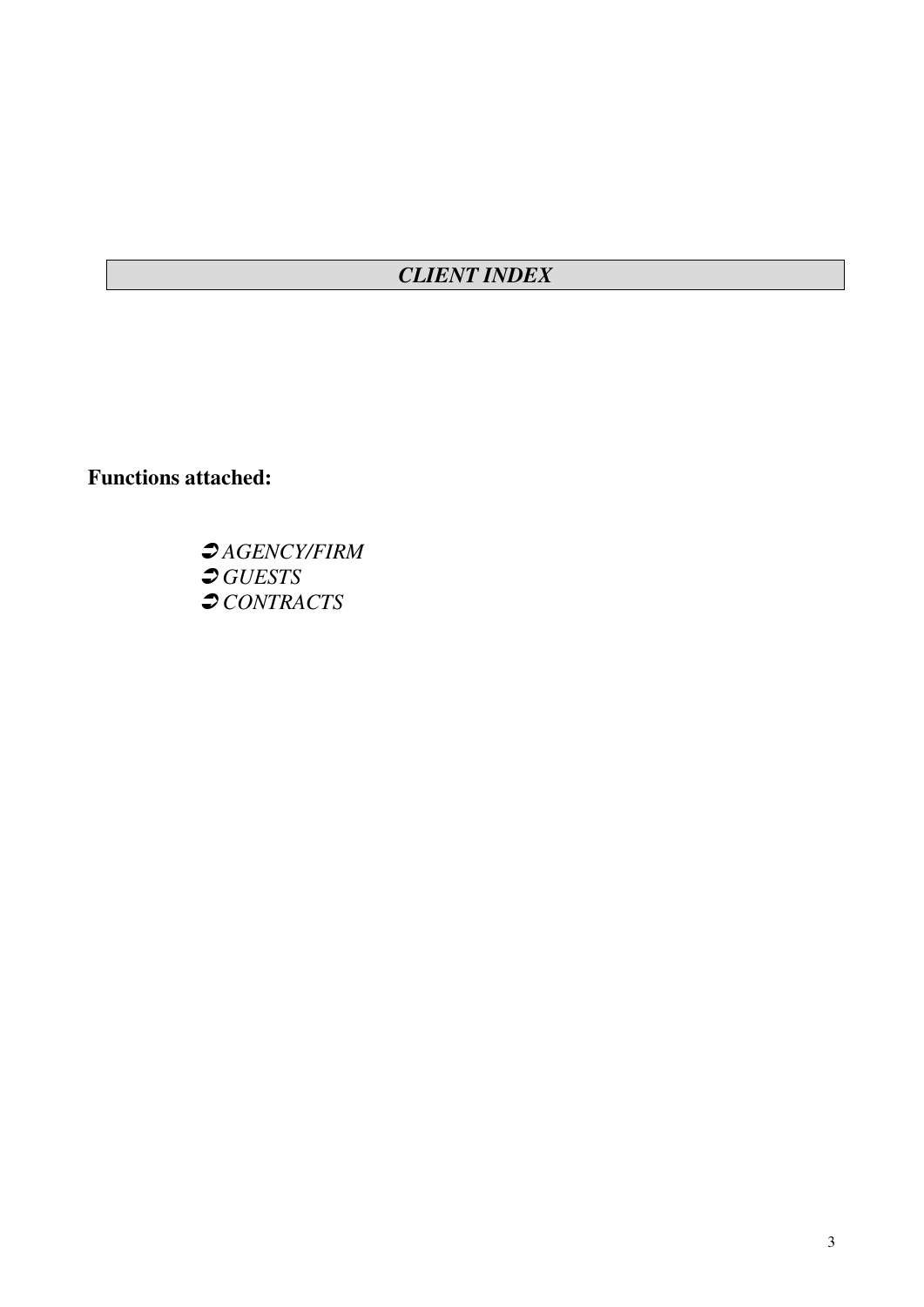# *CLIENT INDEX*

**Functions attached:**

 *AGENCY/FIRM GUESTS CONTRACTS*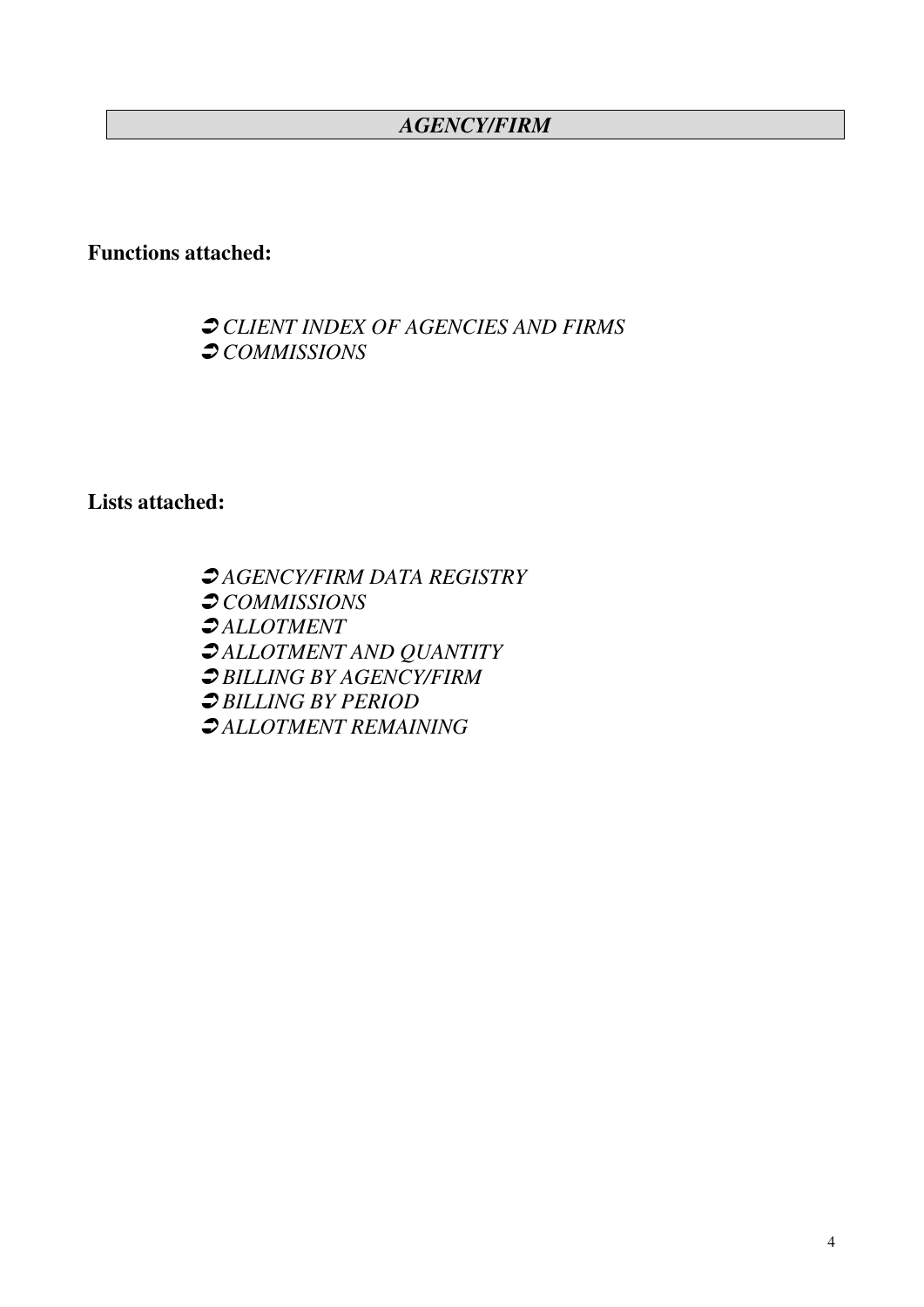# *AGENCY/FIRM*

# **Functions attached:**

# *CLIENT INDEX OF AGENCIES AND FIRMS COMMISSIONS*

**Lists attached:**

 *AGENCY/FIRM DATA REGISTRY COMMISSIONS ALLOTMENT ALLOTMENT AND QUANTITY BILLING BY AGENCY/FIRM BILLING BY PERIOD ALLOTMENT REMAINING*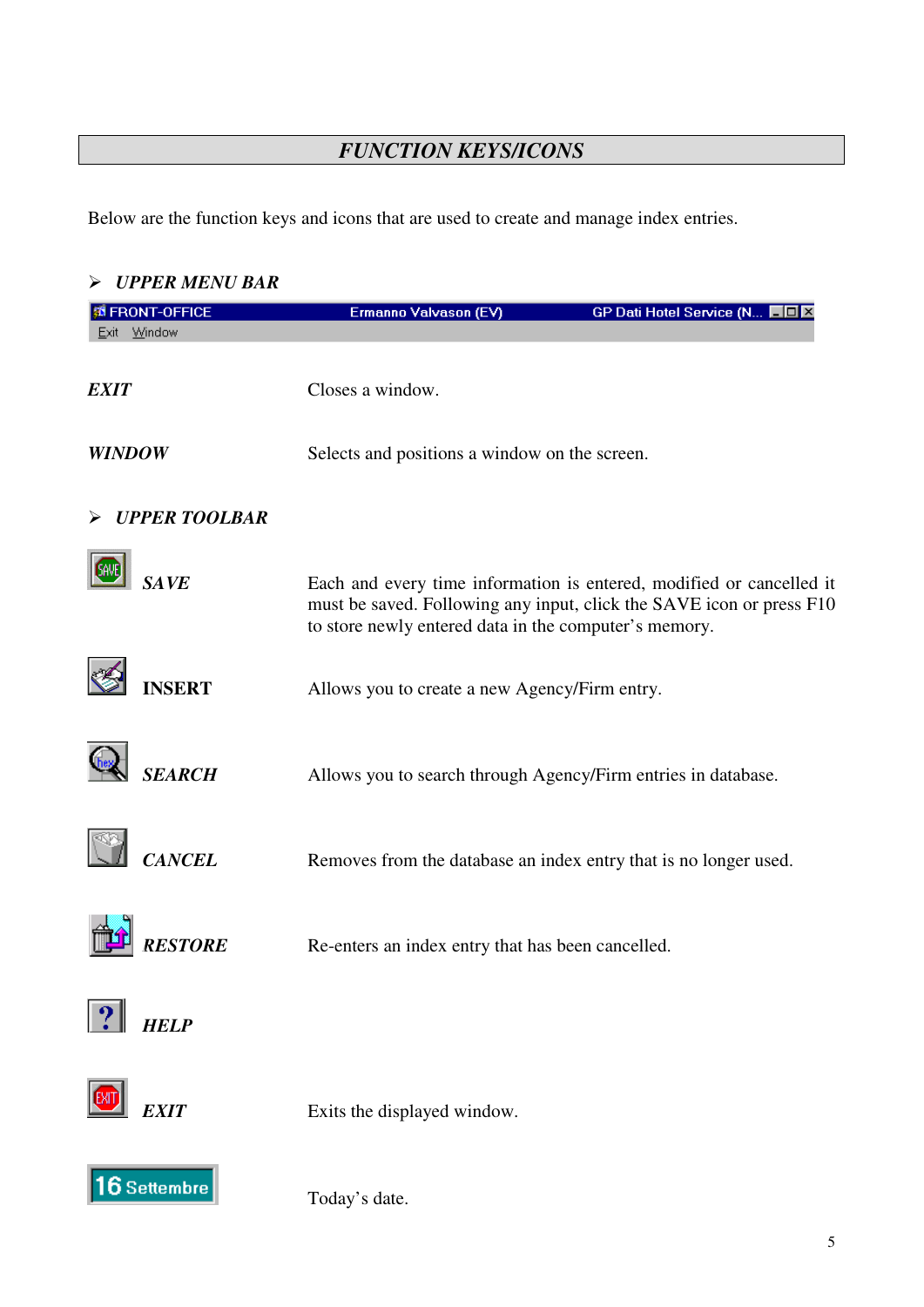# *FUNCTION KEYS/ICONS*

Below are the function keys and icons that are used to create and manage index entries.

# *UPPER MENU BAR*

| <b>SI FRONT-OFFICE</b> | Ermanno Valvason (EV)                                         | GP Dati Hotel Service (N                                                                                                                     |
|------------------------|---------------------------------------------------------------|----------------------------------------------------------------------------------------------------------------------------------------------|
| Exit Window            |                                                               |                                                                                                                                              |
| <b>EXIT</b>            | Closes a window.                                              |                                                                                                                                              |
| <b>WINDOW</b>          | Selects and positions a window on the screen.                 |                                                                                                                                              |
| <b>UPPER TOOLBAR</b>   |                                                               |                                                                                                                                              |
| <b>SAVE</b>            | to store newly entered data in the computer's memory.         | Each and every time information is entered, modified or cancelled it<br>must be saved. Following any input, click the SAVE icon or press F10 |
| <b>INSERT</b>          | Allows you to create a new Agency/Firm entry.                 |                                                                                                                                              |
| <b>SEARCH</b>          | Allows you to search through Agency/Firm entries in database. |                                                                                                                                              |
| <b>CANCEL</b>          |                                                               | Removes from the database an index entry that is no longer used.                                                                             |
| <b>RESTORE</b>         | Re-enters an index entry that has been cancelled.             |                                                                                                                                              |
| <b>HELP</b>            |                                                               |                                                                                                                                              |
| <b>EXIT</b>            | Exits the displayed window.                                   |                                                                                                                                              |
| $16$ Settembre         | Today's date.                                                 |                                                                                                                                              |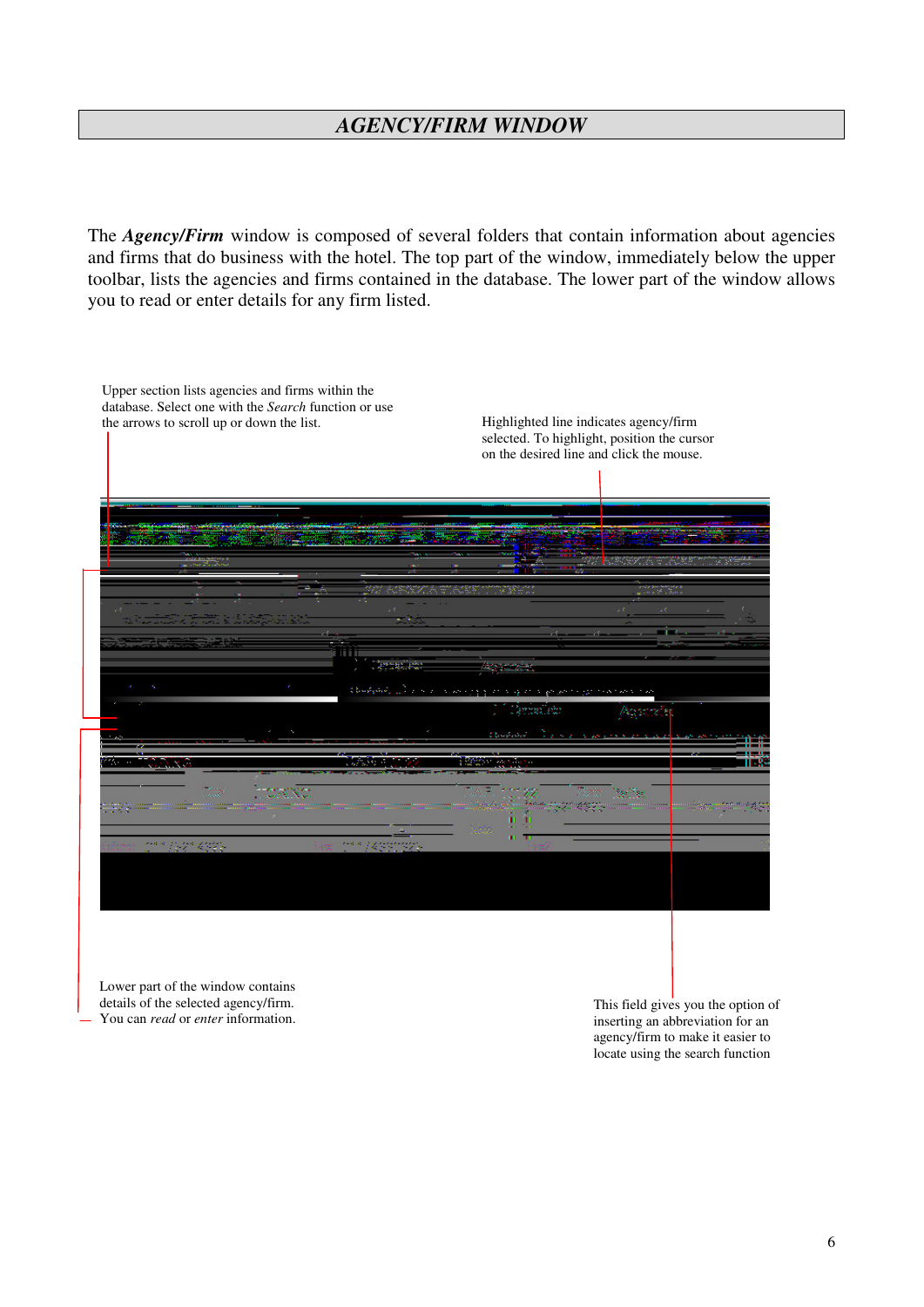## *AGENCY/FIRM WINDOW*

The *Agency/Firm* window is composed of several folders that contain information about agencies and firms that do business with the hotel. The top part of the window, immediately below the upper toolbar, lists the agencies and firms contained in the database. The lower part of the window allows you to read or enter details for any firm listed.

| the arrows to scroll up or down the list. |          |                              | Highlighted line indicates agency/firm<br>selected. To highlight, position the cursor<br>on the desired line and click the mouse. |
|-------------------------------------------|----------|------------------------------|-----------------------------------------------------------------------------------------------------------------------------------|
|                                           |          |                              |                                                                                                                                   |
|                                           |          |                              |                                                                                                                                   |
|                                           |          |                              |                                                                                                                                   |
|                                           | Chapters | And in Advertising the       |                                                                                                                                   |
|                                           |          | <b>Charles</b><br>And in the |                                                                                                                                   |
|                                           |          |                              |                                                                                                                                   |
| uga kuth                                  |          |                              |                                                                                                                                   |

Lower part of the window contains details of the selected agency/firm. You can *read* or *enter* information.

This field gives you the option of inserting an abbreviation for an agency/firm to make it easier to locate using the search function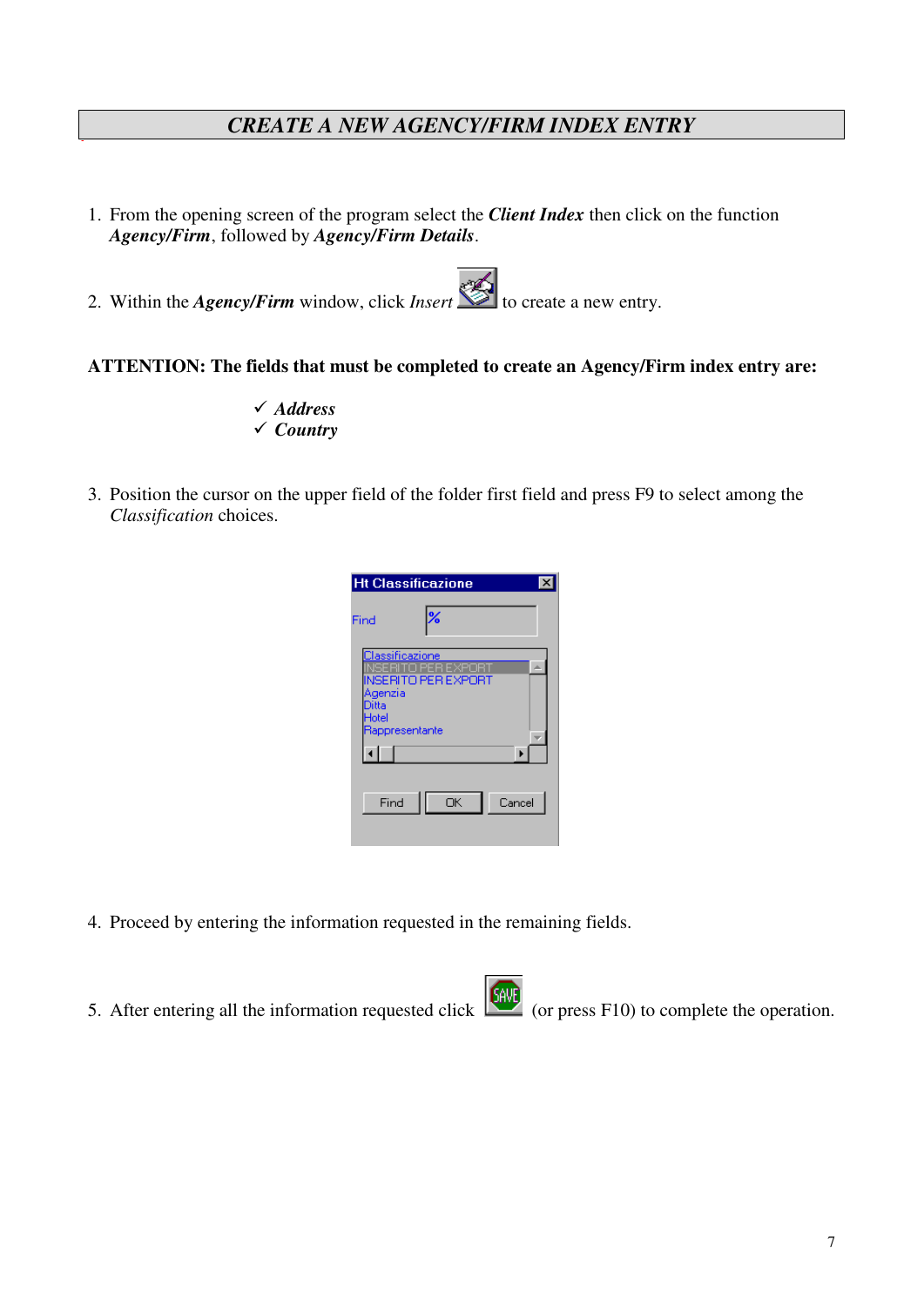## *CREATE A NEW AGENCY/FIRM INDEX ENTRY*

- 1. From the opening screen of the program select the *Client Index* then click on the function *Agency/Firm*, followed by *Agency/Firm Details*.
- 2. Within the *Agency/Firm* window, click *Insert* to create a new entry.

#### **ATTENTION: The fields that must be completed to create an Agency/Firm index entry are:**

- *Address Country*
- 3. Position the cursor on the upper field of the folder first field and press F9 to select among the *Classification* choices.

|                           | <b>Ht Classificazione</b>                                                     |  |
|---------------------------|-------------------------------------------------------------------------------|--|
| Find                      |                                                                               |  |
| Agenzia<br>Ditta<br>Hotel | <b>Classificazione</b><br>OPER<br>EXF<br>NSERITO PER EXPORT<br>Rappresentante |  |
| Find                      | ОK<br>Cancel                                                                  |  |

- 4. Proceed by entering the information requested in the remaining fields.
- 5. After entering all the information requested click (or press F10) to complete the operation.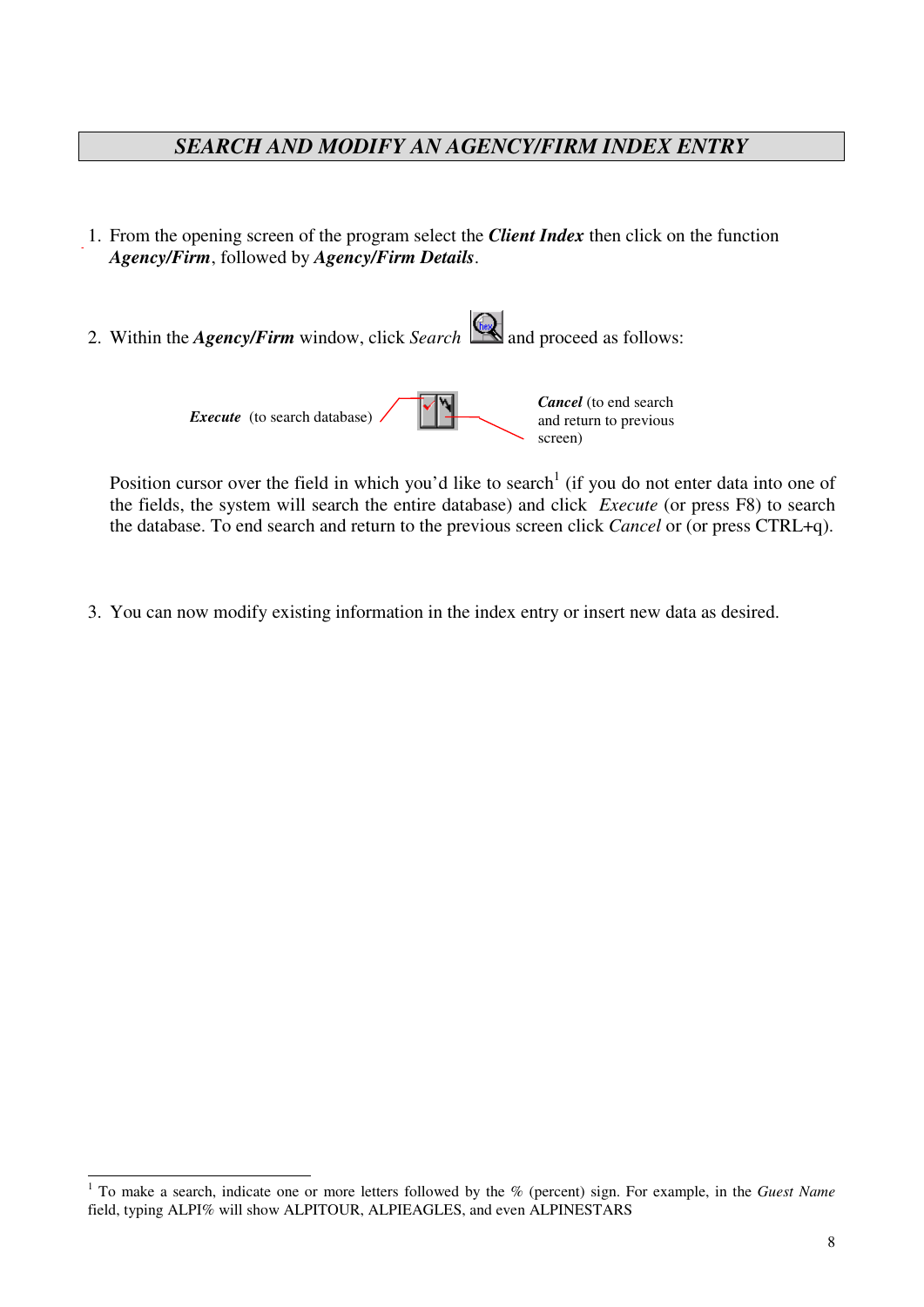# *SEARCH AND MODIFY AN AGENCY/FIRM INDEX ENTRY*

- 1. From the opening screen of the program select the *Client Index* then click on the function *Agency/Firm*, followed by *Agency/Firm Details*.
- 2. Within the *Agency/Firm* window, click *Search* and proceed as follows: *Cancel* (to end search

*Execute* (to search database).

Position cursor over the field in which you'd like to search<sup>1</sup> (if you do not enter data into one of the fields, the system will search the entire database) and click *Execute* (or press F8) to search the database. To end search and return to the previous screen click *Cancel* or (or press CTRL+q).

and return to previous

screen)

3. You can now modify existing information in the index entry or insert new data as desired.

<sup>1</sup> To make a search, indicate one or more letters followed by the % (percent) sign. For example, in the *Guest Name* field, typing ALPI% will show ALPITOUR, ALPIEAGLES, and even ALPINESTARS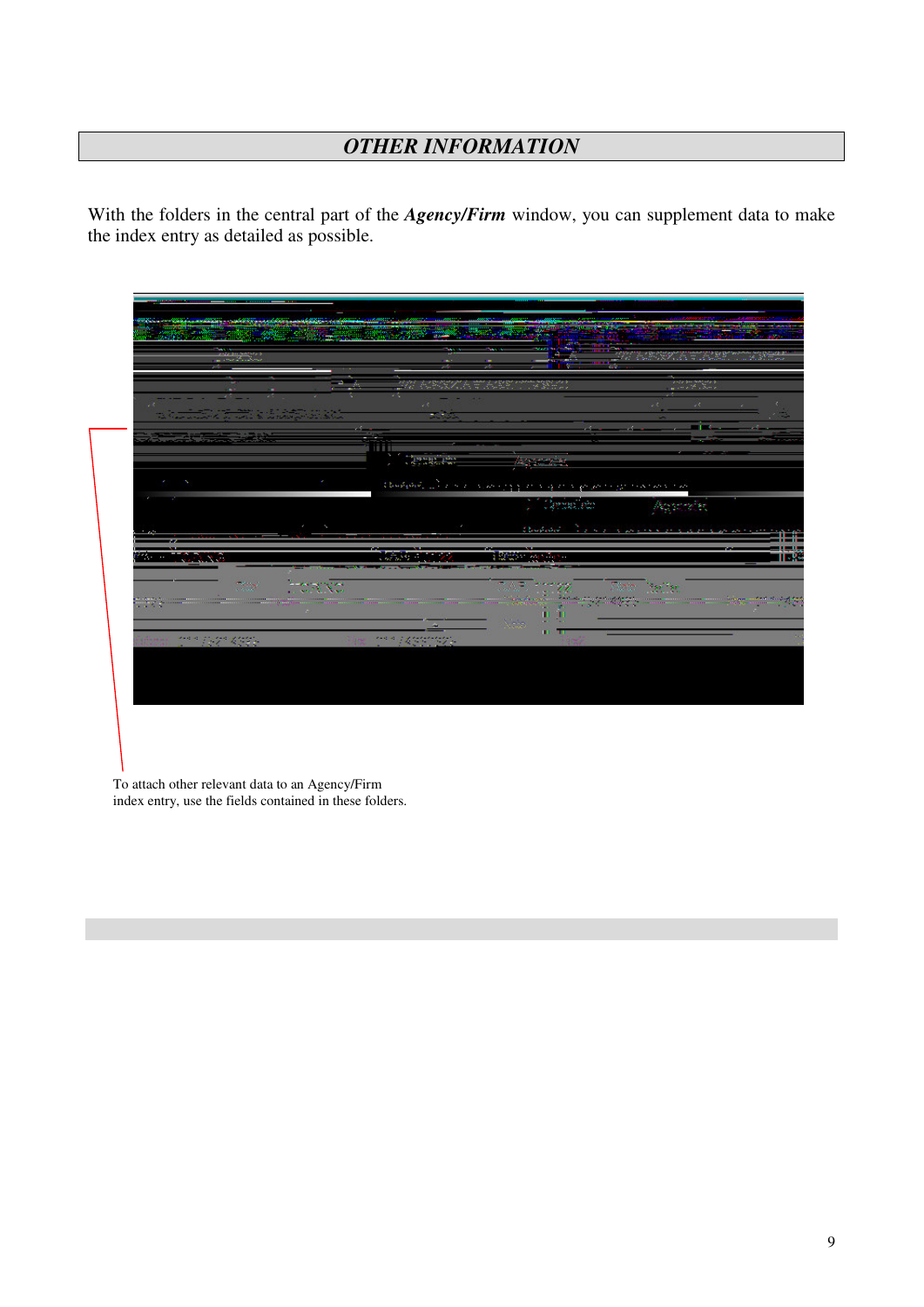# *OTHER INFORMATION*

With the folders in the central part of the *Agency/Firm* window, you can supplement data to make the index entry as detailed as possible.

|                   |                                                                                                                                                                                                                                      | 212<br>n an a                                            |                                                                                                                                                                                                                                                                                                                                                               | m v<br>- 11<br>RACK RACK TANK                                                     | С.<br>an da dina matangan di<br>Tanggalan dalam dan dalam dan sama dan sama dan sama dan sama dan sama dan sama dan sama dan sama dan sama da |          |
|-------------------|--------------------------------------------------------------------------------------------------------------------------------------------------------------------------------------------------------------------------------------|----------------------------------------------------------|---------------------------------------------------------------------------------------------------------------------------------------------------------------------------------------------------------------------------------------------------------------------------------------------------------------------------------------------------------------|-----------------------------------------------------------------------------------|-----------------------------------------------------------------------------------------------------------------------------------------------|----------|
|                   | - 4<br>tion <del>n an a</del> ir a làrphair                                                                                                                                                                                          |                                                          | 20<br>$\sim 100$                                                                                                                                                                                                                                                                                                                                              |                                                                                   |                                                                                                                                               | $-1 - 1$ |
|                   | <b>All and the Contract of the Contract of the Contract of the Contract of the Contract of the Contract of the Contract of the Contract of the Contract of the Contract of the Contract of the Contract of the Contract of the C</b> | 18111<br>$\mathcal{R}^{\prime}$ , $\mathcal{R}^{\prime}$ | <b>Central</b> istics                                                                                                                                                                                                                                                                                                                                         | Aggregie.                                                                         |                                                                                                                                               |          |
| ×<br>ł            |                                                                                                                                                                                                                                      |                                                          |                                                                                                                                                                                                                                                                                                                                                               | designed all completely provided to provide the state of the                      |                                                                                                                                               |          |
|                   |                                                                                                                                                                                                                                      |                                                          |                                                                                                                                                                                                                                                                                                                                                               | Cente, en                                                                         | <b>Peppinder</b>                                                                                                                              |          |
| z.<br>-           | $\mathcal{N}_\mathbf{a}$<br>٠                                                                                                                                                                                                        |                                                          |                                                                                                                                                                                                                                                                                                                                                               | Charles on                                                                        | <b>New County of Community</b>                                                                                                                |          |
| --<br>fе.<br>1000 | -10.00                                                                                                                                                                                                                               | <b>MARK AND</b>                                          | --                                                                                                                                                                                                                                                                                                                                                            | <b>Basic Conferma</b>                                                             |                                                                                                                                               |          |
|                   | board.<br>$\sim 100$                                                                                                                                                                                                                 |                                                          |                                                                                                                                                                                                                                                                                                                                                               | CAF.<br>e ne gri<br><u> 1999 - Johann Stein, Amerikaansk ferskipper (f. 1987)</u> | Daio I<br>$\mathcal{H}^{\text{reg}}_{\text{R}}$                                                                                               |          |
|                   |                                                                                                                                                                                                                                      |                                                          |                                                                                                                                                                                                                                                                                                                                                               | Neisy                                                                             |                                                                                                                                               |          |
|                   | $25 - 187 - 4325$                                                                                                                                                                                                                    |                                                          | $\label{eq:3} \frac{1}{2} \sum_{i=1}^n \frac{1}{2} \sum_{i=1}^n \frac{1}{2} \sum_{i=1}^n \frac{1}{2} \sum_{i=1}^n \frac{1}{2} \sum_{i=1}^n \frac{1}{2} \sum_{i=1}^n \frac{1}{2} \sum_{i=1}^n \frac{1}{2} \sum_{i=1}^n \frac{1}{2} \sum_{i=1}^n \frac{1}{2} \sum_{i=1}^n \frac{1}{2} \sum_{i=1}^n \frac{1}{2} \sum_{i=1}^n \frac{1}{2} \sum_{i=1}^n \frac{1}{$ | т<br>ш                                                                            |                                                                                                                                               |          |

To attach other relevant data to an Agency/Firm index entry, use the fields contained in these folders.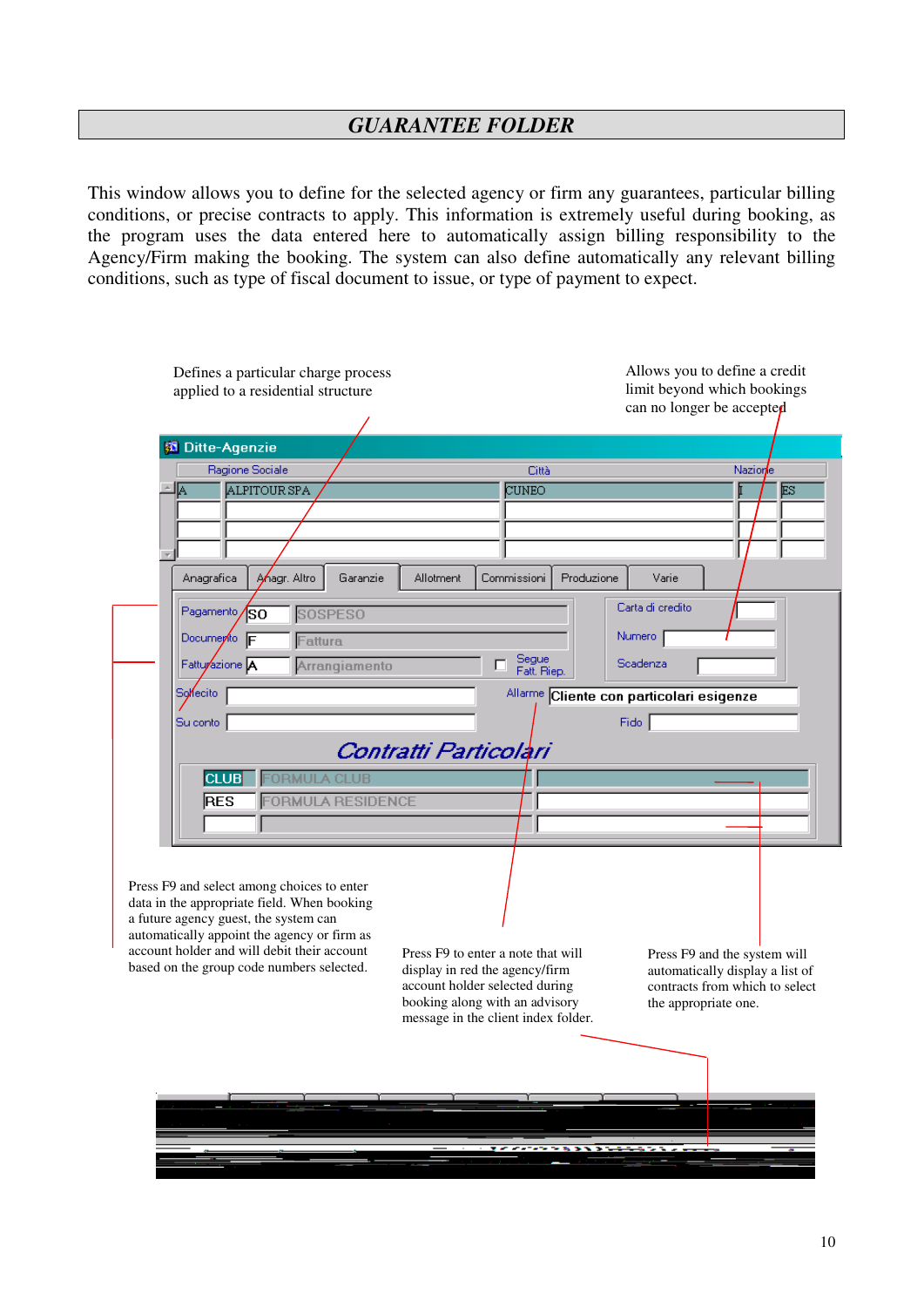This window allows you to define for the selected agency or firm any guarantees, particular billing conditions, or precise contracts to apply. This information is extremely useful during booking, as the program uses the data entered here to automatically assign billing responsibility to the Agency/Firm making the booking. The system can also define automatically any relevant billing conditions, such as type of fiscal document to issue, or type of payment to expect.

| Defines a particular charge process<br>applied to a residential structure            |                                                                                                                                                                                                                                                                                                                                                                                                                                                                                      | Allows you to define a credit<br>limit beyond which bookings                                      |
|--------------------------------------------------------------------------------------|--------------------------------------------------------------------------------------------------------------------------------------------------------------------------------------------------------------------------------------------------------------------------------------------------------------------------------------------------------------------------------------------------------------------------------------------------------------------------------------|---------------------------------------------------------------------------------------------------|
|                                                                                      |                                                                                                                                                                                                                                                                                                                                                                                                                                                                                      |                                                                                                   |
| <b>Ditte-Agenzie</b>                                                                 |                                                                                                                                                                                                                                                                                                                                                                                                                                                                                      |                                                                                                   |
| Ragione Sociale                                                                      | Nazione<br>Città<br>ALPITOUR SPA<br>CUNEO<br>ES<br>₶<br>Anagr. Altro<br>Anagrafica<br>Garanzie<br>Commissioni<br>Produzione<br>Allotment<br>Varie<br>Carta di credito<br>Pagamento<br><b>SOSPESO</b><br>lso<br>Numero<br>Documento F<br>Fattura<br>Segue<br>Fatturazione <sup>IA</sup><br>Scadenza<br>Arrangiamento<br>г<br>Fatt. Riep.<br>Sollecito<br>Allarme Cliente con particolari esigenze<br>Fido  <br>Su conto<br>Contratti Particolari<br><b>PRMULA CLUB</b><br><b>CLUB</b> |                                                                                                   |
| ∆اك                                                                                  |                                                                                                                                                                                                                                                                                                                                                                                                                                                                                      |                                                                                                   |
|                                                                                      |                                                                                                                                                                                                                                                                                                                                                                                                                                                                                      |                                                                                                   |
|                                                                                      |                                                                                                                                                                                                                                                                                                                                                                                                                                                                                      |                                                                                                   |
|                                                                                      |                                                                                                                                                                                                                                                                                                                                                                                                                                                                                      |                                                                                                   |
|                                                                                      |                                                                                                                                                                                                                                                                                                                                                                                                                                                                                      |                                                                                                   |
|                                                                                      |                                                                                                                                                                                                                                                                                                                                                                                                                                                                                      |                                                                                                   |
|                                                                                      |                                                                                                                                                                                                                                                                                                                                                                                                                                                                                      |                                                                                                   |
|                                                                                      |                                                                                                                                                                                                                                                                                                                                                                                                                                                                                      | Press F9 and the system will<br>automatically display a list of<br>contracts from which to select |
|                                                                                      |                                                                                                                                                                                                                                                                                                                                                                                                                                                                                      |                                                                                                   |
|                                                                                      |                                                                                                                                                                                                                                                                                                                                                                                                                                                                                      |                                                                                                   |
|                                                                                      |                                                                                                                                                                                                                                                                                                                                                                                                                                                                                      |                                                                                                   |
|                                                                                      |                                                                                                                                                                                                                                                                                                                                                                                                                                                                                      |                                                                                                   |
|                                                                                      |                                                                                                                                                                                                                                                                                                                                                                                                                                                                                      |                                                                                                   |
| <b>ORMULA RESIDENCE</b><br>RES                                                       |                                                                                                                                                                                                                                                                                                                                                                                                                                                                                      |                                                                                                   |
|                                                                                      |                                                                                                                                                                                                                                                                                                                                                                                                                                                                                      |                                                                                                   |
|                                                                                      |                                                                                                                                                                                                                                                                                                                                                                                                                                                                                      |                                                                                                   |
|                                                                                      |                                                                                                                                                                                                                                                                                                                                                                                                                                                                                      |                                                                                                   |
| Press F9 and select among choices to enter                                           |                                                                                                                                                                                                                                                                                                                                                                                                                                                                                      |                                                                                                   |
| data in the appropriate field. When booking<br>a future agency guest, the system can |                                                                                                                                                                                                                                                                                                                                                                                                                                                                                      |                                                                                                   |
| automatically appoint the agency or firm as                                          |                                                                                                                                                                                                                                                                                                                                                                                                                                                                                      |                                                                                                   |
| account holder and will debit their account                                          | can no longer be accepted<br>Press F9 to enter a note that will<br>display in red the agency/firm<br>account holder selected during<br>booking along with an advisory<br>the appropriate one.<br>message in the client index folder.                                                                                                                                                                                                                                                 |                                                                                                   |
| based on the group code numbers selected.                                            |                                                                                                                                                                                                                                                                                                                                                                                                                                                                                      |                                                                                                   |
|                                                                                      |                                                                                                                                                                                                                                                                                                                                                                                                                                                                                      |                                                                                                   |
|                                                                                      |                                                                                                                                                                                                                                                                                                                                                                                                                                                                                      |                                                                                                   |
|                                                                                      |                                                                                                                                                                                                                                                                                                                                                                                                                                                                                      |                                                                                                   |
|                                                                                      |                                                                                                                                                                                                                                                                                                                                                                                                                                                                                      |                                                                                                   |
|                                                                                      |                                                                                                                                                                                                                                                                                                                                                                                                                                                                                      |                                                                                                   |
|                                                                                      |                                                                                                                                                                                                                                                                                                                                                                                                                                                                                      |                                                                                                   |
|                                                                                      | オイン・アイン とお スキュー                                                                                                                                                                                                                                                                                                                                                                                                                                                                      |                                                                                                   |
|                                                                                      |                                                                                                                                                                                                                                                                                                                                                                                                                                                                                      |                                                                                                   |
|                                                                                      |                                                                                                                                                                                                                                                                                                                                                                                                                                                                                      |                                                                                                   |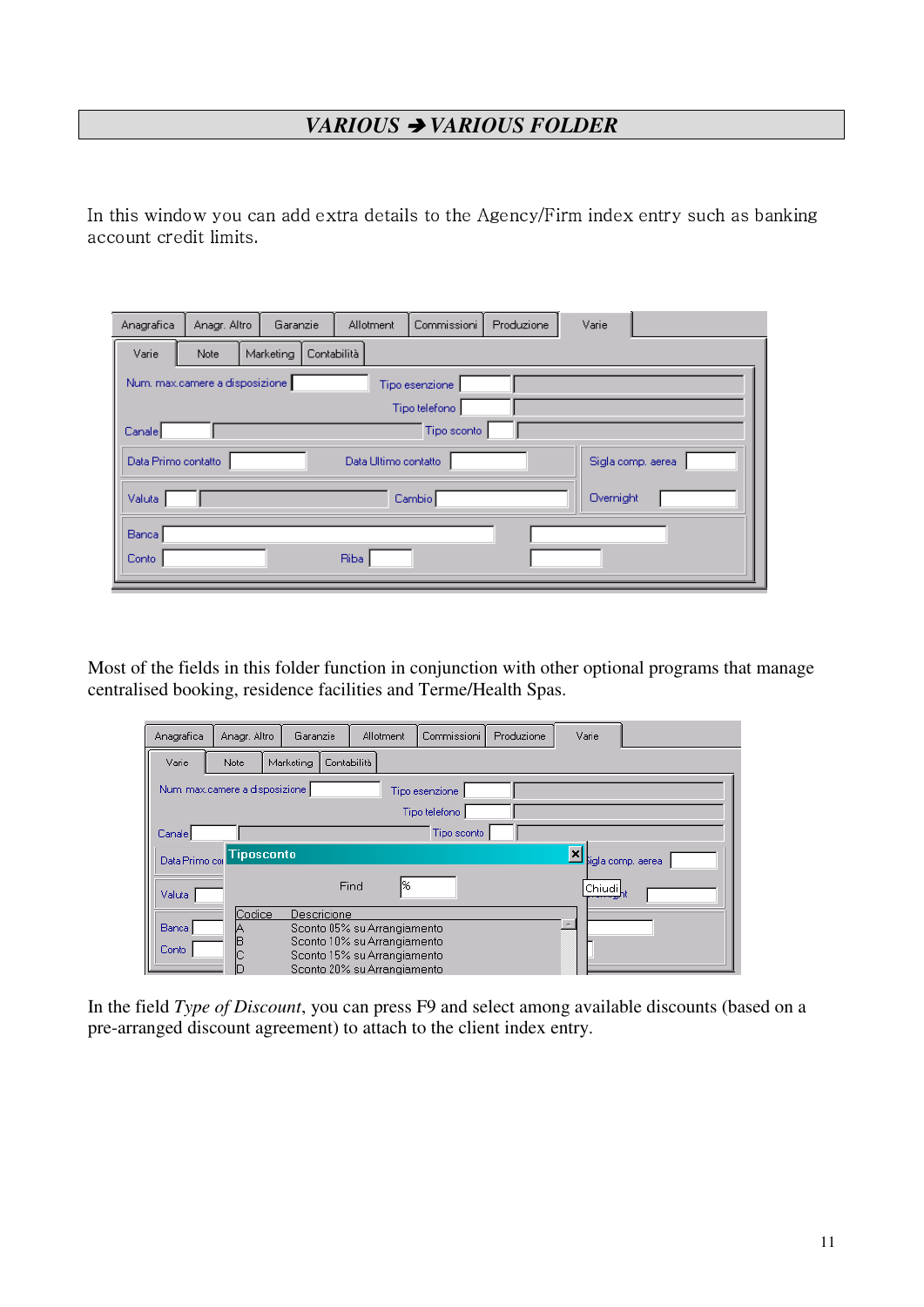# *VARIOUS* - *VARIOUS FOLDER*

In this window you can add extra details to the Agency/Firm index entry such as banking  $\;$ 4+5 \*1! 6

| Anagrafica          | Anagr. Altro                   | Garanzie                 | Allotment            | Commissioni    | Produzione | Varie             |
|---------------------|--------------------------------|--------------------------|----------------------|----------------|------------|-------------------|
| Varie               | Note                           | Marketing<br>Contabilità |                      |                |            |                   |
|                     | Num, max.camere a disposizione |                          |                      | Tipo esenzione |            |                   |
|                     |                                |                          |                      | Tipo telefono  |            |                   |
| Canale              |                                |                          |                      | Tipo sconto    |            |                   |
| Data Primo contatto |                                |                          | Data Ultimo contatto |                |            | Sigla comp, aerea |
| Valuta:             |                                |                          |                      | Cambio         |            | Overnight         |
| Banca               |                                |                          |                      |                |            |                   |
| Conto               |                                |                          | Riba                 |                |            |                   |

Most of the fields in this folder function in conjunction with other optional programs that manage centralised booking, residence facilities and Terme/Health Spas.

| Anagrafica            | Anagr. Altro                    | Garanzie  |             | Allotment                                                                                                                | Commissioni    | Produzione | Varie  |                           |
|-----------------------|---------------------------------|-----------|-------------|--------------------------------------------------------------------------------------------------------------------------|----------------|------------|--------|---------------------------|
| Varie                 | Note                            | Marketing | Contabilità |                                                                                                                          |                |            |        |                           |
|                       | Num, max.camere a disposizione. |           |             |                                                                                                                          | Tipo esenzione |            |        |                           |
|                       |                                 |           |             |                                                                                                                          | Tipo telefono  |            |        |                           |
| Canale                |                                 |           |             |                                                                                                                          | Tipo sconto    |            |        |                           |
| Data Primo col        | <b>Tiposconto</b>               |           |             |                                                                                                                          |                |            | ⊻      | <b>j</b> igla comp. aerea |
| Valuta                |                                 |           | Find        | l%                                                                                                                       |                |            | Chiudi |                           |
| <b>Banca</b><br>Conto | Codice<br>B                     |           | Descricione | Sconto 05% su Arrangiamento<br>Sconto 10% su Arrangiamento<br>Sconto 15% su Arrangiamento<br>Sconto 20% su Arrangiamento |                |            |        |                           |

In the field *Type of Discount*, you can press F9 and select among available discounts (based on a pre-arranged discount agreement) to attach to the client index entry.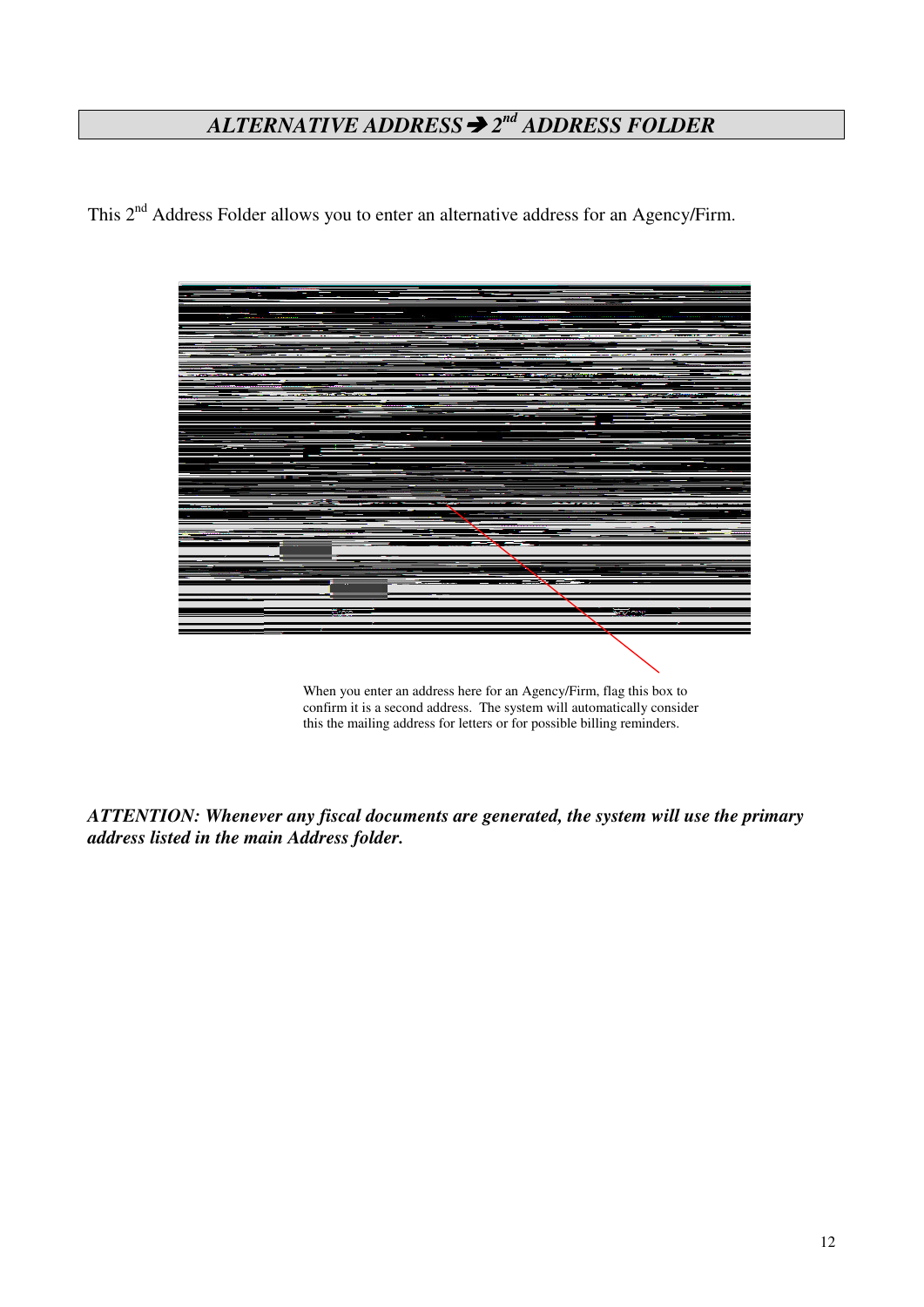# *ALTERNATIVE ADDRESS*- *2 nd ADDRESS FOLDER*

This 2<sup>nd</sup> Address Folder allows you to enter an alternative address for an Agency/Firm.



When you enter an address here for an Agency/Firm, flag this box to confirm it is a second address. The system will automatically consider this the mailing address for letters or for possible billing reminders.

*ATTENTION: Whenever any fiscal documents are generated, the system will use the primary address listed in the main Address folder.*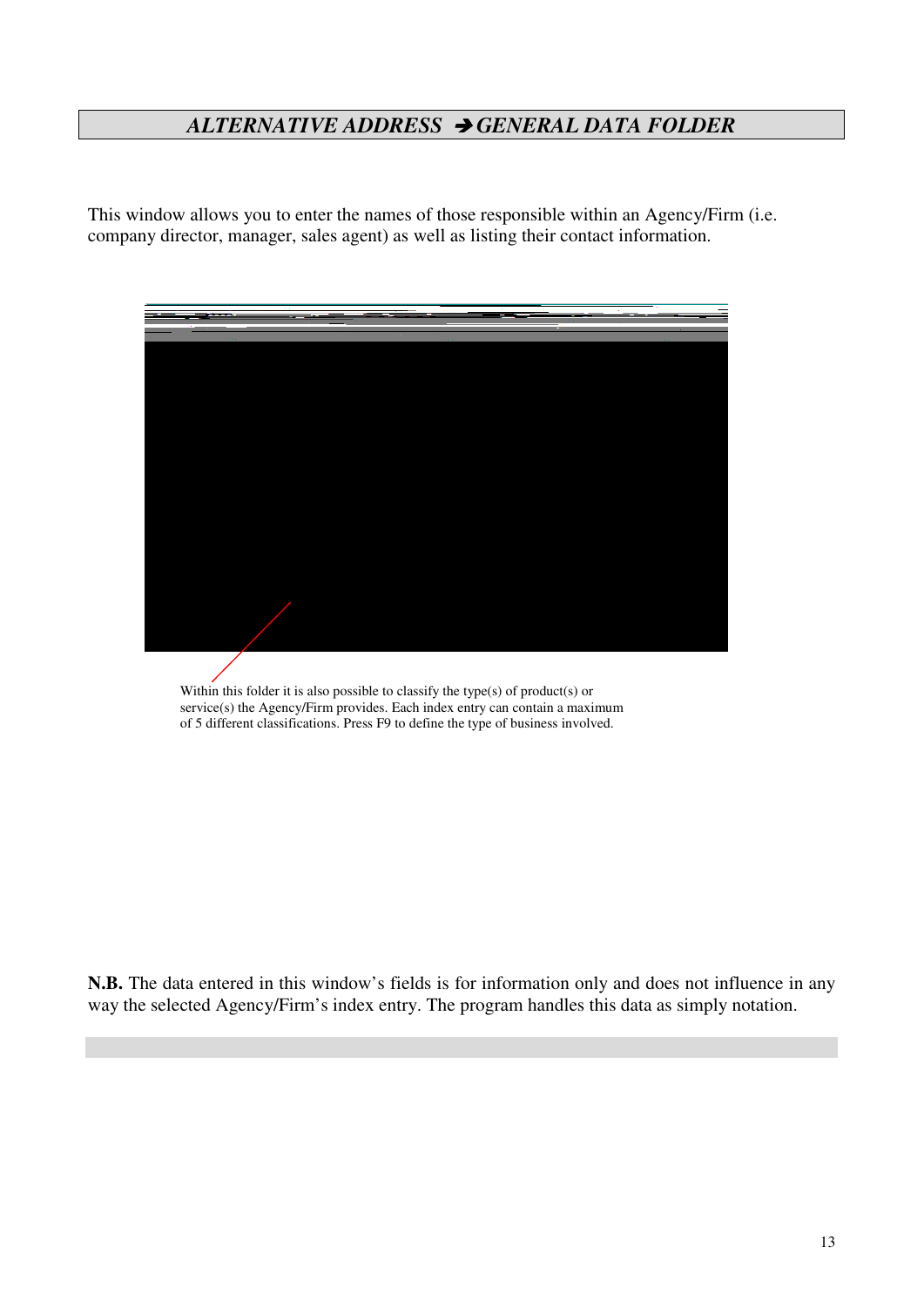# *ALTERNATIVE ADDRESS* - *GENERAL DATA FOLDER*

This window allows you to enter the names of those responsible within an Agency/Firm (i.e. company director, manager, sales agent) as well as listing their contact information.



Within this folder it is also possible to classify the type(s) of product(s) or service(s) the Agency/Firm provides. Each index entry can contain a maximum of 5 different classifications. Press F9 to define the type of business involved.

**N.B.** The data entered in this window's fields is for information only and does not influence in any way the selected Agency/Firm's index entry. The program handles this data as simply notation.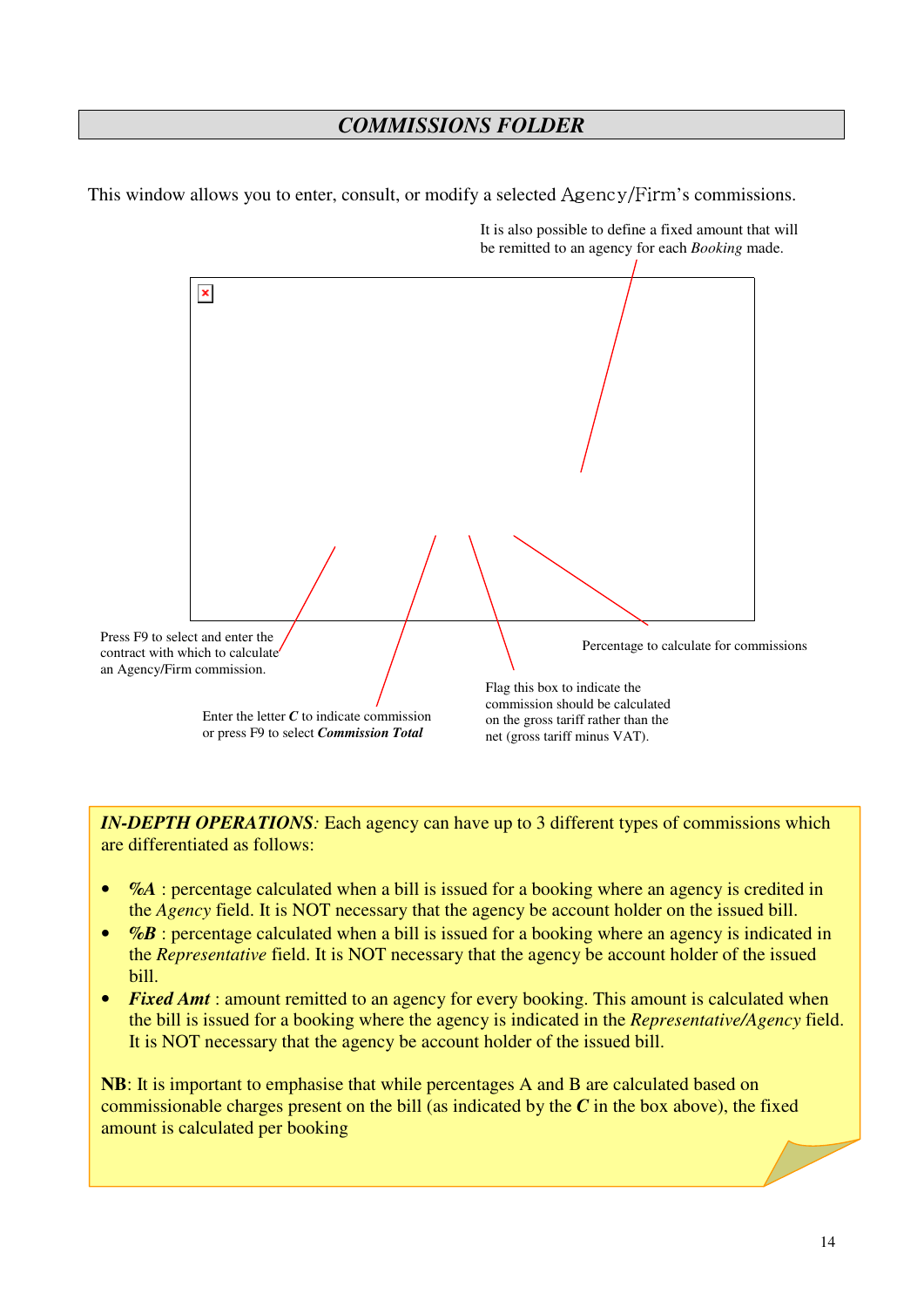## *COMMISSIONS FOLDER*

This window allows you to enter, consult, or modify a selected Agency/Firm's commissions.



It is also possible to define a fixed amount that will be remitted to an agency for each *Booking* made.

*IN-DEPTH OPERATIONS:* Each agency can have up to 3 different types of commissions which are differentiated as follows:

- % %. *The interpretage calculated when a bill is issued for a booking where an agency is credited in* the *Agency* field. It is NOT necessary that the agency be account holder on the issued bill.
- *%B* : percentage calculated when a bill is issued for a booking where an agency is indicated in the *Representative* field. It is NOT necessary that the agency be account holder of the issued bill.
- *Fixed Amt* : amount remitted to an agency for every booking. This amount is calculated when the bill is issued for a booking where the agency is indicated in the *Representative/Agency* field. It is NOT necessary that the agency be account holder of the issued bill.

**NB**: It is important to emphasise that while percentages A and B are calculated based on commissionable charges present on the bill (as indicated by the *C* in the box above), the fixed amount is calculated per booking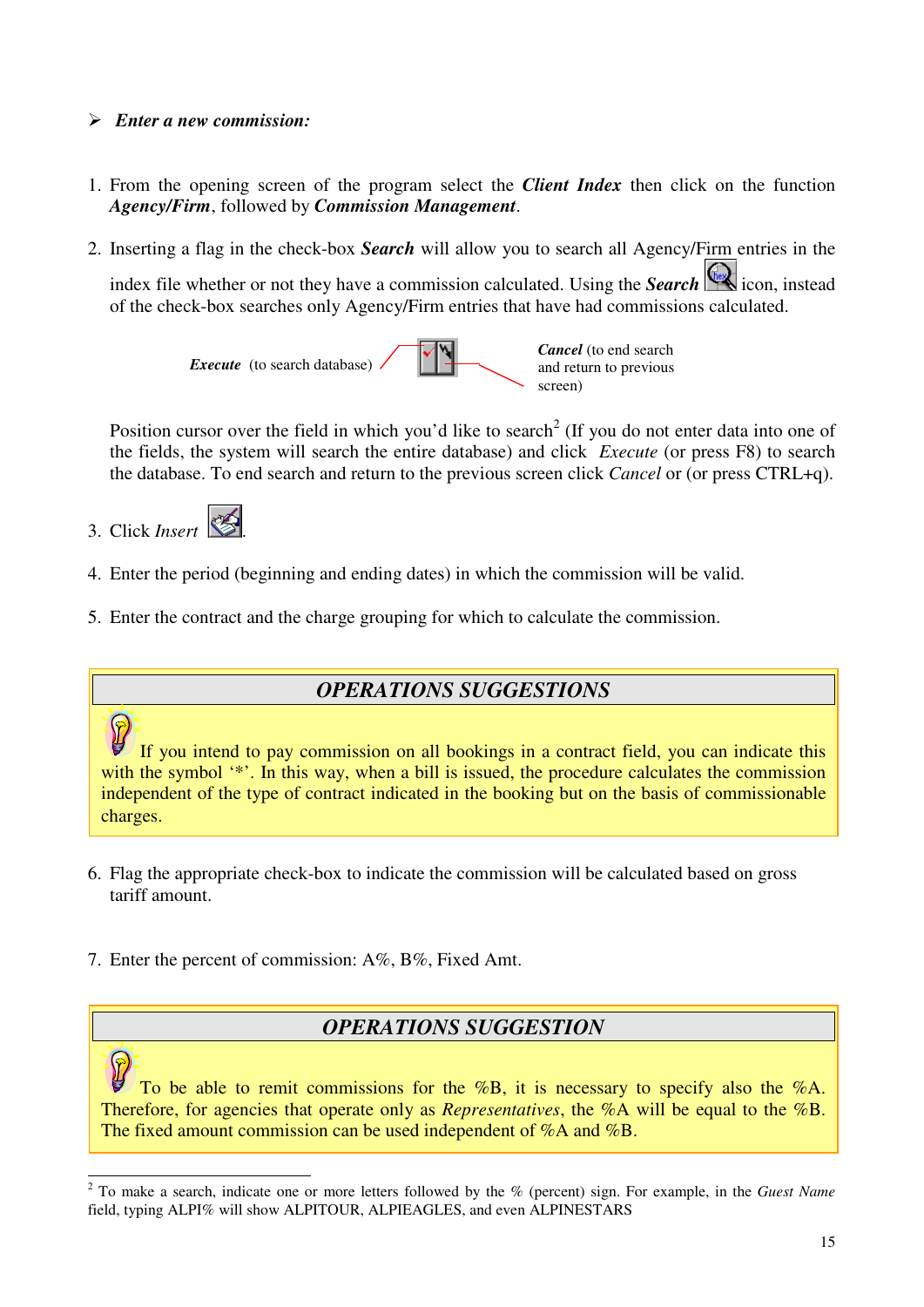#### *Enter a new commission:*

- 1. From the opening screen of the program select the *Client Index* then click on the function *Agency/Firm*, followed by *Commission Management*.
- 2. Inserting a flag in the check-box *Search* will allow you to search all Agency/Firm entries in the

index file whether or not they have a commission calculated. Using the *Search* icon, instead of the check-box searches only Agency/Firm entries that have had commissions calculated.



Position cursor over the field in which you'd like to search<sup>2</sup> (If you do not enter data into one of the fields, the system will search the entire database) and click *Execute* (or press F8) to search the database. To end search and return to the previous screen click *Cancel* or (or press CTRL+q).



- 4. Enter the period (beginning and ending dates) in which the commission will be valid.
- 5. Enter the contract and the charge grouping for which to calculate the commission.

#### *OPERATIONS SUGGESTIONS*

If you intend to pay commission on all bookings in a contract field, you can indicate this with the symbol '\*'. In this way, when a bill is issued, the procedure calculates the commission independent of the type of contract indicated in the booking but on the basis of commissionable charges.

- 6. Flag the appropriate check-box to indicate the commission will be calculated based on gross tariff amount.
- 7. Enter the percent of commission: A%, B%, Fixed Amt.

#### *OPERATIONS SUGGESTION*

To be able to remit commissions for the %B, it is necessary to specify also the %A. Therefore, for agencies that operate only as *Representatives*, the %A will be equal to the %B. The fixed amount commission can be used independent of %A and %B.

<sup>2</sup> To make a search, indicate one or more letters followed by the % (percent) sign. For example, in the *Guest Name* field, typing ALPI% will show ALPITOUR, ALPIEAGLES, and even ALPINESTARS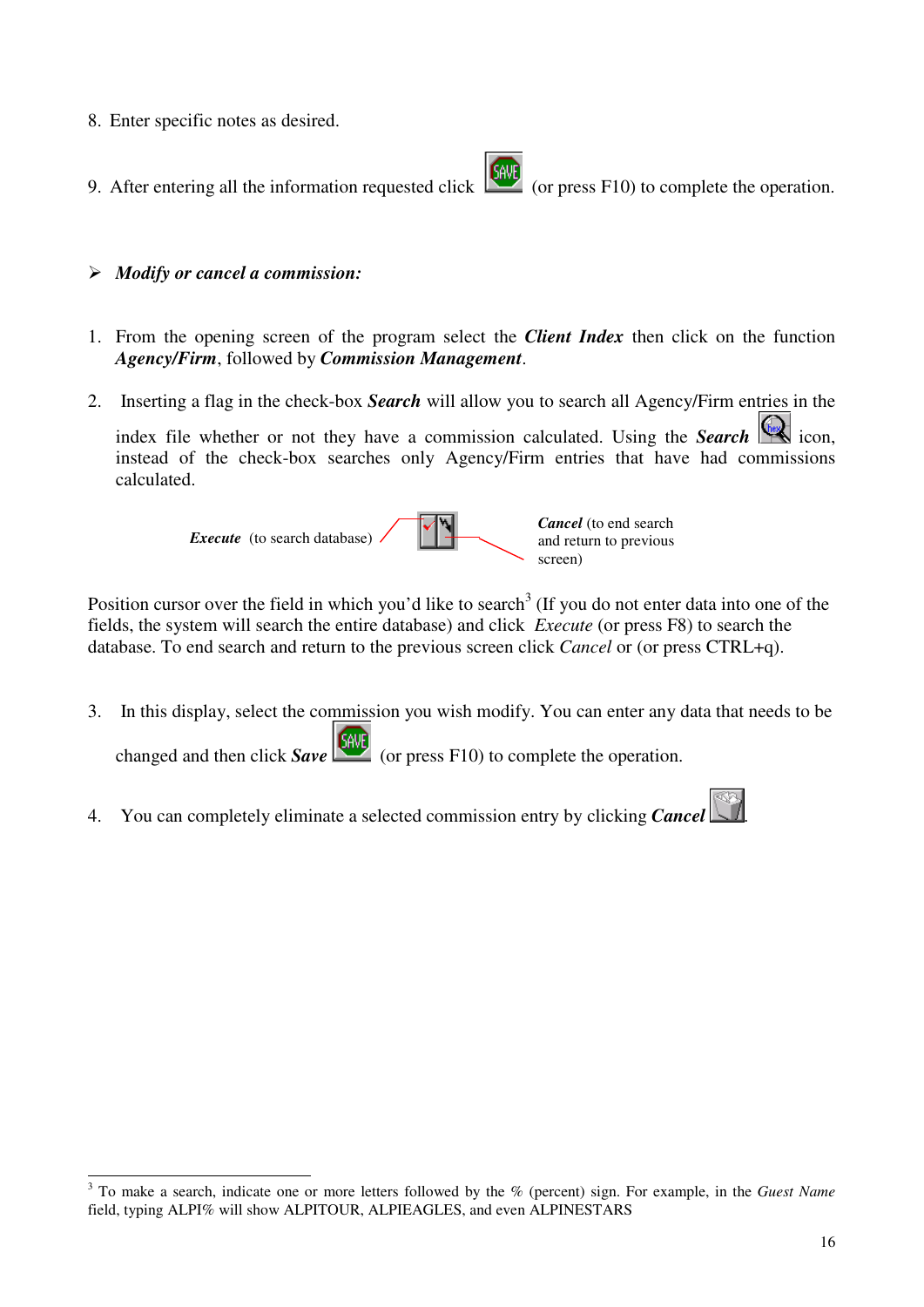- 8. Enter specific notes as desired.
- 9. After entering all the information requested click  $\begin{bmatrix} 600 \\ 100 \end{bmatrix}$  (or press F10) to complete the operation.
- *Modify or cancel a commission:*
- 1. From the opening screen of the program select the *Client Index* then click on the function *Agency/Firm*, followed by *Commission Management*.
- 2. Inserting a flag in the check-box *Search* will allow you to search all Agency/Firm entries in the

index file whether or not they have a commission calculated. Using the **Search** icon, instead of the check-box searches only Agency/Firm entries that have had commissions calculated.



Position cursor over the field in which you'd like to search<sup>3</sup> (If you do not enter data into one of the fields, the system will search the entire database) and click *Execute* (or press F8) to search the database. To end search and return to the previous screen click *Cancel* or (or press CTRL+q).

- 3. In this display, select the commission you wish modify. You can enter any data that needs to be changed and then click *Save* (or press F10) to complete the operation.
- 4. You can completely eliminate a selected commission entry by clicking *Cancel* .

<sup>3</sup> To make a search, indicate one or more letters followed by the % (percent) sign. For example, in the *Guest Name* field, typing ALPI% will show ALPITOUR, ALPIEAGLES, and even ALPINESTARS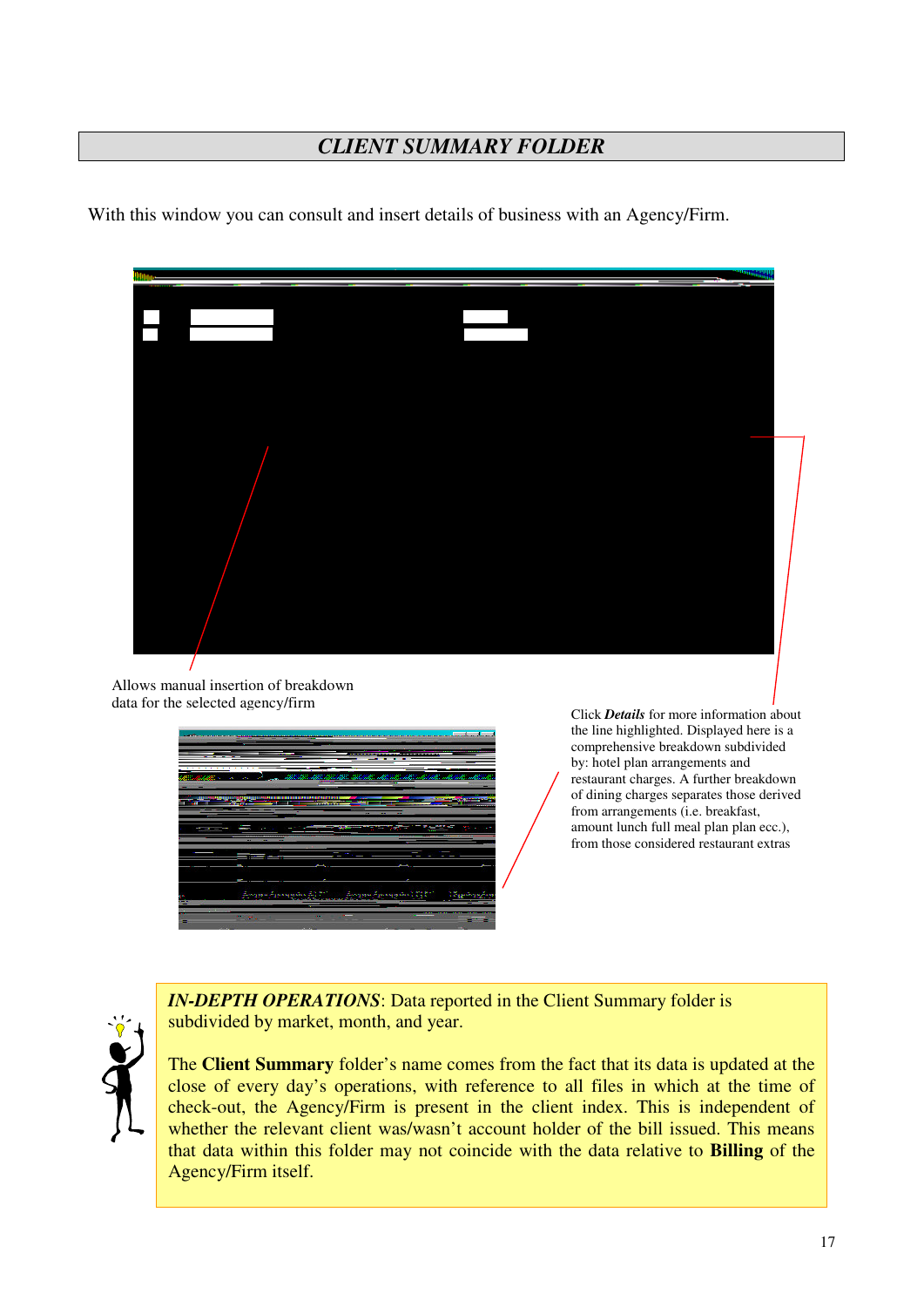# *CLIENT SUMMARY FOLDER*

With this window you can consult and insert details of business with an Agency/Firm.



Allows manual insertion of breakdown data for the selected agency/firm



Click *Details* for more information about the line highlighted. Displayed here is a comprehensive breakdown subdivided by: hotel plan arrangements and restaurant charges. A further breakdown of dining charges separates those derived from arrangements (i.e. breakfast, amount lunch full meal plan plan ecc.), from those considered restaurant extras



*IN-DEPTH OPERATIONS*: Data reported in the Client Summary folder is subdivided by market, month, and year.

The **Client Summary** folder's name comes from the fact that its data is updated at the close of every day's operations, with reference to all files in which at the time of check-out, the Agency/Firm is present in the client index. This is independent of whether the relevant client was/wasn't account holder of the bill issued. This means that data within this folder may not coincide with the data relative to **Billing** of the Agency/Firm itself.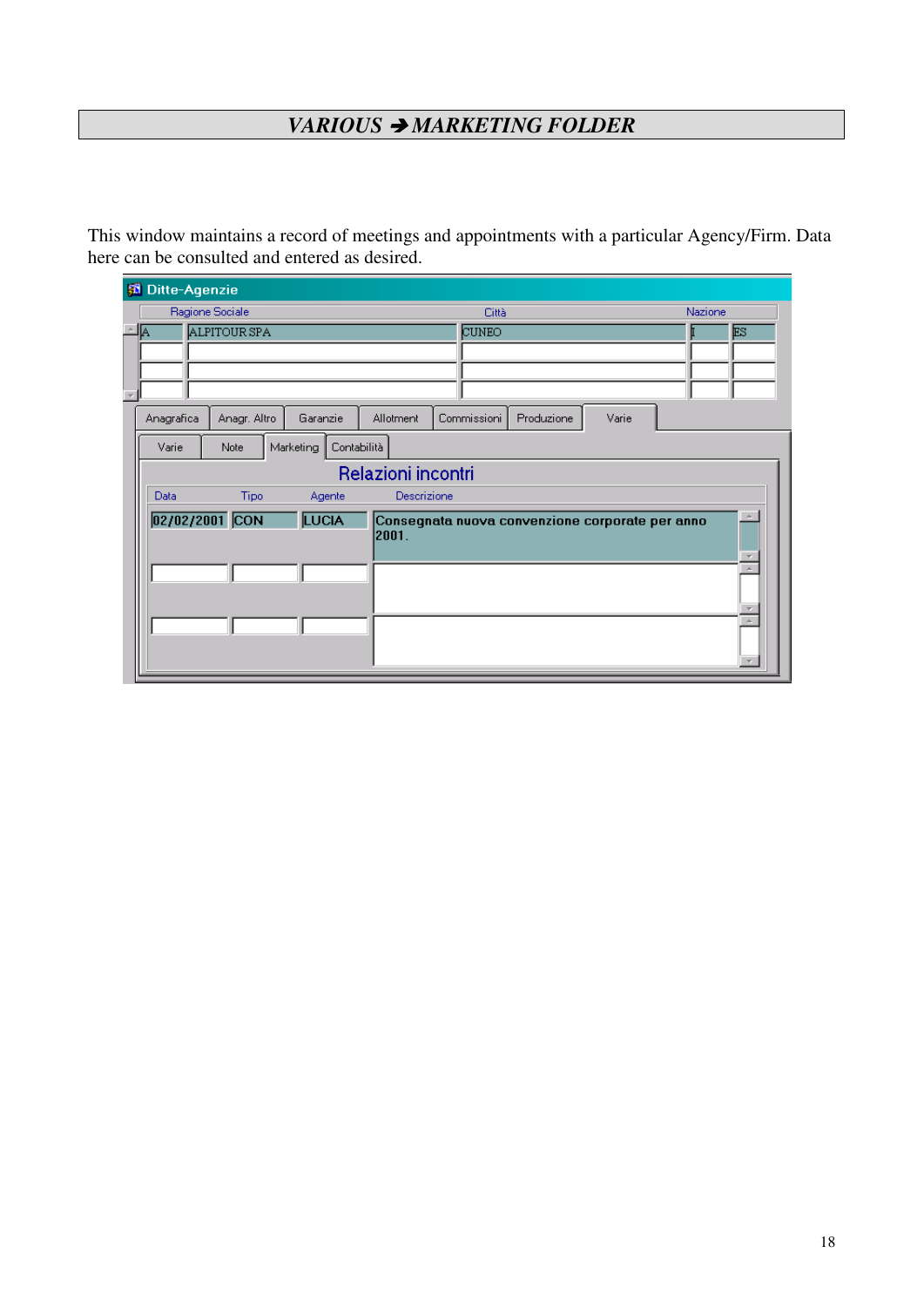# *VARIOUS* - *MARKETING FOLDER*

This window maintains a record of meetings and appointments with a particular Agency/Firm. Data here can be consulted and entered as desired.

| <b>Ditte-Agenzie</b> |                 |                          |                    |                                                 |            |       |         |  |
|----------------------|-----------------|--------------------------|--------------------|-------------------------------------------------|------------|-------|---------|--|
|                      | Ragione Sociale |                          |                    | <b>Città</b>                                    |            |       | Nazione |  |
| A                    | ALPITOUR SPA    |                          |                    | CUNEO                                           |            |       | ES      |  |
|                      |                 |                          |                    |                                                 |            |       |         |  |
|                      |                 |                          |                    |                                                 |            |       |         |  |
|                      |                 |                          |                    |                                                 |            |       |         |  |
| Anagrafica           | Anagr. Altro    | Garanzie                 | <b>Allotment</b>   | Commissioni                                     | Produzione | Varie |         |  |
| Varie                | Note            | Marketing<br>Contabilità |                    |                                                 |            |       |         |  |
|                      |                 |                          | Relazioni incontri |                                                 |            |       |         |  |
| Data                 | <b>Tipo</b>     | Agente                   | Descrizione        |                                                 |            |       |         |  |
| 02/02/2001 CON       |                 | <b>LUCIA</b>             | 2001.              | Consegnata nuova convenzione corporate per anno |            |       |         |  |
|                      |                 |                          |                    |                                                 |            |       | A.      |  |
|                      |                 |                          |                    |                                                 |            |       | A.      |  |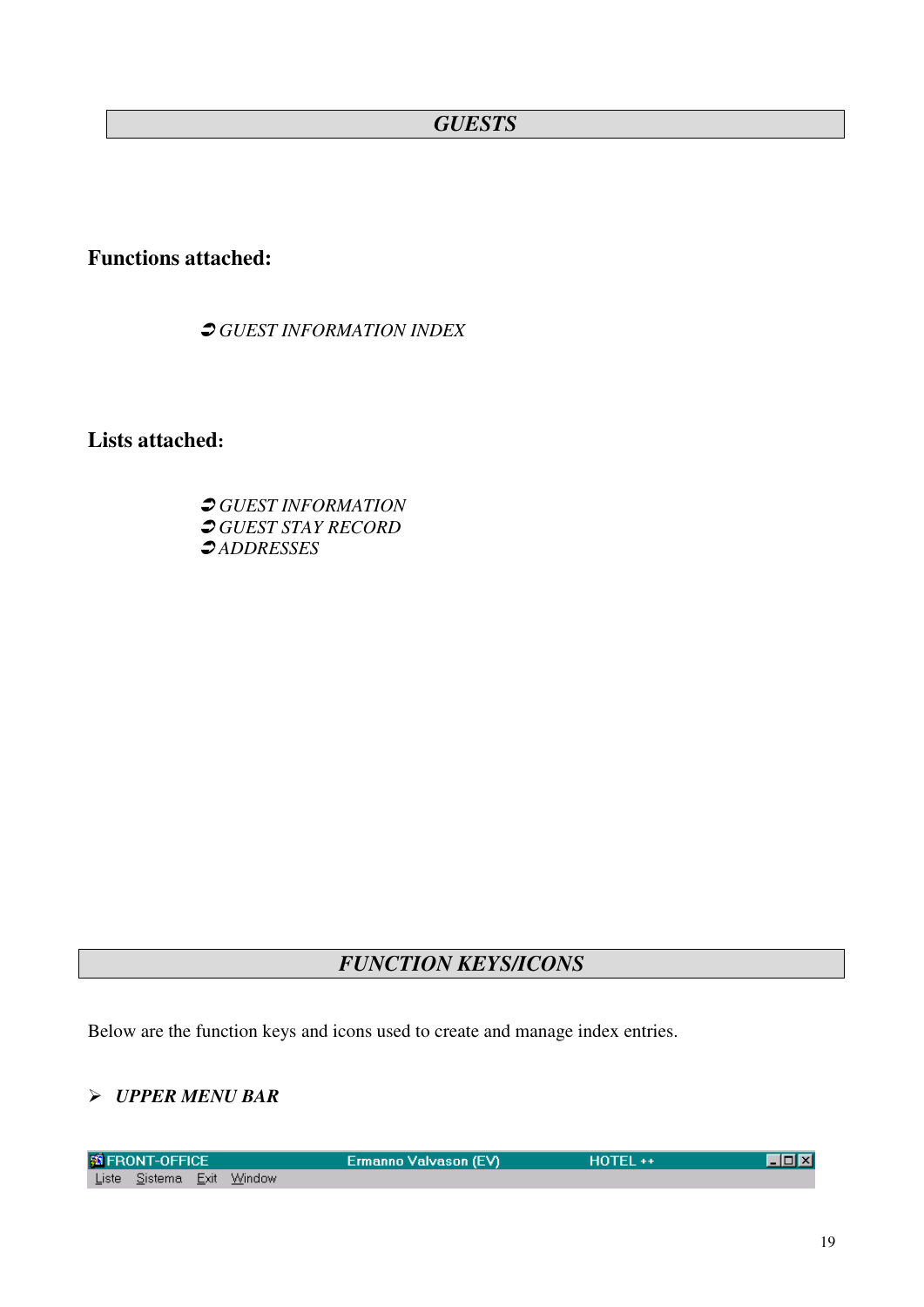# *GUESTS*

# **Functions attached:**

*GUEST INFORMATION INDEX*

**Lists attached:**

 *GUEST INFORMATION GUEST STAY RECORD ADDRESSES*

# *FUNCTION KEYS/ICONS*

Below are the function keys and icons used to create and manage index entries.

#### *UPPER MENU BAR*

| <b>S FRONT-OFFICE</b>     |  | Ermanno Valvason (EV) \ | <b>HOTEL++</b> | <u>Loixi</u> |
|---------------------------|--|-------------------------|----------------|--------------|
| Liste Sistema Exit Window |  |                         |                |              |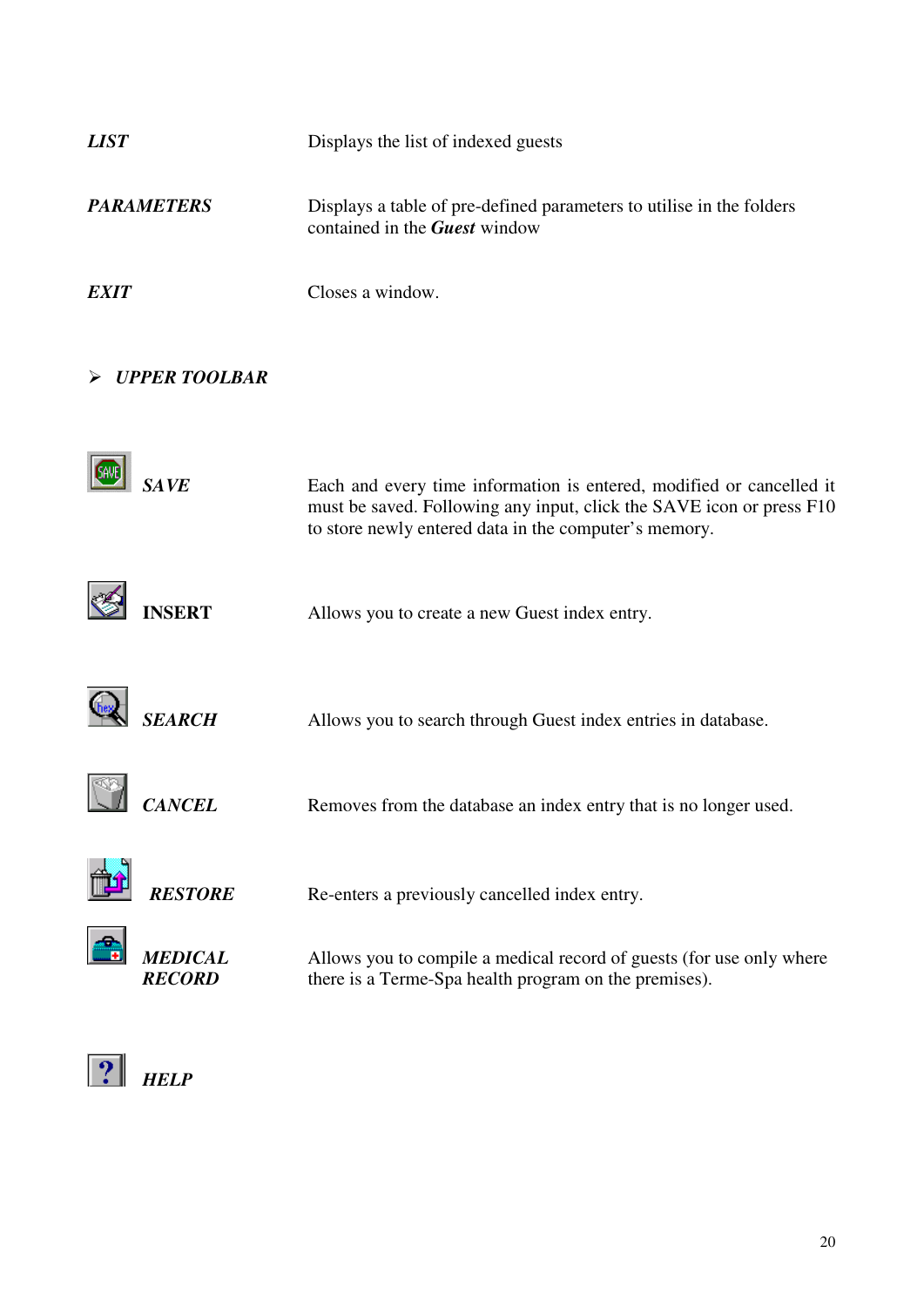| <b>LIST</b>                     | Displays the list of indexed guests                                                                                                                                                                   |
|---------------------------------|-------------------------------------------------------------------------------------------------------------------------------------------------------------------------------------------------------|
| <b>PARAMETERS</b>               | Displays a table of pre-defined parameters to utilise in the folders<br>contained in the <b>Guest</b> window                                                                                          |
| <b>EXIT</b>                     | Closes a window.                                                                                                                                                                                      |
| <b>UPPER TOOLBAR</b>            |                                                                                                                                                                                                       |
| <b>SAVE</b>                     | Each and every time information is entered, modified or cancelled it<br>must be saved. Following any input, click the SAVE icon or press F10<br>to store newly entered data in the computer's memory. |
| <b>INSERT</b>                   | Allows you to create a new Guest index entry.                                                                                                                                                         |
| <b>SEARCH</b>                   | Allows you to search through Guest index entries in database.                                                                                                                                         |
| <i><b>CANCEL</b></i>            | Removes from the database an index entry that is no longer used.                                                                                                                                      |
| <b>RESTORE</b>                  | Re-enters a previously cancelled index entry.                                                                                                                                                         |
| <b>MEDICAL</b><br><b>RECORD</b> | Allows you to compile a medical record of guests (for use only where<br>there is a Terme-Spa health program on the premises).                                                                         |
|                                 |                                                                                                                                                                                                       |

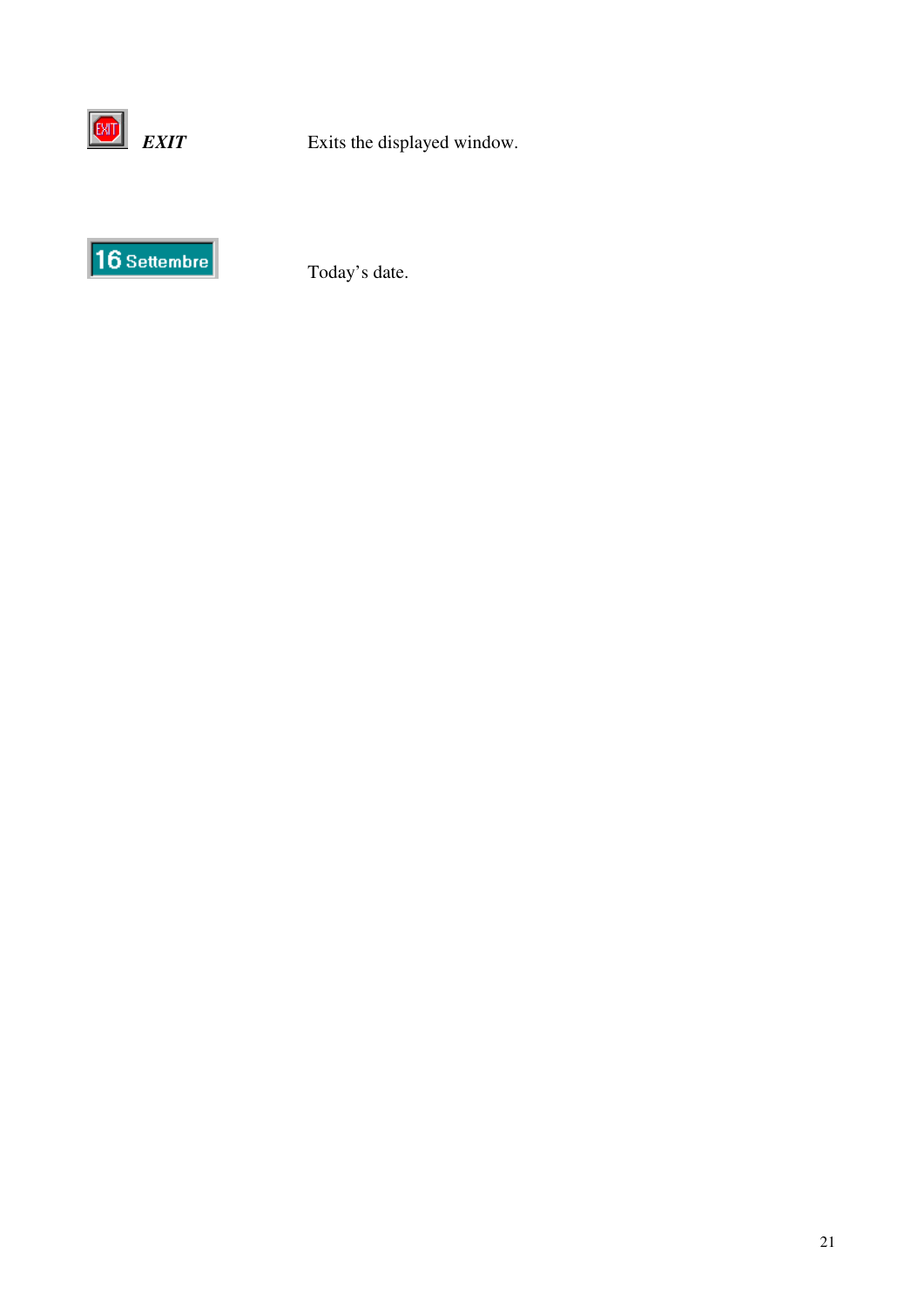



Today's date.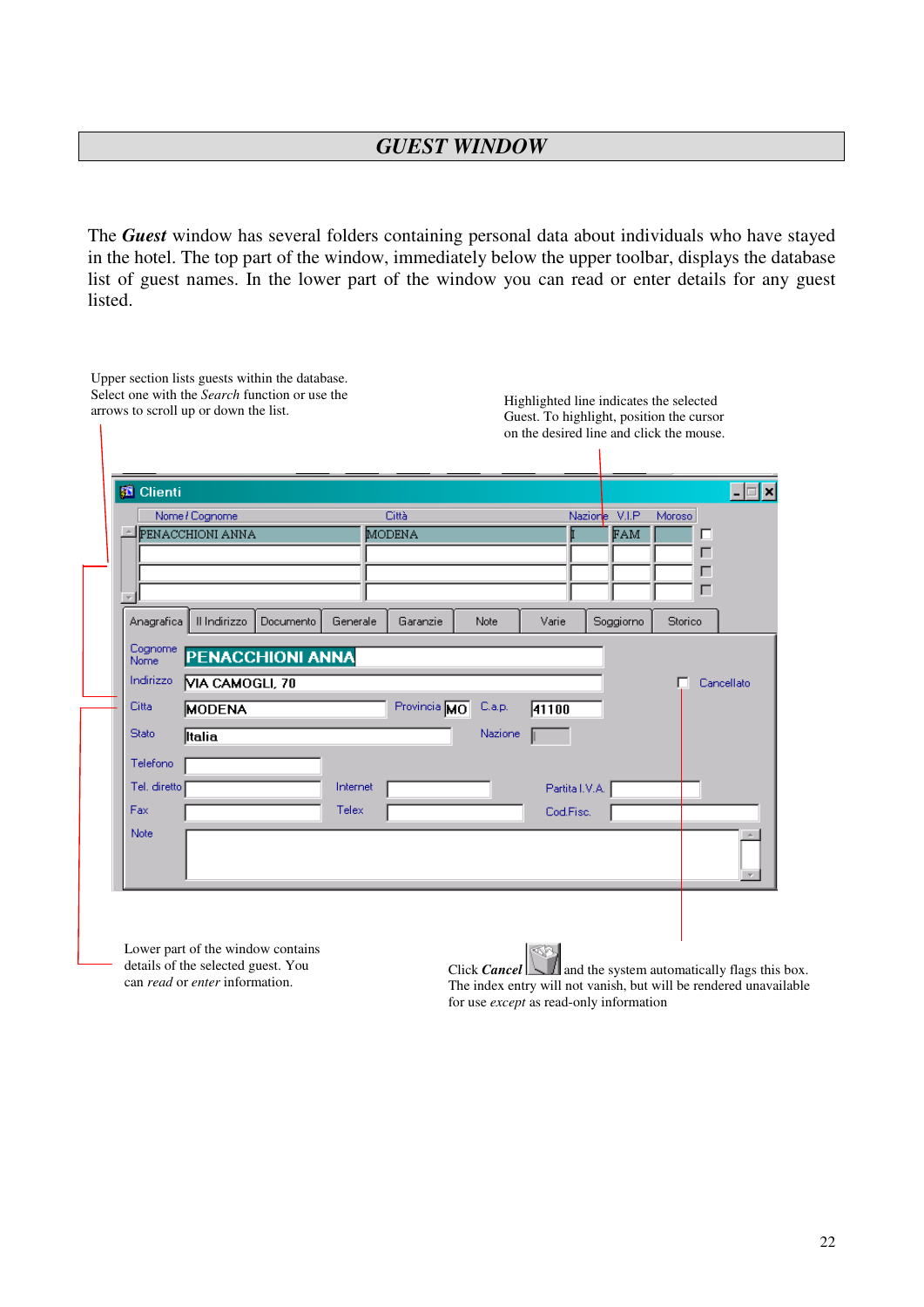The *Guest* window has several folders containing personal data about individuals who have stayed in the hotel. The top part of the window, immediately below the upper toolbar, displays the database list of guest names. In the lower part of the window you can read or enter details for any guest listed.

| <b>B</b> Clienti |                                             |           |          |                 |         |                |                      |             | –  ⊟∣×     |
|------------------|---------------------------------------------|-----------|----------|-----------------|---------|----------------|----------------------|-------------|------------|
|                  | Nome / Cognome<br><b>E</b> PENACCHIONI ANNA |           |          | Città<br>MODENA |         |                | Nazione V.I.P<br>FAM | Moroso<br>п |            |
|                  |                                             |           |          |                 |         |                |                      | г           |            |
|                  |                                             |           |          |                 |         |                |                      | г           |            |
|                  |                                             |           |          |                 |         |                |                      | г           |            |
| Anagrafica       | Il Indirizzo                                | Documento | Generale | Garanzie        | Note    | Varie          | Soggiorno            | Storico     |            |
| Cognome          |                                             |           |          |                 |         |                |                      |             |            |
| Nome             | <b>PENACCHIONI ANNA</b>                     |           |          |                 |         |                |                      |             |            |
| Indirizzo        | VIA CAMOGLI, 70                             |           |          |                 |         |                |                      | г           | Cancellato |
| Citta            | <b>MODENA</b>                               |           |          | Provincia MO    | C.a.p.  | 41100          |                      |             |            |
| <b>Stato</b>     | <b>Italia</b>                               |           |          |                 | Nazione |                |                      |             |            |
| Telefono         |                                             |           |          |                 |         |                |                      |             |            |
| Tel. diretto     |                                             |           | Internet |                 |         | Partita I.V.A. |                      |             |            |
| Fax              |                                             |           | Telex    |                 |         | Cod.Fisc.      |                      |             |            |
| Note             |                                             |           |          |                 |         |                |                      |             |            |
|                  |                                             |           |          |                 |         |                |                      |             |            |
|                  |                                             |           |          |                 |         |                |                      |             |            |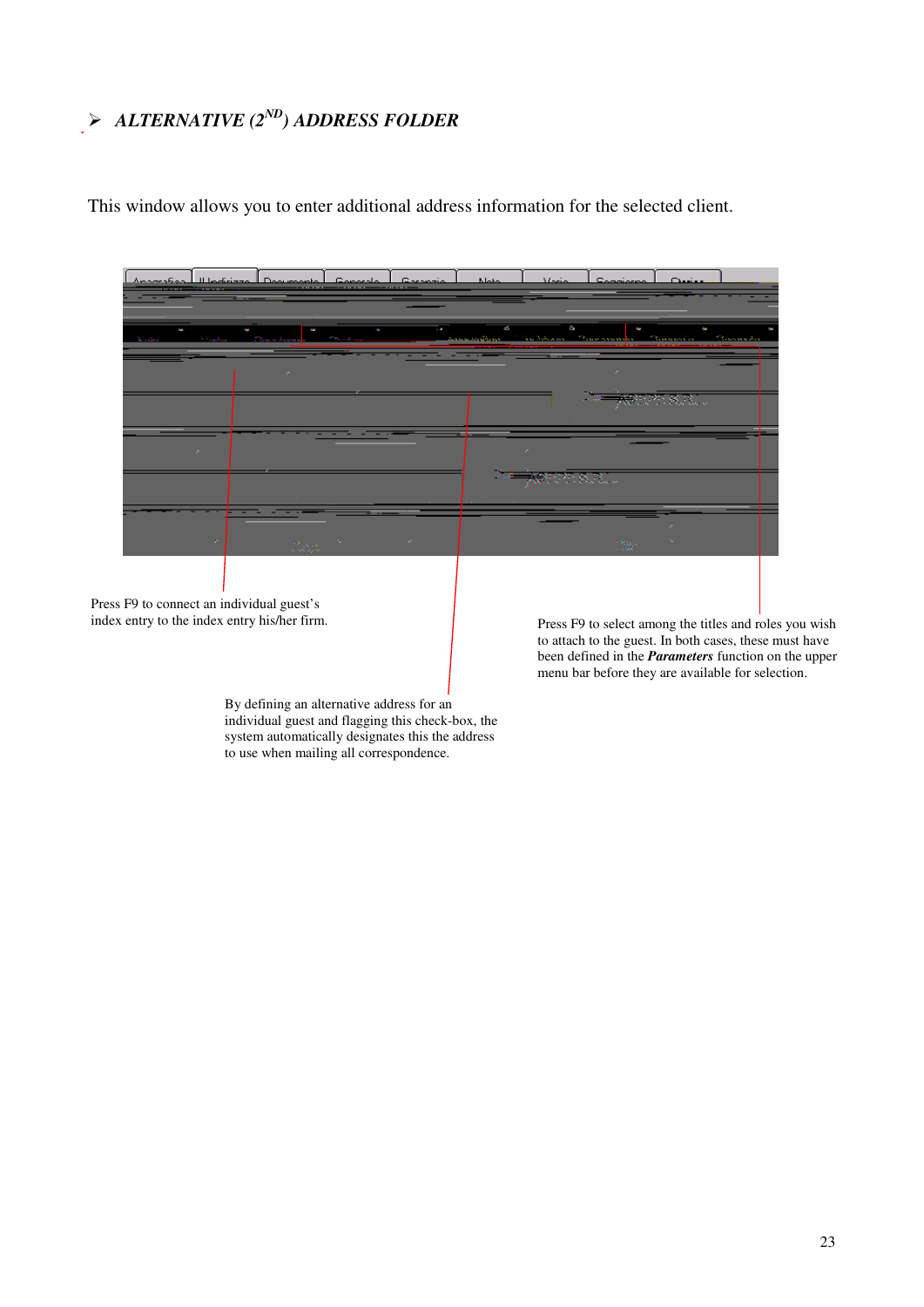# *ALTERNATIVE (2 ND ) ADDRESS FOLDER*

This window allows you to enter additional address information for the selected client.



By defining an alternative address for an individual guest and flagging this check-box, the system automatically designates this the address to use when mailing all correspondence.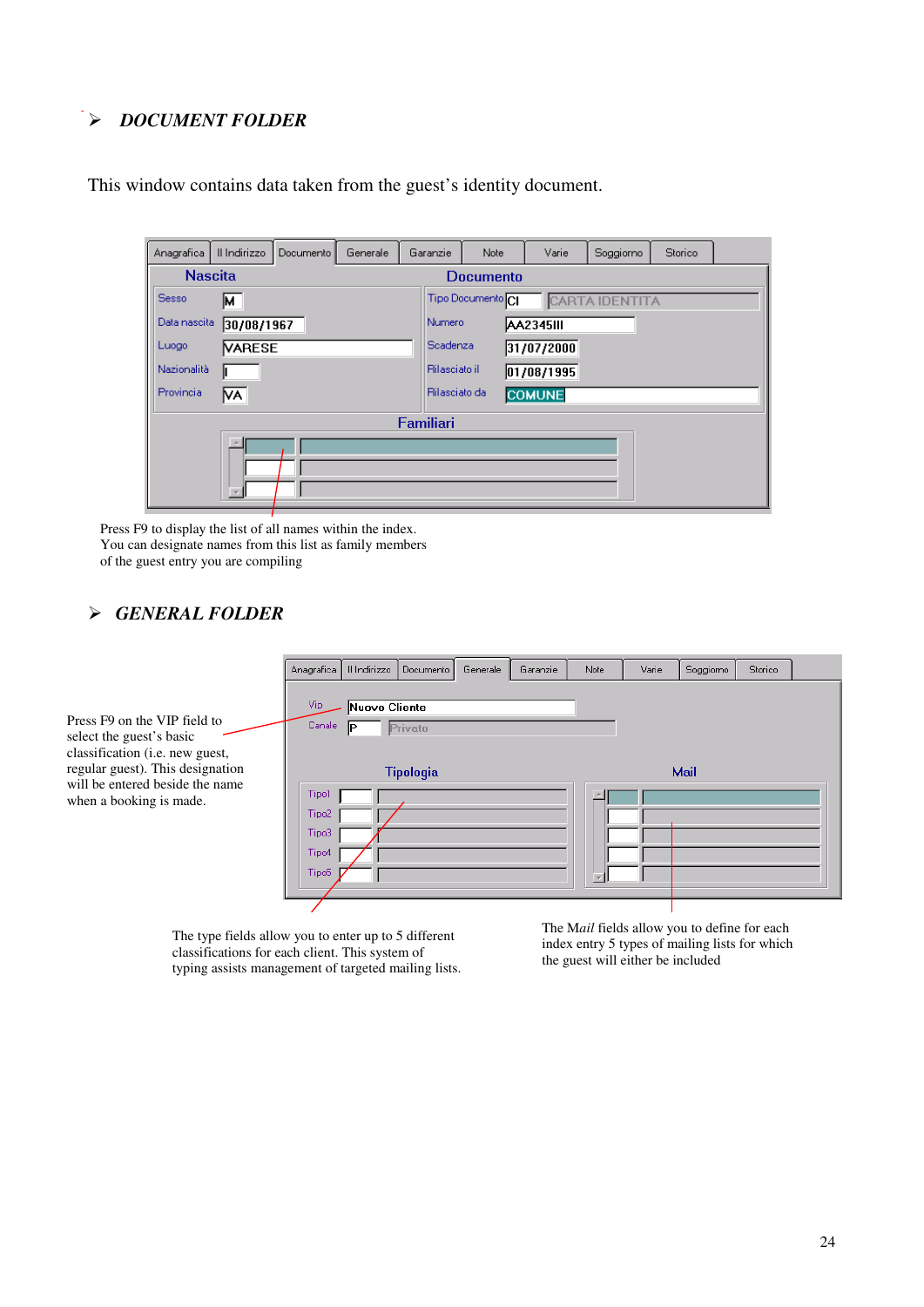#### *DOCUMENT FOLDER*

| Anagrafica     | II Indirizzo  | Documento | Generale | Garanzie  | <b>Note</b>                                           | Varie            | Soggiorno | Storico |  |  |  |
|----------------|---------------|-----------|----------|-----------|-------------------------------------------------------|------------------|-----------|---------|--|--|--|
| <b>Nascita</b> |               |           |          |           | <b>Documento</b>                                      |                  |           |         |  |  |  |
| Sesso          | Iм.           |           |          |           | Tipo Documento <sup>CI</sup><br><b>CARTA IDENTITA</b> |                  |           |         |  |  |  |
| Data nascita   | 30/08/1967    |           |          | Numero    |                                                       | <b>AA2345III</b> |           |         |  |  |  |
| Luogo          | <b>VARESE</b> |           |          |           | Scadenza<br>31/07/2000                                |                  |           |         |  |  |  |
| Nazionalità    |               |           |          |           | <b>Rilasciato il</b><br>01/08/1995                    |                  |           |         |  |  |  |
| Provincia      | IVA.          |           |          |           | Rilasciato da<br><b>COMUNE</b>                        |                  |           |         |  |  |  |
|                |               |           |          | Familiari |                                                       |                  |           |         |  |  |  |
|                | A.            |           |          |           |                                                       |                  |           |         |  |  |  |

This window contains data taken from the guest's identity document.

Press F9 to display the list of all names within the index. You can designate names from this list as family members of the guest entry you are compiling

#### *GENERAL FOLDER*

|                                                                                             | Anagrafica     | Il Indirizzo        | Documento        | Generale | Garanzie | Note | Varie | Soggiorno | Storico |  |
|---------------------------------------------------------------------------------------------|----------------|---------------------|------------------|----------|----------|------|-------|-----------|---------|--|
| Press F9 on the VIP field to<br>select the guest's basic<br>classification (i.e. new guest, | Vip-<br>Canale | Nuovo Cliente<br>IP | Privato          |          |          |      |       |           |         |  |
| regular guest). This designation                                                            |                |                     | <b>Tipologia</b> |          |          |      |       | Mail      |         |  |
| will be entered beside the name<br>when a booking is made.                                  | Tipo1          |                     |                  |          |          |      |       |           |         |  |
|                                                                                             | Tipo2<br>Tipo3 |                     |                  |          |          |      |       |           |         |  |
|                                                                                             | Tipo4          |                     |                  |          |          |      |       |           |         |  |
|                                                                                             | Tipo5          |                     |                  |          |          |      |       |           |         |  |
|                                                                                             |                |                     |                  |          |          |      |       |           |         |  |

The type fields allow you to enter up to 5 different classifications for each client. This system of typing assists management of targeted mailing lists. The M*ail* fields allow you to define for each index entry 5 types of mailing lists for which the guest will either be included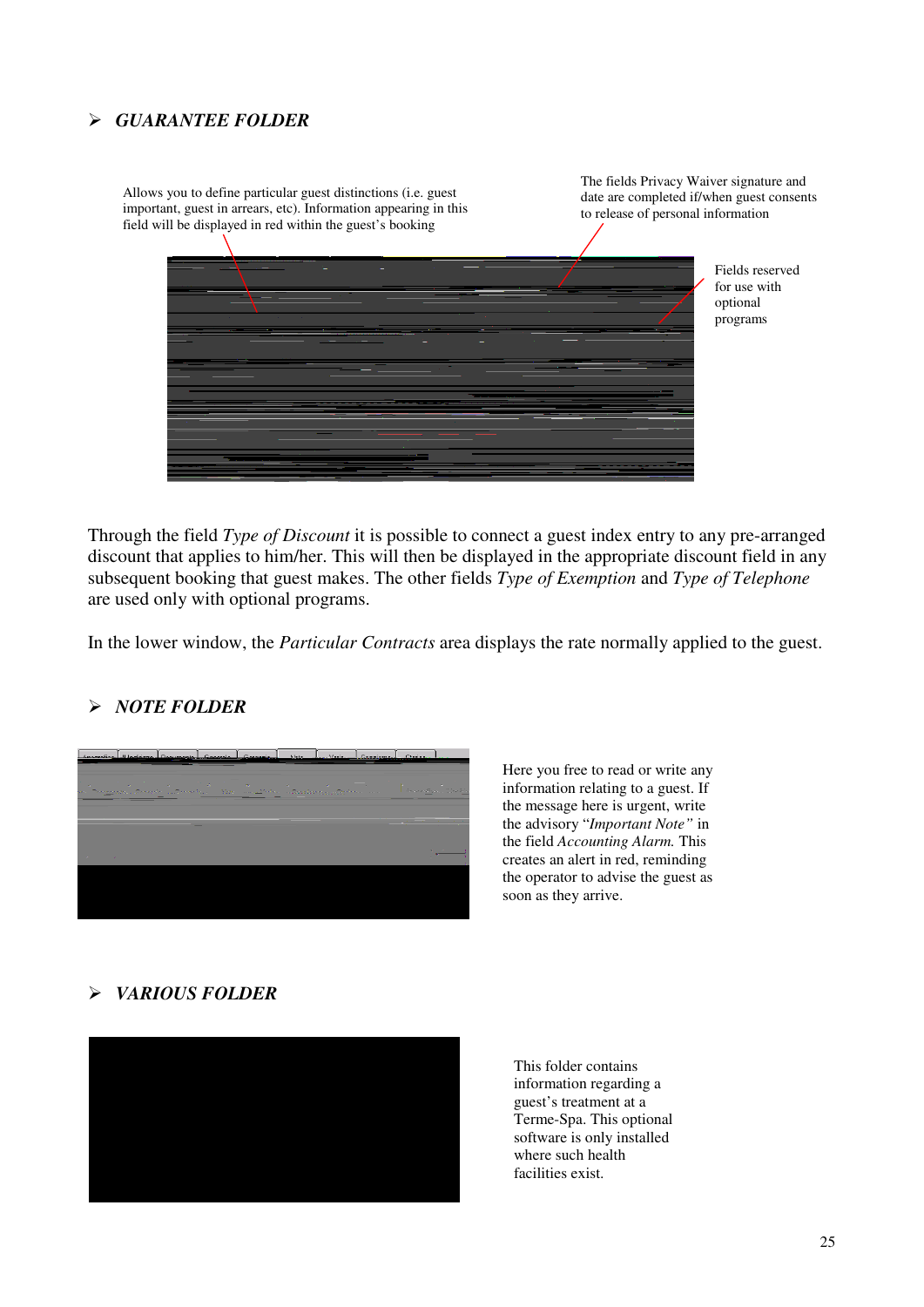#### *GUARANTEE FOLDER*

Allows you to define particular guest distinctions (i.e. guest important, guest in arrears, etc). Information appearing in this field will be displayed in red within the guest's booking The fields Privacy Waiver signature and date are completed if/when guest consents to release of personal information Fields reserved for use with optional programs

Through the field *Type of Discount* it is possible to connect a guest index entry to any pre-arranged discount that applies to him/her. This will then be displayed in the appropriate discount field in any subsequent booking that guest makes. The other fields *Type of Exemption* and *Type of Telephone* are used only with optional programs.

In the lower window, the *Particular Contracts* area displays the rate normally applied to the guest.

#### *NOTE FOLDER*



Here you free to read or write any information relating to a guest. If the message here is urgent, write the advisory "*Important Note"* in the field *Accounting Alarm.* This creates an alert in red, reminding the operator to advise the guest as soon as they arrive.

#### *VARIOUS FOLDER*



This folder contains information regarding a guest's treatment at a Terme-Spa. This optional software is only installed where such health facilities exist.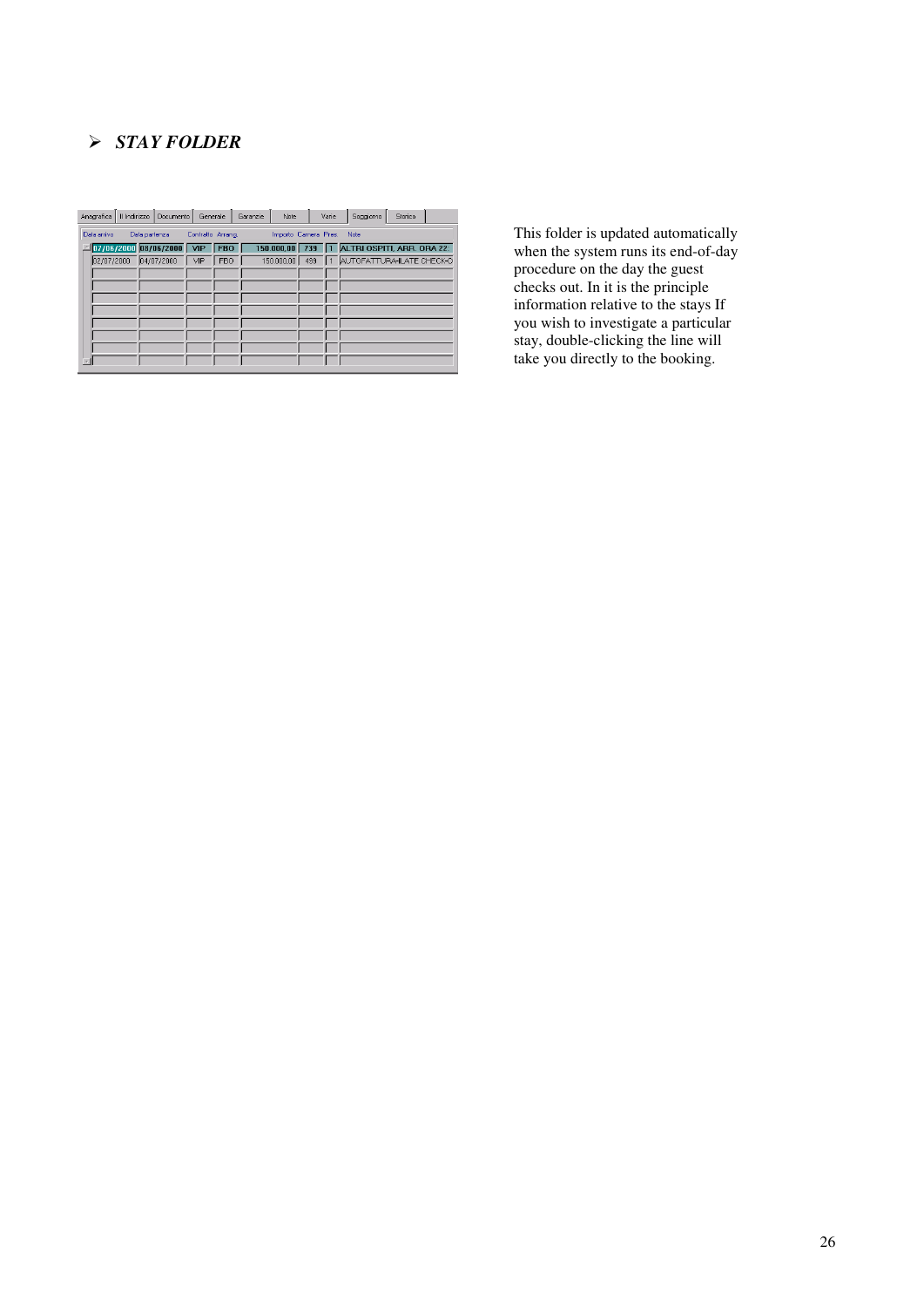## *STAY FOLDER*

| Anagrafica                                                                        |  | Il Indirizzo   Documento             | Generale |            | Garanzie | Note |  | Varie | Seggiorno                                   | Storico |  |
|-----------------------------------------------------------------------------------|--|--------------------------------------|----------|------------|----------|------|--|-------|---------------------------------------------|---------|--|
| Importo Camera Pres.<br>Data arrivo<br>Data partenza<br>Contratto Arrang.<br>Note |  |                                      |          |            |          |      |  |       |                                             |         |  |
|                                                                                   |  | $\Box$ 07/06/2000 08/06/2000 VIP FBO |          |            |          |      |  |       | 150.000,00 739 1 ALTRI OSPITI, ARR. ORA 22: |         |  |
|                                                                                   |  | 02/07/2000 04/07/2000 VIP            |          | <b>FBO</b> |          |      |  |       | 150.000,00 499 1 AUTOFATTURA-ILATE CHECK-O  |         |  |
|                                                                                   |  |                                      |          |            |          |      |  |       |                                             |         |  |
|                                                                                   |  |                                      |          |            |          |      |  |       |                                             |         |  |
|                                                                                   |  |                                      |          |            |          |      |  |       |                                             |         |  |
|                                                                                   |  |                                      |          |            |          |      |  |       |                                             |         |  |
|                                                                                   |  |                                      |          |            |          |      |  |       |                                             |         |  |
|                                                                                   |  |                                      |          |            |          |      |  |       |                                             |         |  |
|                                                                                   |  |                                      |          |            |          |      |  |       |                                             |         |  |
|                                                                                   |  |                                      |          |            |          |      |  |       |                                             |         |  |

This folder is updated automatically when the system runs its end-of-day procedure on the day the guest checks out. In it is the principle information relative to the stays If you wish to investigate a particular stay, double-clicking the line will take you directly to the booking.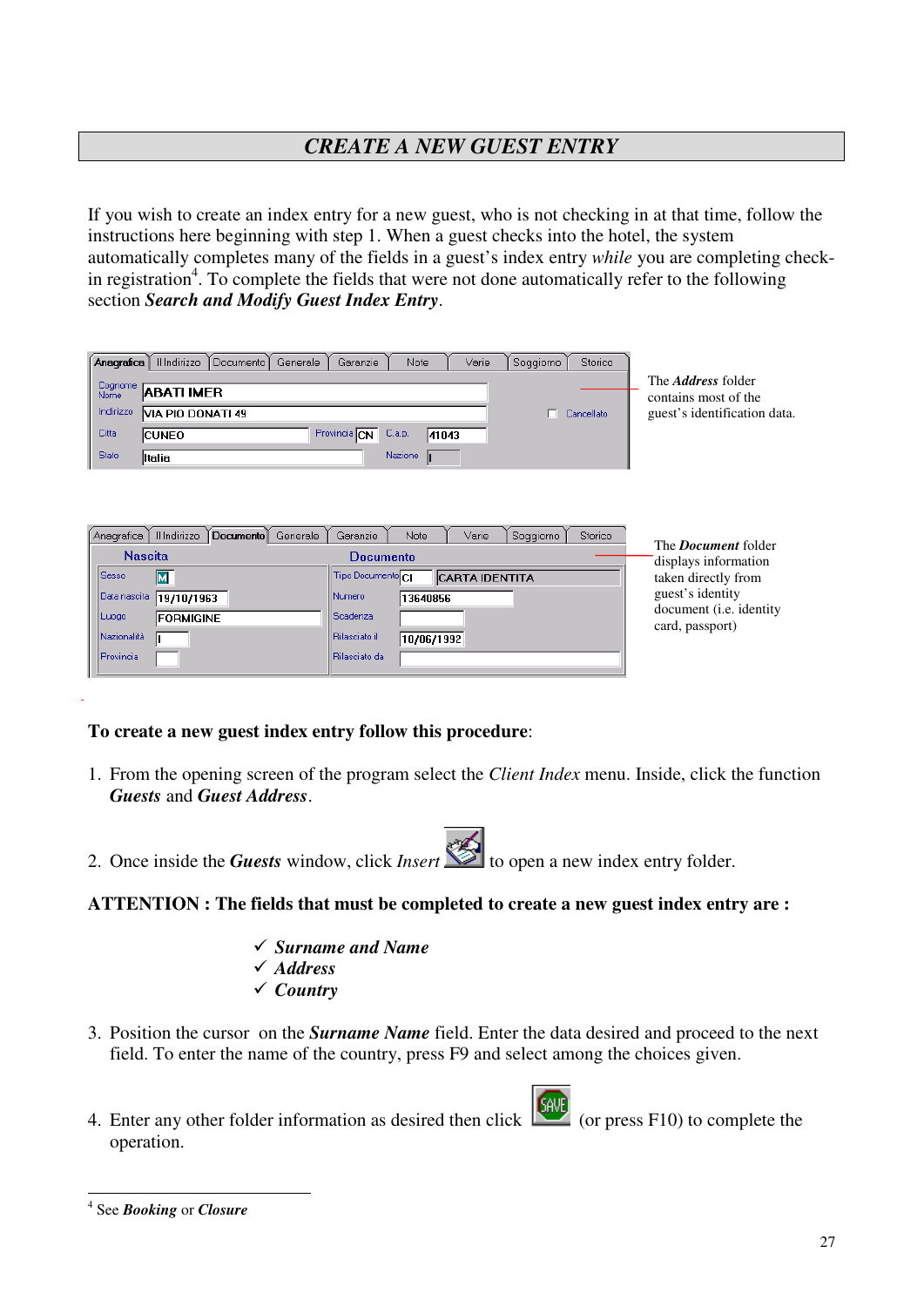# *CREATE A NEW GUEST ENTRY*

If you wish to create an index entry for a new guest, who is not checking in at that time, follow the instructions here beginning with step 1. When a guest checks into the hotel, the system automatically completes many of the fields in a guest's index entry *while* you are completing checkin registration<sup>4</sup>. To complete the fields that were not done automatically refer to the following section *Search and Modify Guest Index Entry*.

| Anagrafica      | Il Indirizzo<br>Note<br>Documento<br>Garanzie<br>Generale     | Varie<br>Storico<br>Soggiorno |                                                   |
|-----------------|---------------------------------------------------------------|-------------------------------|---------------------------------------------------|
| Cognome<br>Nome | <b>ABATI IMER</b>                                             |                               | The <i>Address</i> folder<br>contains most of the |
| Indirizzo       | VIA PIO DONATI 49                                             | Cancellato                    | guest's identification data.                      |
| Citta           | Provincia CN <sup>T</sup><br>C.a.p.<br>41043<br><b>ICUNEO</b> |                               |                                                   |
| <b>State</b>    | Nazione<br>lltalia                                            |                               |                                                   |
|                 |                                                               |                               |                                                   |
|                 |                                                               |                               |                                                   |

| Anagrafica                          | Il Indirizzo                   | Documento I | Generale | Garanzie                       | Note       | Varie                 | Soggiorno | Storico |                                                                           |
|-------------------------------------|--------------------------------|-------------|----------|--------------------------------|------------|-----------------------|-----------|---------|---------------------------------------------------------------------------|
| <b>Nascita</b><br><b>Sesso</b><br>м |                                |             |          | Documento<br>Tipo Documento CI |            | <b>CARTA IDENTITA</b> |           |         | The <i>Document</i> folder<br>displays information<br>taken directly from |
| Data nascita<br>Luogo               | 19/10/1963<br><b>FORMIGINE</b> |             |          | Numero<br><b>Scadenza</b>      | 13640856   |                       |           |         | guest's identity<br>document ( <i>i.e.</i> identity                       |
| Nazionalità<br>Provincia            |                                |             |          | Rilasciato il<br>Rilasciato da | 10/06/1992 |                       |           |         | card, passport)                                                           |

#### **To create a new guest index entry follow this procedure**:

- 1. From the opening screen of the program select the *Client Index* menu. Inside, click the function *Guests* and *Guest Address*.
- 2. Once inside the *Guests* window, click *Insert* to open a new index entry folder.

#### **ATTENTION : The fields that must be completed to create a new guest index entry are :**

- *Surname and Name Address*
- *Country*
- 3. Position the cursor on the *Surname Name* field. Enter the data desired and proceed to the next field. To enter the name of the country, press F9 and select among the choices given.
- 4. Enter any other folder information as desired then click  $\left| \frac{\phi_{\text{HVC}}}{\phi_{\text{HVC}}} \right|$  (or press F10) to complete the operation.

<sup>4</sup> See *Booking* or *Closure*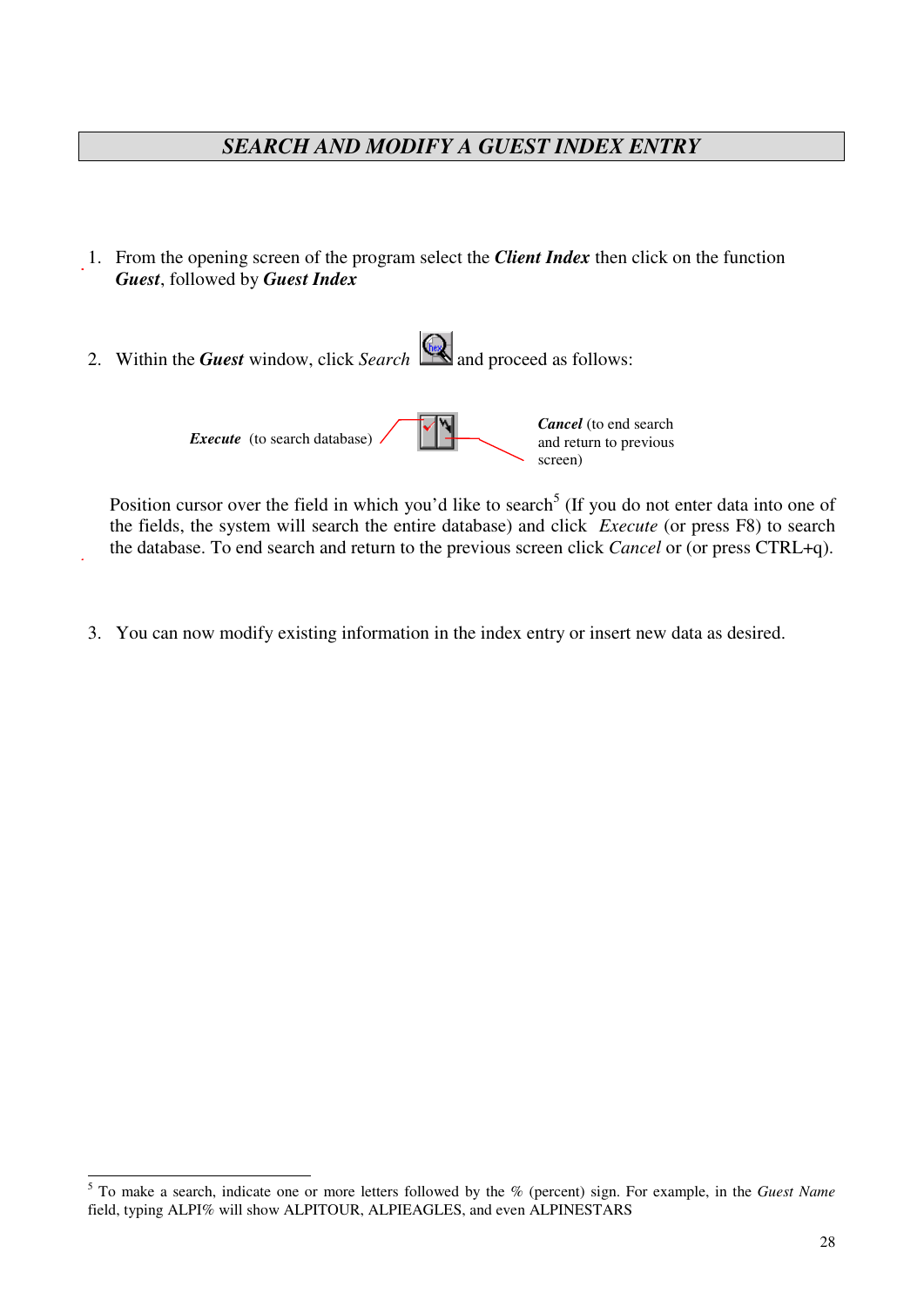# *SEARCH AND MODIFY A GUEST INDEX ENTRY*

- 1. From the opening screen of the program select the *Client Index* then click on the function *Guest*, followed by *Guest Index*
- 2. Within the *Guest* window, click *Search* **a** and proceed as follows:

*Execute* (to search database) *Cancel* (to end search and return to previous screen)

Position cursor over the field in which you'd like to search<sup>5</sup> (If you do not enter data into one of the fields, the system will search the entire database) and click *Execute* (or press F8) to search the database. To end search and return to the previous screen click *Cancel* or (or press CTRL+q).

3. You can now modify existing information in the index entry or insert new data as desired.

<sup>5</sup> To make a search, indicate one or more letters followed by the % (percent) sign. For example, in the *Guest Name* field, typing ALPI% will show ALPITOUR, ALPIEAGLES, and even ALPINESTARS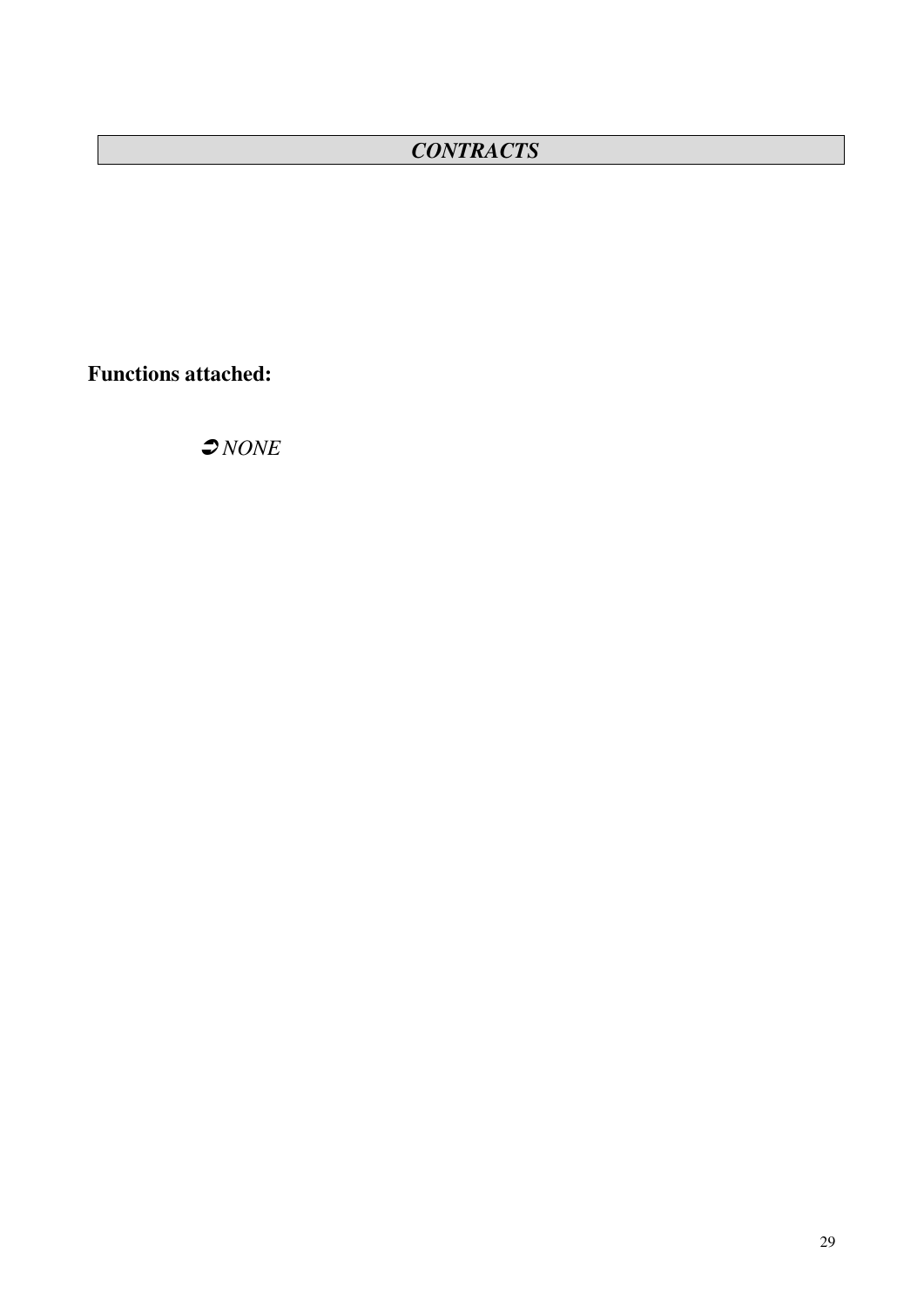# *CONTRACTS*

**Functions attached:**

*NONE*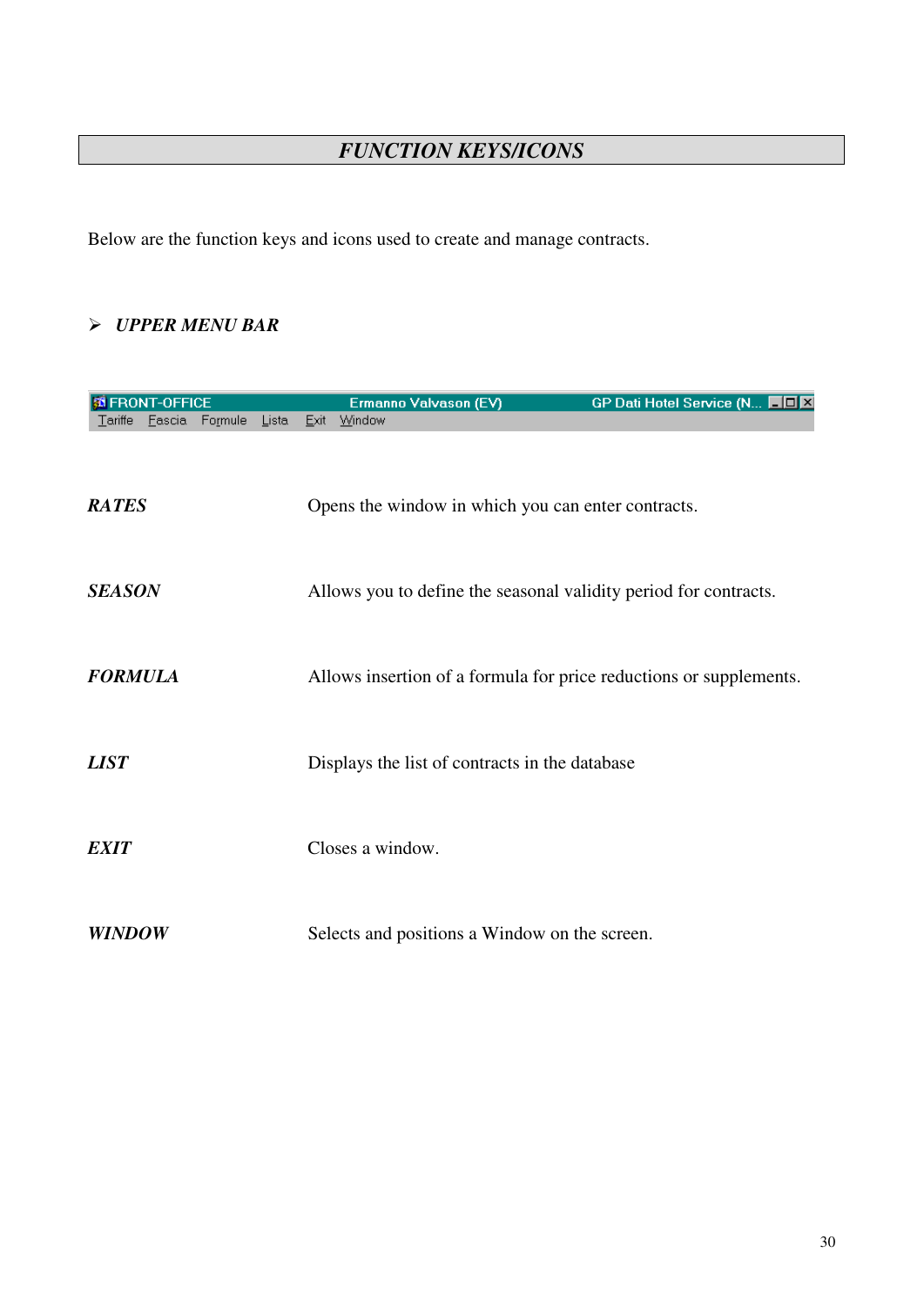# *FUNCTION KEYS/ICONS*

Below are the function keys and icons used to create and manage contracts.

#### *UPPER MENU BAR*

|                | <b>FRONT-OFFICE</b> |         |       |      | Ermanno Valvason (EV)                                            | GP Dati Hotel Service (N <b>HOX</b>                                |
|----------------|---------------------|---------|-------|------|------------------------------------------------------------------|--------------------------------------------------------------------|
| Tariffe        | Fascia              | Formule | Lista | Exit | Window                                                           |                                                                    |
| <b>RATES</b>   |                     |         |       |      | Opens the window in which you can enter contracts.               |                                                                    |
| <b>SEASON</b>  |                     |         |       |      | Allows you to define the seasonal validity period for contracts. |                                                                    |
| <b>FORMULA</b> |                     |         |       |      |                                                                  | Allows insertion of a formula for price reductions or supplements. |
| <b>LIST</b>    |                     |         |       |      | Displays the list of contracts in the database                   |                                                                    |
| <b>EXIT</b>    |                     |         |       |      | Closes a window.                                                 |                                                                    |
| <b>WINDOW</b>  |                     |         |       |      | Selects and positions a Window on the screen.                    |                                                                    |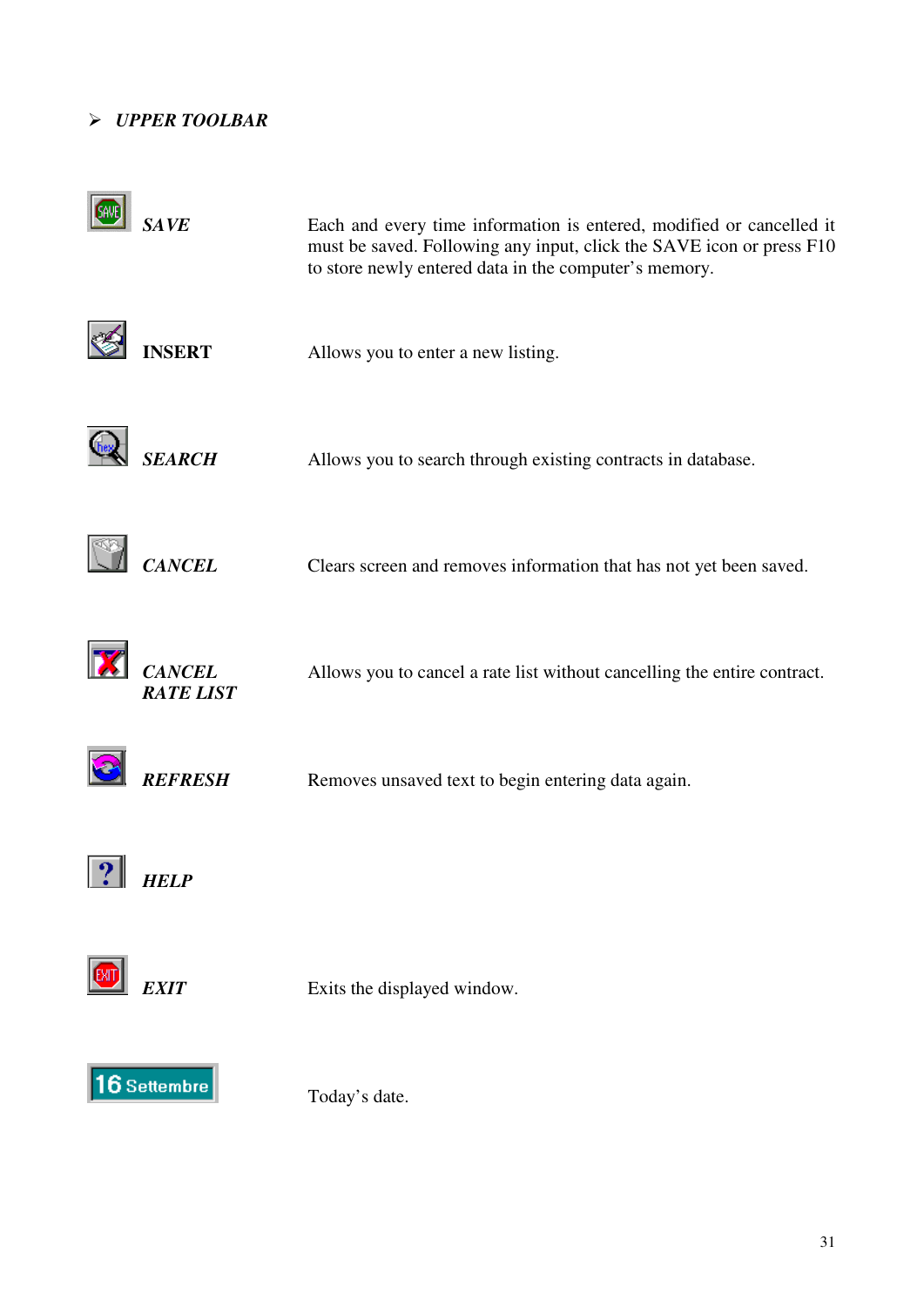#### *UPPER TOOLBAR*

| <b>SAVE</b>                       | Each and every time information is entered, modified or cancelled it<br>must be saved. Following any input, click the SAVE icon or press F10<br>to store newly entered data in the computer's memory. |
|-----------------------------------|-------------------------------------------------------------------------------------------------------------------------------------------------------------------------------------------------------|
| <b>INSERT</b>                     | Allows you to enter a new listing.                                                                                                                                                                    |
| <b>SEARCH</b>                     | Allows you to search through existing contracts in database.                                                                                                                                          |
| <b>CANCEL</b>                     | Clears screen and removes information that has not yet been saved.                                                                                                                                    |
| <b>CANCEL</b><br><b>RATE LIST</b> | Allows you to cancel a rate list without cancelling the entire contract.                                                                                                                              |
| <b>REFRESH</b>                    | Removes unsaved text to begin entering data again.                                                                                                                                                    |
| <i>FELP</i>                       |                                                                                                                                                                                                       |
| <b>EXIT</b>                       | Exits the displayed window.                                                                                                                                                                           |
| 16 Settembre                      | Today's date.                                                                                                                                                                                         |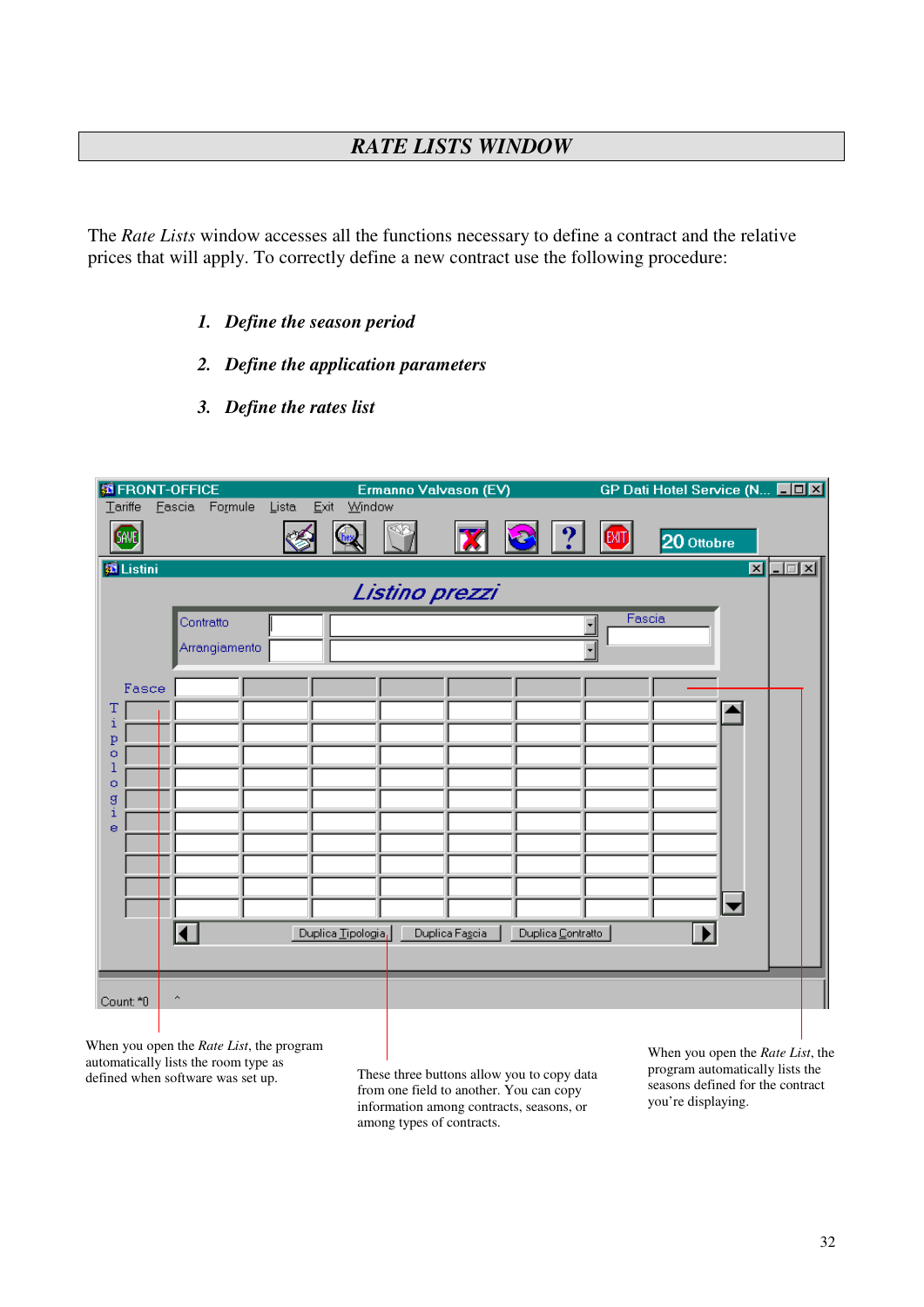## *RATE LISTS WINDOW*

The *Rate Lists* window accesses all the functions necessary to define a contract and the relative prices that will apply. To correctly define a new contract use the following procedure:

- *1. Define the season period*
- *2. Define the application parameters*
- *3. Define the rates list*

| <b>S</b> FRONT-OFFICE<br>$T$ ariffe                | Eascia              | Formule                    | Lista | Exit<br>Window     | Ermanno Valvason (EV) |                |                          |     | GP Dati Hotel Service (N <b>HOX</b> |                                                 |
|----------------------------------------------------|---------------------|----------------------------|-------|--------------------|-----------------------|----------------|--------------------------|-----|-------------------------------------|-------------------------------------------------|
| (SAVE)                                             |                     |                            |       |                    |                       | <u>Х</u>       |                          | (MT | 20 Ottobre                          |                                                 |
| <b>E</b> Listini                                   |                     |                            |       |                    |                       |                |                          |     |                                     | $\overline{\mathbf{z}}$ $\overline{\mathbf{z}}$ |
|                                                    |                     |                            |       |                    | Listino prezzi        |                |                          |     |                                     |                                                 |
|                                                    |                     | Contratto<br>Arrangiamento |       |                    |                       |                | $\overline{\phantom{0}}$ |     | Fascia                              |                                                 |
| Fasce<br>T<br>i<br>p<br>o<br>1<br>o<br>â<br>i<br>e |                     |                            |       | Duplica Tipologia, |                       | Duplica Fascia | Duplica Contratto        |     | E                                   |                                                 |
| Count: *0                                          | $\hat{\phantom{a}}$ |                            |       |                    |                       |                |                          |     |                                     |                                                 |

When you open the *Rate List*, the program automatically lists the room type as defined when software was set up.

These three buttons allow you to copy data from one field to another. You can copy information among contracts, seasons, or among types of contracts.

When you open the *Rate List*, the program automatically lists the seasons defined for the contract you're displaying.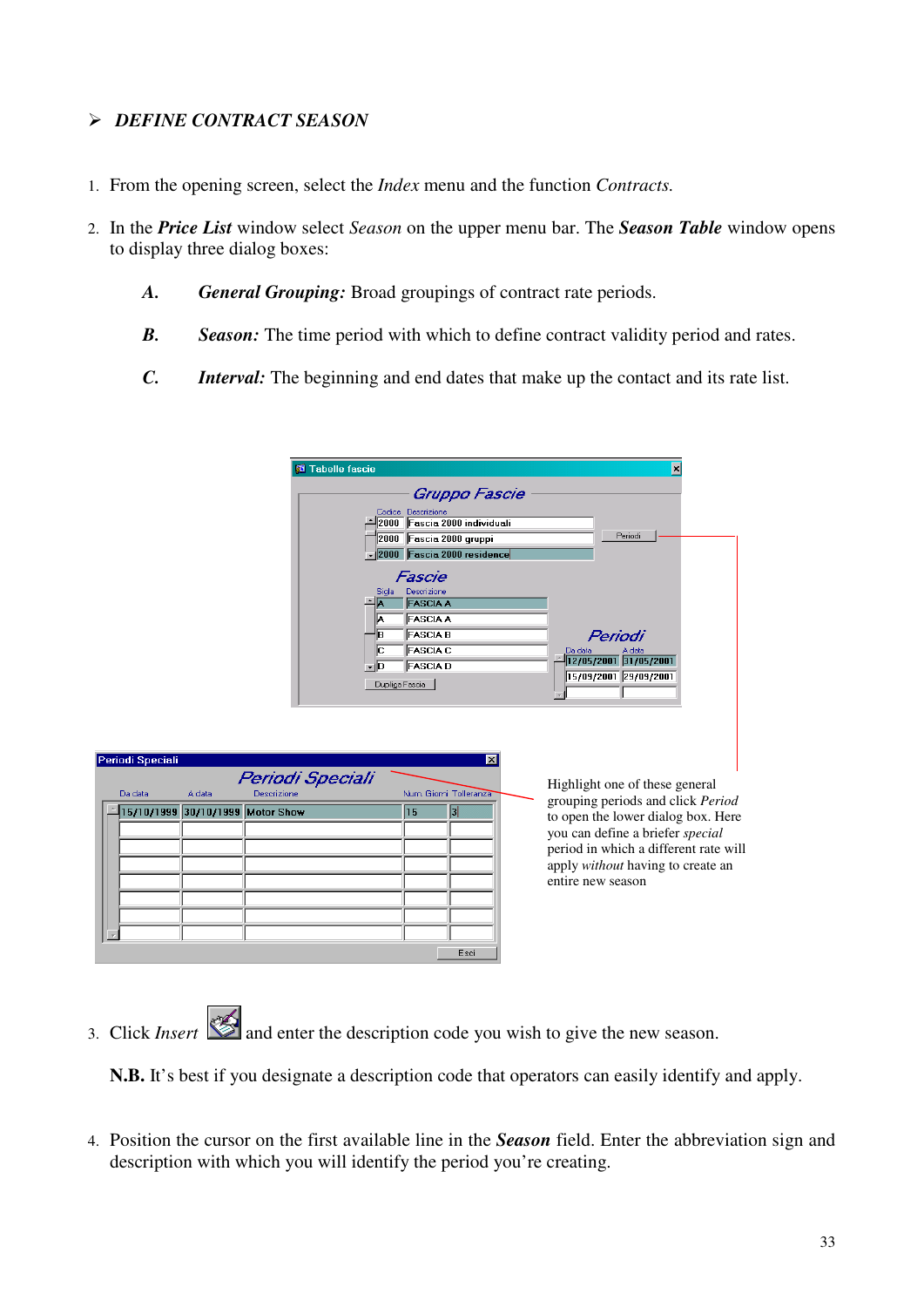#### *DEFINE CONTRACT SEASON*

Peri

 $\begin{array}{|c|c|c|c|c|}\hline \hline \hline \hline \hline \end{array}$ 

- 1. From the opening screen, select the *Index* menu and the function *Contracts.*
- 2. In the *Price List* window select *Season* on the upper menu bar. The *Season Table* window opens to display three dialog boxes:
	- *A. General Grouping:* Broad groupings of contract rate periods.
	- *B. Season:* The time period with which to define contract validity period and rates.
	- *C. Interval:* The beginning and end dates that make up the contact and its rate list.

| <b>Fi</b> Tabelle fascie<br>×                                                                                                                                                                                                                                |
|--------------------------------------------------------------------------------------------------------------------------------------------------------------------------------------------------------------------------------------------------------------|
| Gruppo Fascie<br>Codice Descrizione<br>2000 Fascia 2000 individuali<br>Periodi<br>2000 Fascia 2000 gruppi<br>2000 Fascia 2000 residence                                                                                                                      |
| Fascie<br>Descrizione<br>Sigla<br><b>FASCIA A</b><br><b>FASCIA A</b><br>IA.<br><b>FASCIA B</b><br>lΒ.<br>Periodi<br><b>FASCIA C</b><br>Iс<br>A data<br>Da data<br>12/05/2001 31/05/2001<br><b>FASCIA D</b><br>≁∥D<br>15/09/2001 29/09/2001<br>Duplica Fascia |
| $\overline{\mathbf{x}}$<br>Periodi Speciali<br>Highlight one of these general<br>Num. Giorni Tolleranza<br>grouping periods and click Period<br> 3 <br>15<br>to open the lower dialog box. Here<br>you can define a briefer special                          |
| period in which a different rate will<br>apply without having to create an<br>entire new season                                                                                                                                                              |
|                                                                                                                                                                                                                                                              |

3. Click *Insert* and enter the description code you wish to give the new season.

**N.B.** It's best if you designate a description code that operators can easily identify and apply.

4. Position the cursor on the first available line in the *Season* field. Enter the abbreviation sign and description with which you will identify the period you're creating.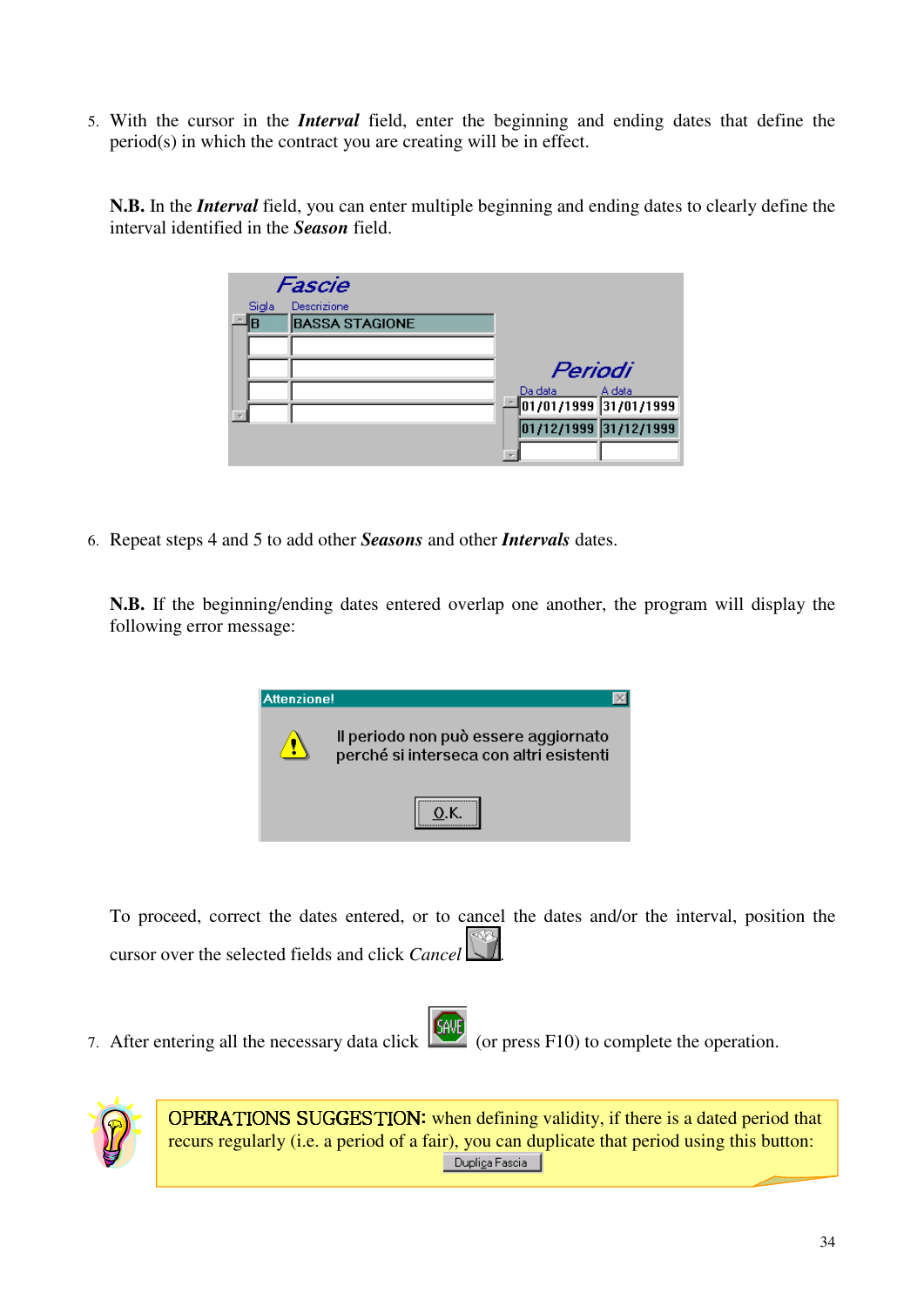5. With the cursor in the *Interval* field, enter the beginning and ending dates that define the period(s) in which the contract you are creating will be in effect.

**N.B.** In the *Interval* field, you can enter multiple beginning and ending dates to clearly define the interval identified in the *Season* field.

|       | Fascie                |                                 |
|-------|-----------------------|---------------------------------|
| Sigla | Descrizione           |                                 |
| B     | <b>BASSA STAGIONE</b> |                                 |
|       |                       |                                 |
|       |                       | Periodi                         |
|       |                       | Da data<br>A data               |
|       |                       | $\sqrt{01/01/1999}$ 31/01/1999  |
|       |                       | $\boxed{01/12/1999}$ 31/12/1999 |
|       |                       |                                 |

6. Repeat steps 4 and 5 to add other *Seasons* and other *Intervals* dates.

**N.B.** If the beginning/ending dates entered overlap one another, the program will display the following error message:

| <b>Attenzione!</b> |                                                                                 |
|--------------------|---------------------------------------------------------------------------------|
|                    | Il periodo non può essere aggiornato<br>perché si interseca con altri esistenti |
|                    | ,,,,,,,,,,,,,,,,,,,,,                                                           |

To proceed, correct the dates entered, or to cancel the dates and/or the interval, position the cursor over the selected fields and click *Cancel* .

7. After entering all the necessary data click (SAME) (or press F10) to complete the operation.

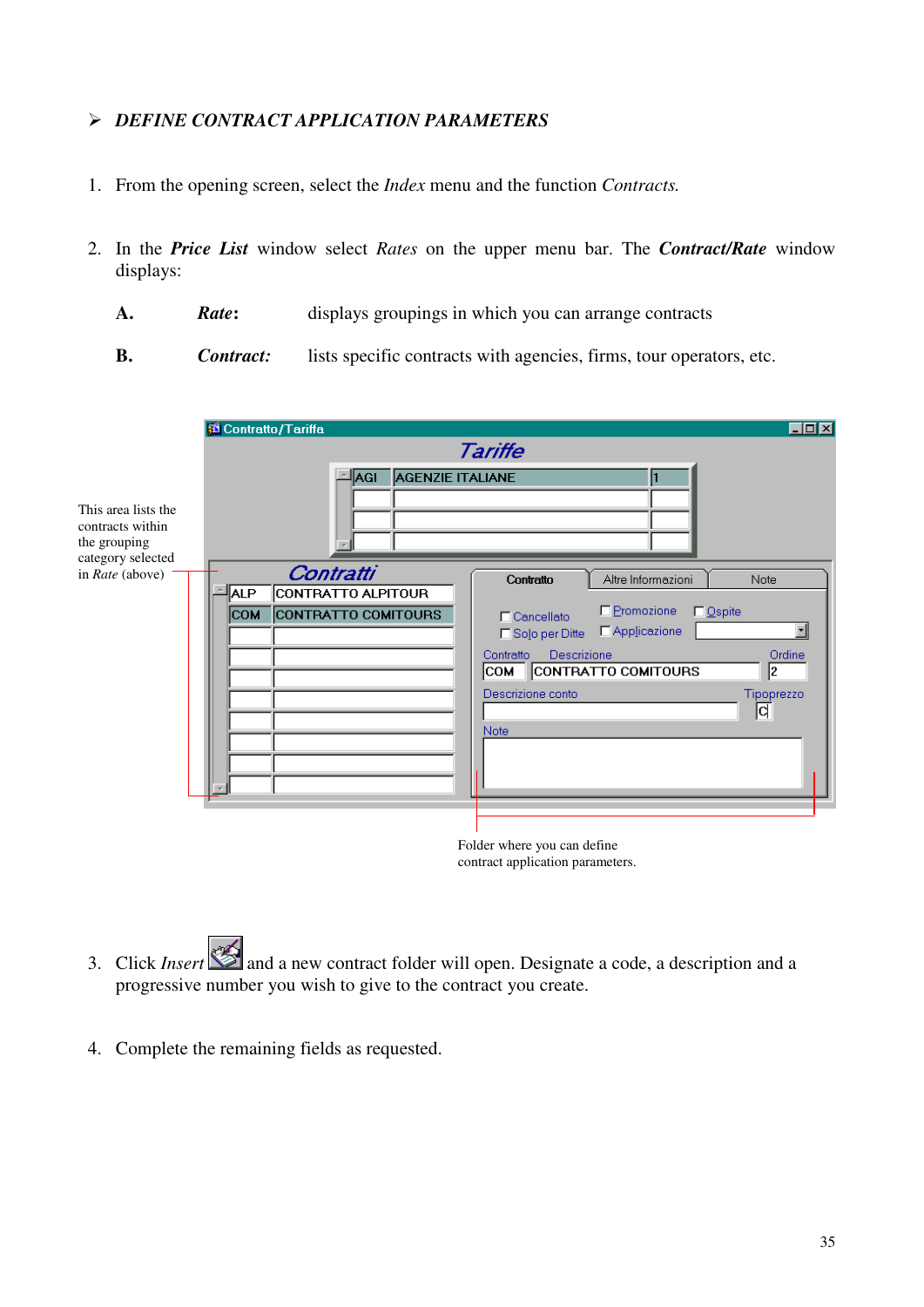#### *DEFINE CONTRACT APPLICATION PARAMETERS*

- 1. From the opening screen, select the *Index* menu and the function *Contracts.*
- 2. In the *Price List* window select *Rates* on the upper menu bar. The *Contract/Rate* window displays:
	- **A.** *Rate***:** displays groupings in which you can arrange contracts
	- **B.** *Contract:* lists specific contracts with agencies, firms, tour operators, etc.

| This area lists the<br>contracts within<br>the grouping<br>category selected | Contratto/Tariffa<br><b>AGENZIE ITALIANE</b><br> AGI                                      | $\Box$ DIXI<br>Tariffe                                                                                                                                                                                                                                                                                                         |
|------------------------------------------------------------------------------|-------------------------------------------------------------------------------------------|--------------------------------------------------------------------------------------------------------------------------------------------------------------------------------------------------------------------------------------------------------------------------------------------------------------------------------|
| in Rate (above)                                                              | Contratti<br><b>ALP</b><br>CONTRATTO ALPITOUR<br><b>CONTRATTO COMITOURS</b><br><b>COM</b> | Altre Informazioni<br>Note<br>Contratto<br>E Promozione<br>$\Box$ Ospite<br>$\Box$ Cancellato<br>Applicazione<br>□ Solo per Ditte<br>Descrizione<br>Ordine<br>Contratto<br>2<br>CONTRATTO COMITOURS<br> СОМ<br>Descrizione conto<br>Tipoprezzo<br>d<br>Note<br>Folder where you can define<br>contract application parameters. |

- 3. Click *Insert* and a new contract folder will open. Designate a code, a description and a progressive number you wish to give to the contract you create.
- 4. Complete the remaining fields as requested.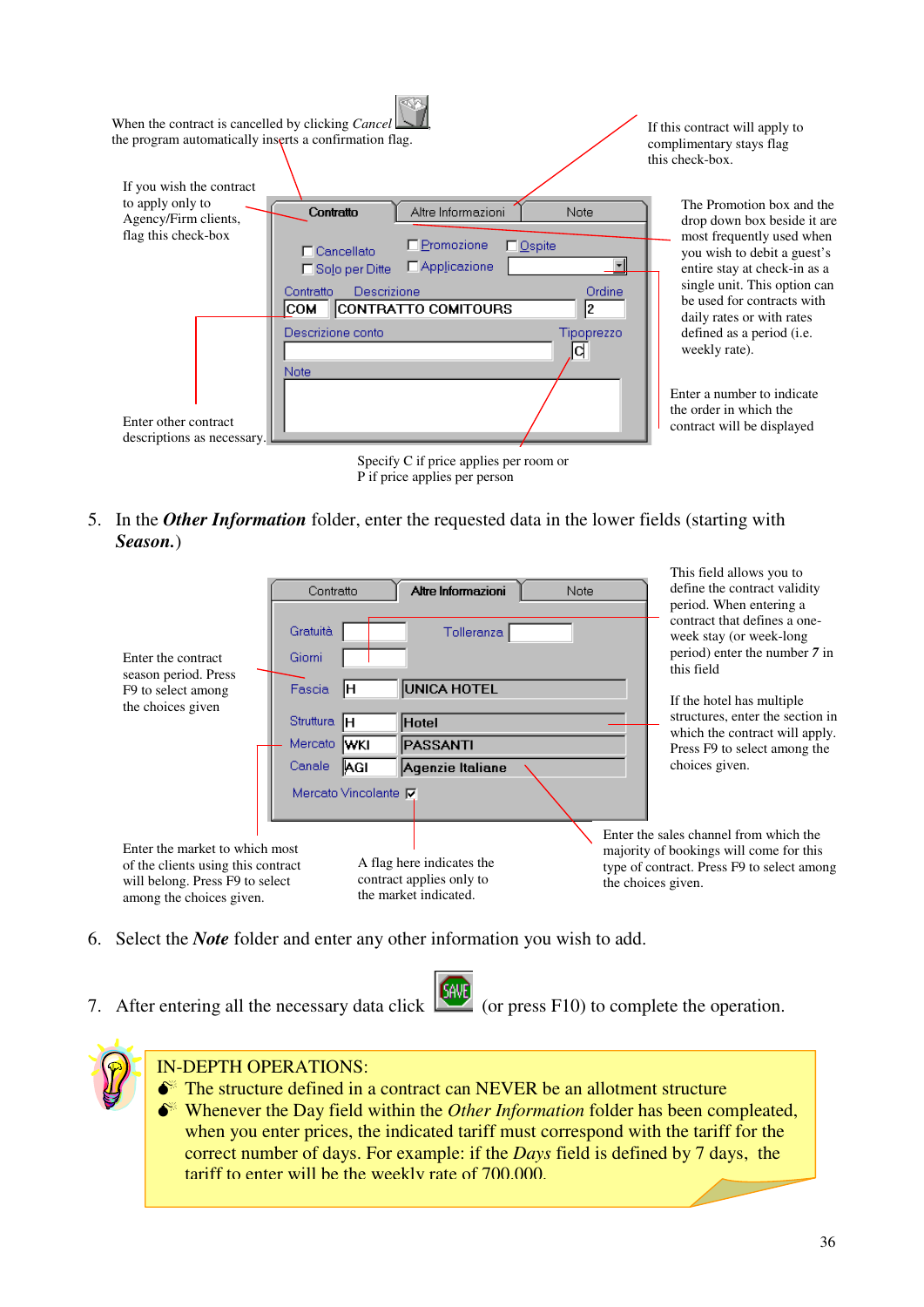| When the contract is cancelled by clicking <i>Cancel</i> $\Box$<br>the program automatically inserts a confirmation flag. |                                                                                                                                                       |                                                             | If this contract will apply to<br>complimentary stays flag<br>this check-box.                                                                                                                                      |
|---------------------------------------------------------------------------------------------------------------------------|-------------------------------------------------------------------------------------------------------------------------------------------------------|-------------------------------------------------------------|--------------------------------------------------------------------------------------------------------------------------------------------------------------------------------------------------------------------|
| If you wish the contract<br>to apply only to<br>Agency/Firm clients,<br>flag this check-box                               | Contratto<br>□ Promozione<br>$\Box$ Cancellato<br>$\Box$ Applicazione<br>□ Solo per Ditte<br>Descrizione<br>Contratto<br>CONTRATTO COMITOURS<br>ICOM. | Altre Informazioni<br>Note<br>$\Box$ Ospite<br>Ordine<br>l2 | The Promotion box and the<br>drop down box beside it are<br>most frequently used when<br>you wish to debit a guest's<br>entire stay at check-in as a<br>single unit. This option can<br>be used for contracts with |
| Enter other contract<br>descriptions as necessary.                                                                        | Descrizione conto<br><b>Note</b>                                                                                                                      | Tipoprezzo<br>ld                                            | daily rates or with rates<br>defined as a period ( <i>i.e.</i><br>weekly rate).<br>Enter a number to indicate<br>the order in which the<br>contract will be displayed                                              |
|                                                                                                                           | P if price applies per person                                                                                                                         | Specify C if price applies per room or                      |                                                                                                                                                                                                                    |

5. In the *Other Information* folder, enter the requested data in the lower fields (starting with *Season.*)



- 6. Select the *Note* folder and enter any other information you wish to add.
- 7. After entering all the necessary data click  $\begin{bmatrix} \text{GRVE} \\ \text{60} \end{bmatrix}$  (or press F10) to complete the operation.



The structure defined in a contract can NEVER be an allotment structure Whenever the Day field within the *Other Information* folder has been compleated, when you enter prices, the indicated tariff must correspond with the tariff for the correct number of days. For example: if the *Days* field is defined by 7 days, the tariff to enter will be the weekly rate of 700,000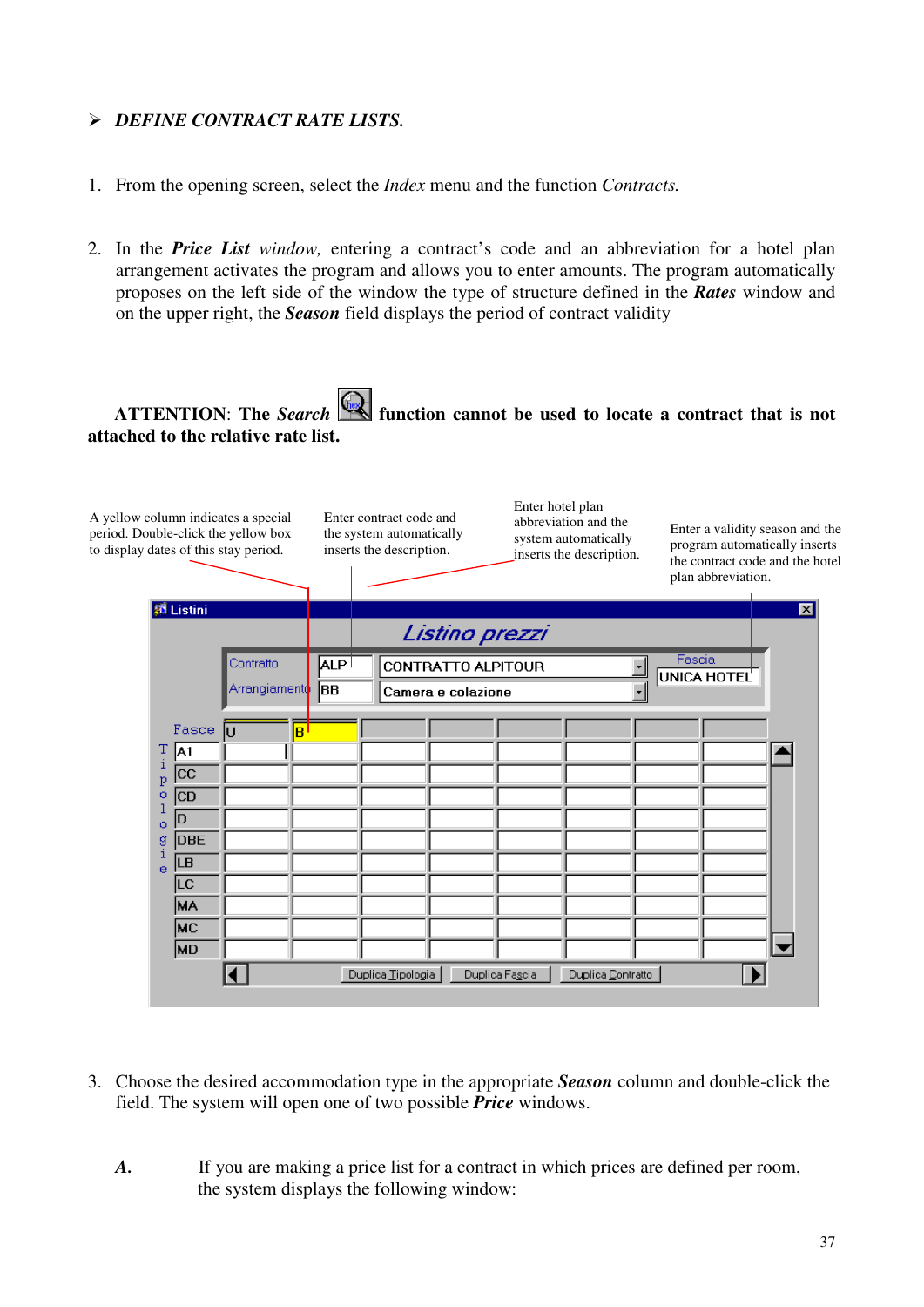#### *DEFINE CONTRACT RATE LISTS.*

- 1. From the opening screen, select the *Index* menu and the function *Contracts.*
- 2. In the *Price List window,* entering a contract's code and an abbreviation for a hotel plan arrangement activates the program and allows you to enter amounts. The program automatically proposes on the left side of the window the type of structure defined in the *Rates* window and on the upper right, the *Season* field displays the period of contract validity

# **ATTENTION**: **The** *Search* **function cannot be used to locate a contract that is not attached to the relative rate list.**



- 3. Choose the desired accommodation type in the appropriate *Season* column and double-click the field. The system will open one of two possible *Price* windows.
	- *A.* If you are making a price list for a contract in which prices are defined per room, the system displays the following window: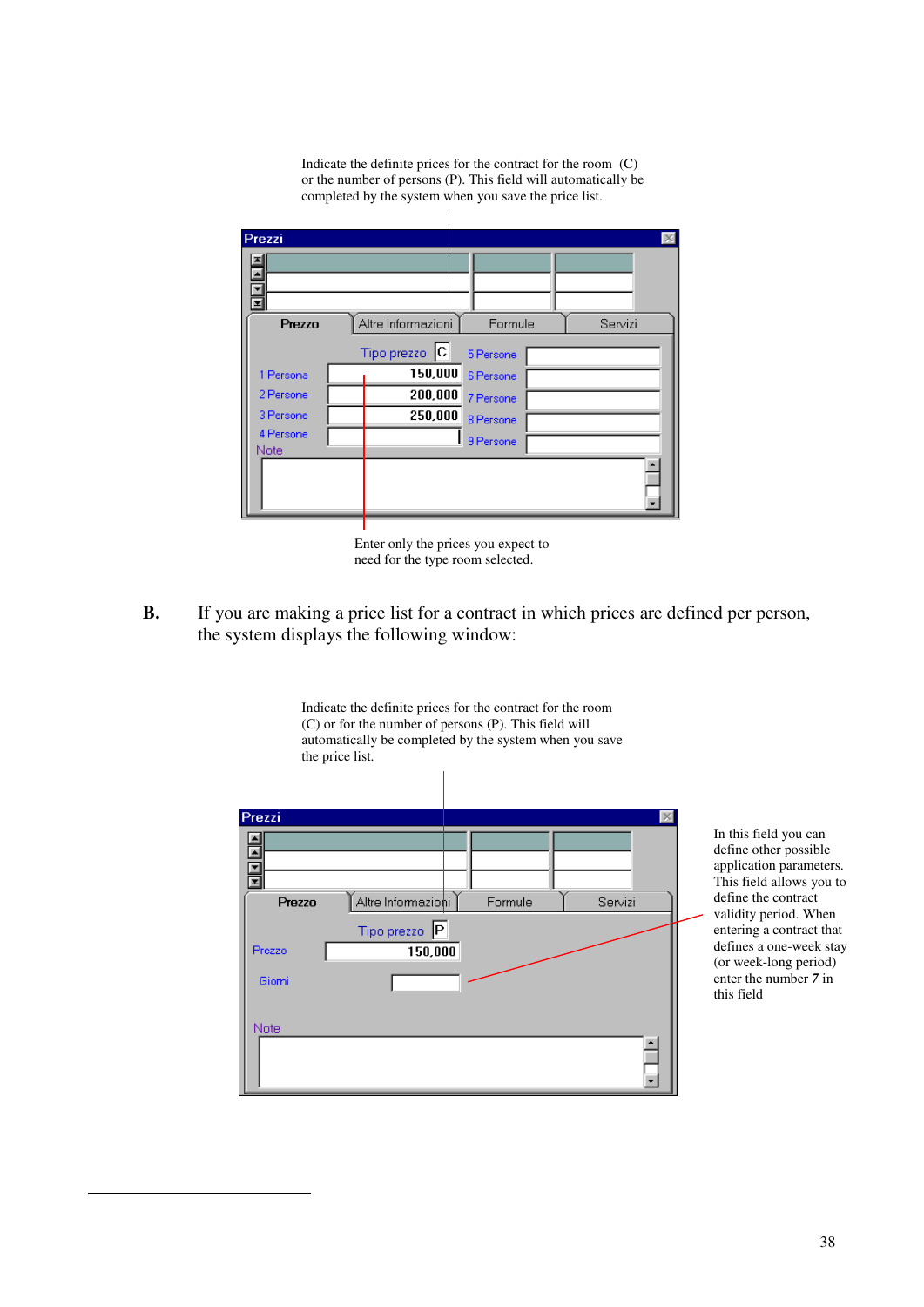Indicate the definite prices for the contract for the room (C) or the number of persons (P). This field will automatically be completed by the system when you save the price list.



Enter only the prices you expect to need for the type room selected.

**B.** If you are making a price list for a contract in which prices are defined per person, the system displays the following window: 6

Indicate the definite prices for the contract for the room



In this field you can define other possible application parameters. This field allows you to define the contract validity period. When entering a contract that defines a one-week stay (or week-long period) enter the number *7* in this field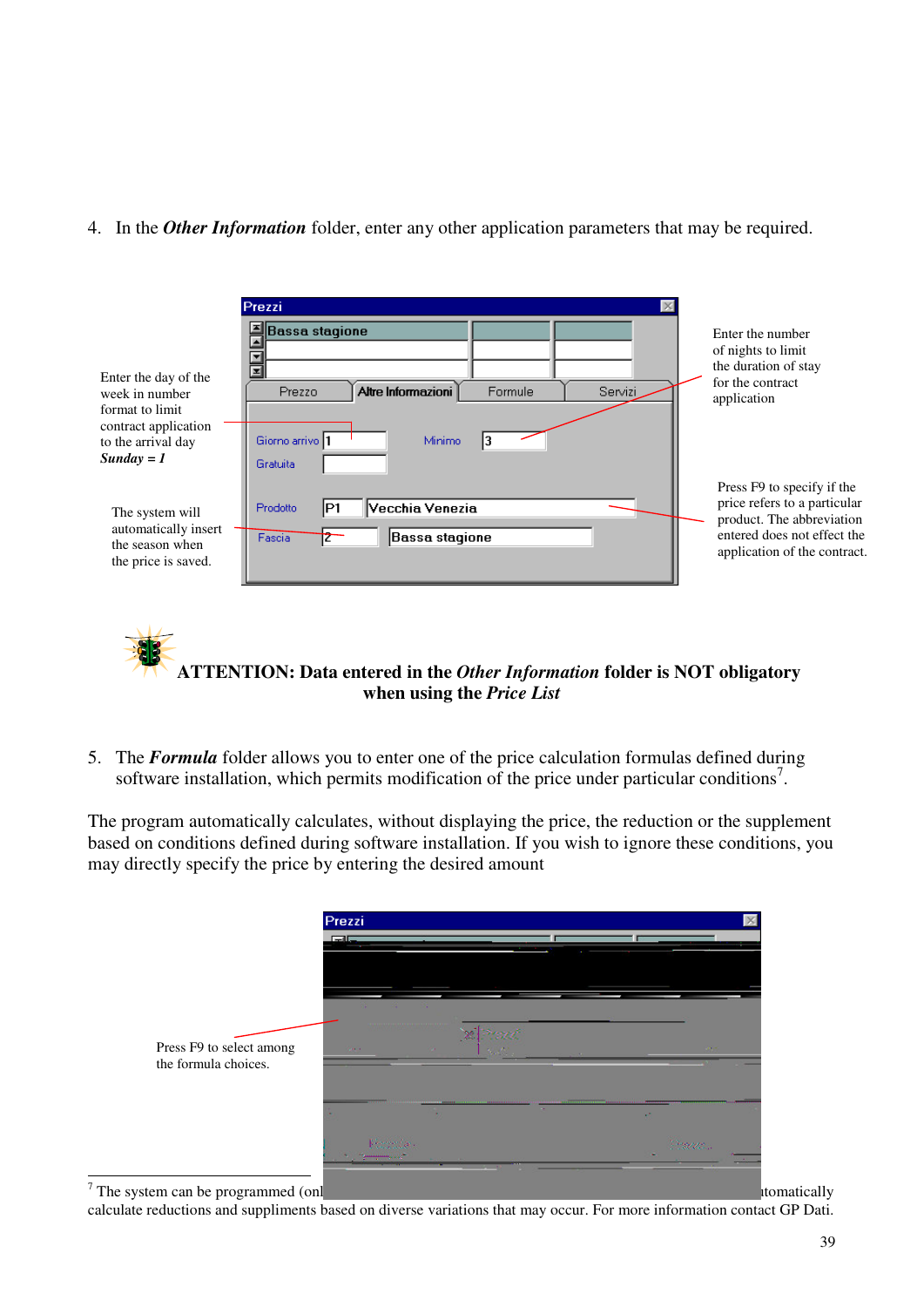4. In the *Other Information* folder, enter any other application parameters that may be required.

|                                                                                                                         | Prezzi                                                                                                                                                          |                                                                                                                                                        |
|-------------------------------------------------------------------------------------------------------------------------|-----------------------------------------------------------------------------------------------------------------------------------------------------------------|--------------------------------------------------------------------------------------------------------------------------------------------------------|
| Enter the day of the<br>week in number<br>format to limit<br>contract application<br>to the arrival day<br>$Sunday = 1$ | <b>Bassa stagione</b><br>$\frac{1}{\vert \mathbf{z} \vert}$<br>Altre Informazioni<br>Formule<br>Servizi<br>Prezzo<br>Giorno arrivo<br>Minimo<br><b>Gratuita</b> | Enter the number<br>of nights to limit<br>the duration of stay<br>for the contract<br>application                                                      |
| The system will<br>automatically insert<br>the season when<br>the price is saved.                                       | Vecchia Venezia<br>Prodotto<br>IP1<br>Bassa stagione<br>Fascia                                                                                                  | Press F9 to specify if the<br>price refers to a particular<br>product. The abbreviation<br>entered does not effect the<br>application of the contract. |

**ATTENTION: Data entered in the** *Other Information* **folder is NOT obligatory when using the** *Price List*

5. The *Formula* folder allows you to enter one of the price calculation formulas defined during software installation, which permits modification of the price under particular conditions<sup>7</sup>.

The program automatically calculates, without displaying the price, the reduction or the supplement based on conditions defined during software installation. If you wish to ignore these conditions, you may directly specify the price by entering the desired amount

|                                                  | Prezzi<br><b>Fall</b>                      |                        |               |                       |
|--------------------------------------------------|--------------------------------------------|------------------------|---------------|-----------------------|
| Press F9 to select among<br>the formula choices. | <b>SECOND SECOND STATE</b><br><b>COMPA</b> | $\mathbb{R}^n$<br>1940 | Sept.         | <b>Service</b>        |
|                                                  | ×.<br><b>Kommune</b>                       | $\sim$                 | $\sim$ $\sim$ | AP.<br><b>Service</b> |

 $7$  The system can be programmed (only by technically by technicians either during software installation or afterwards) to an afterwards  $\frac{1}{2}$ 

calculate reductions and suppliments based on diverse variations that may occur. For more information contact GP Dati.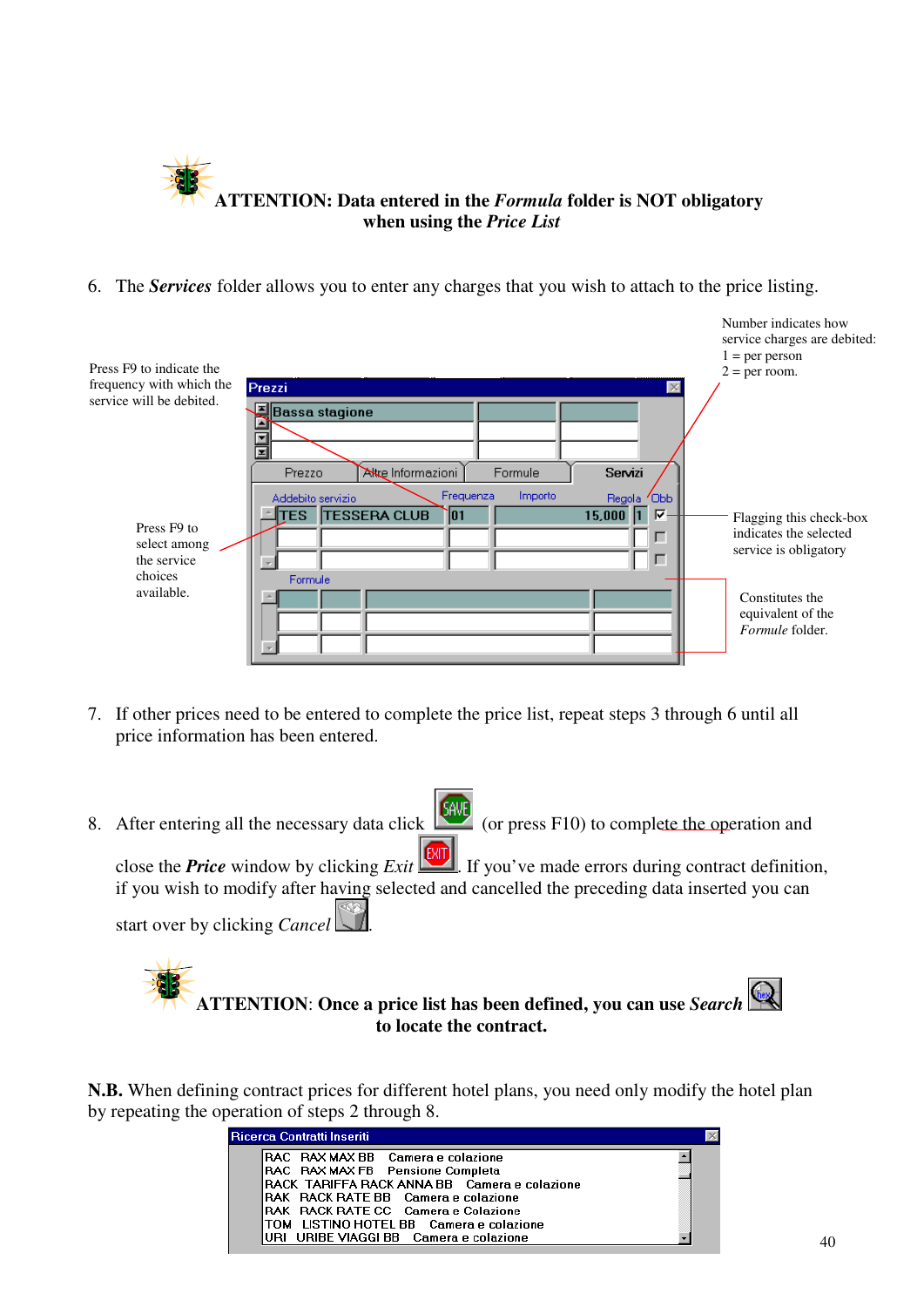

6. The *Services* folder allows you to enter any charges that you wish to attach to the price listing.

| Press F9 to indicate the                                                                                                 |                                                                                                                                                                                                                                               | Number indicates how<br>service charges are debited:<br>$1 = per person$<br>$2 = per room$ . |
|--------------------------------------------------------------------------------------------------------------------------|-----------------------------------------------------------------------------------------------------------------------------------------------------------------------------------------------------------------------------------------------|----------------------------------------------------------------------------------------------|
| frequency with which the<br>service will be debited.<br>Press <sub>F9</sub> to<br>select among<br>the service<br>choices | Prezzi<br>$\times$<br>Bassa stagione<br>囗<br>$\overline{\mathbf{H}}$<br>Akre Informazioni<br>Servizi<br>Formule<br>Prezzo<br>Frequenza<br>Importo<br>Regola Obb<br>Addebito servizio<br>$15,000$ 1<br>⊽<br><b>TESSERA CLUB</b><br>ΈS.<br>` 01 | Flagging this check-box<br>indicates the selected<br>service is obligatory                   |
| available.                                                                                                               | Formule                                                                                                                                                                                                                                       | Constitutes the<br>equivalent of the<br>Formule folder.                                      |

- 7. If other prices need to be entered to complete the price list, repeat steps 3 through 6 until all price information has been entered.
- 8. After entering all the necessary data click  $\left[\frac{\text{GAV}}{\text{GAV}}\right]$  (or press F10) to complete the operation and

close the **Price** window by clicking *Exit*  $\frac{[MT]}{[MT]}$ . If you've made errors during contract definition, if you wish to modify after having selected and cancelled the preceding data inserted you can

start over by clicking *Cancel* .

**ATTENTION**: **Once a price list has been defined, you can use** *Search* **to locate the contract.**

**N.B.** When defining contract prices for different hotel plans, you need only modify the hotel plan by repeating the operation of steps 2 through 8.

| Ricerca Contratti Inseriti                                                                                                                                                                                                                                                                             |  |
|--------------------------------------------------------------------------------------------------------------------------------------------------------------------------------------------------------------------------------------------------------------------------------------------------------|--|
| RAC RAX MAX BB Camera e colazione<br>RAC RAX MAX FB Pensione Completa<br>RACK TARIFFA RACK ANNA BB Camera e colazione<br><b>RAK</b> RACK RATE BB Camera e colazione<br><b>RAK RACK RATE CC Camera e Colazione</b><br>TOM LISTINO HOTEL BB Camera e colazione<br>URI URIBE VIAGGI BB Camera e colazione |  |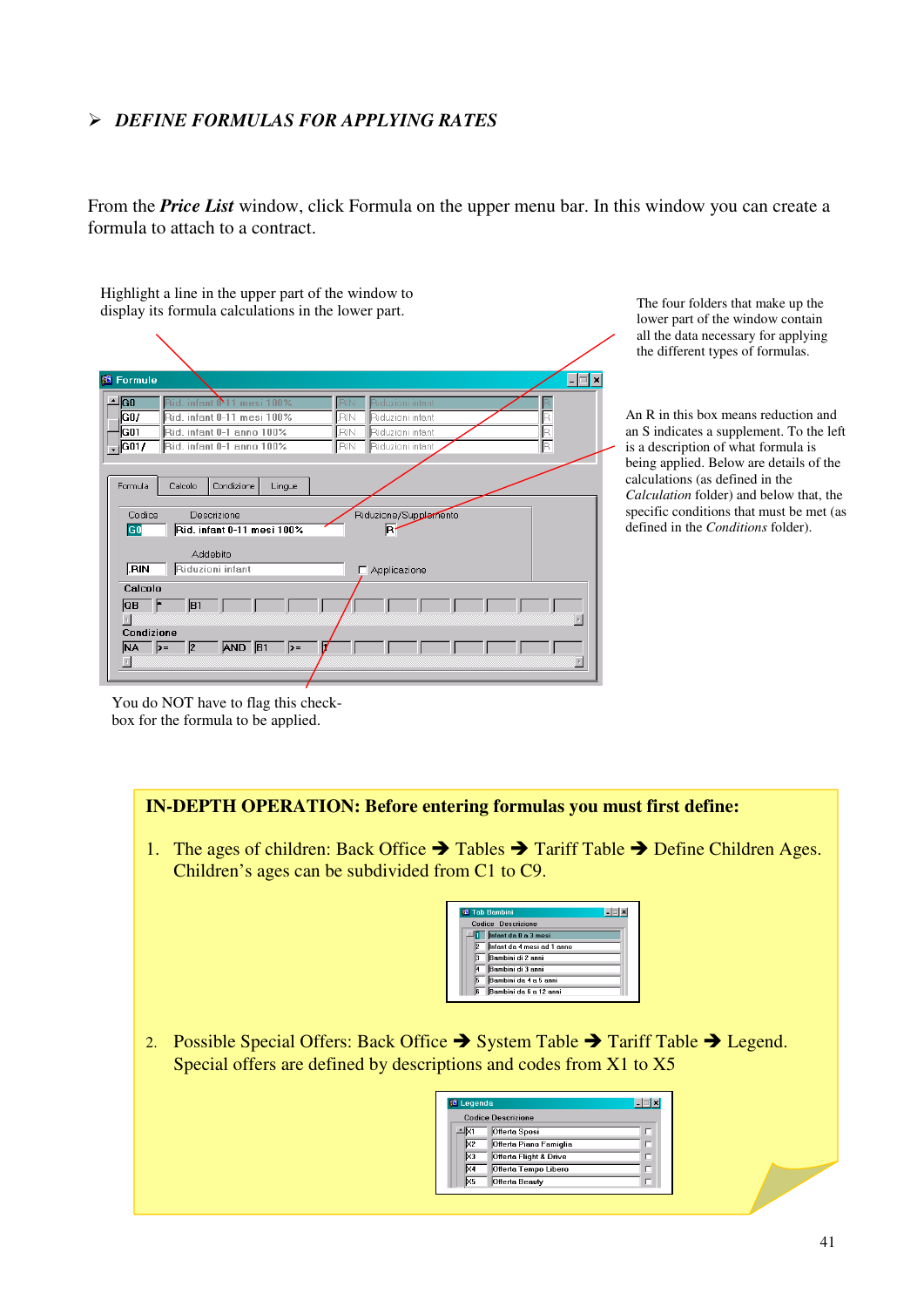#### *DEFINE FORMULAS FOR APPLYING RATES*

From the *Price List* window, click Formula on the upper menu bar. In this window you can create a formula to attach to a contract.

Highlight a line in the upper part of the window to display its formula calculations in the lower part.  $\boxed{\blacksquare}$ **8** Formule  $\triangle$  GO **GO** Rid. infant 0-11 mesi 100% ₹Ñ iduzioni infar —|ढन Rid. infant 0-1 anno 100%  $\overline{RN}$ Riduzioni infant  $\frac{1}{\sqrt{G01/2}}$ Rid. infant 0-1 anno 100% Ħ **IRIN** Riduzioni infan Formula Calcolo Condizione Lingue Riduzione/Supplemento Codice Descrizione GO Rid. infant 0-11 mesi 100% 同 Addebito  $RIN$ Riduzioni infant Applicazione Calcolo  $\overline{OB}$  $\overline{B1}$  $\vert$  4  $\vert$ Condizione  $\mathbf{NA}$   $\rightarrow$ **AND R1**  $\vert\vert$ 

The four folders that make up the lower part of the window contain all the data necessary for applying the different types of formulas.

An R in this box means reduction and an S indicates a supplement. To the left is a description of what formula is being applied. Below are details of the calculations (as defined in the *Calculation* folder) and below that, the specific conditions that must be met (as defined in the *Conditions* folder).

You do NOT have to flag this checkbox for the formula to be applied.

#### **IN-DEPTH OPERATION: Before entering formulas you must first define:**

1. The ages of children: Back Office  $\rightarrow$  Tables  $\rightarrow$  Tariff Table  $\rightarrow$  Define Children Ages. Children's ages can be subdivided from C1 to C9.

| <b>Tab Bambini</b>               |  |  |  |  |  |  |
|----------------------------------|--|--|--|--|--|--|
| Codice Descrizione               |  |  |  |  |  |  |
| Infant da 0 a 3 mesi             |  |  |  |  |  |  |
| Infant da 4 mesi ad 1 anno<br>l2 |  |  |  |  |  |  |
| Bambini di 2 anni                |  |  |  |  |  |  |
| Bambini di 3 anni                |  |  |  |  |  |  |
| Bambini da 4 a 5 anni<br>l5      |  |  |  |  |  |  |
| Bambini da 6 a 12 anni<br>16.    |  |  |  |  |  |  |
|                                  |  |  |  |  |  |  |

2. Possible Special Offers: Back Office  $\rightarrow$  System Table  $\rightarrow$  Tariff Table  $\rightarrow$  Legend. Special offers are defined by descriptions and codes from X1 to X5

| <b>83</b> Legenda            |   |
|------------------------------|---|
| <b>Codice Descrizione</b>    |   |
| <b>Offerta Sposi</b>         | L |
| Offerta Piano Famiglia<br>X2 | ┍ |
| Offerta Flight & Drive<br>×з | г |
| Offerta Tempo Libero<br>44   | г |
| Offerta Beauty<br>l×5        |   |
|                              |   |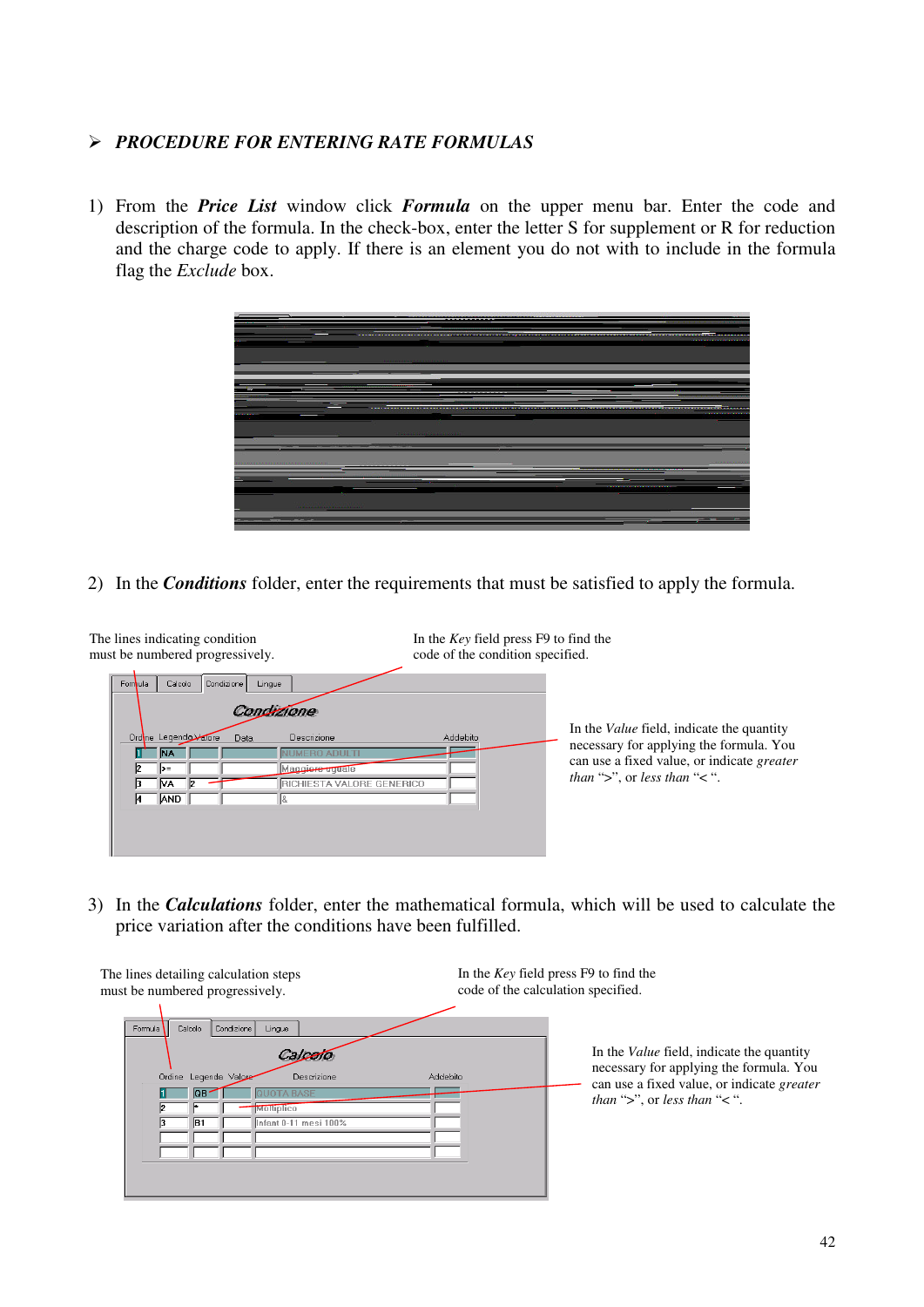#### *PROCEDURE FOR ENTERING RATE FORMULAS*

1) From the *Price List* window click *Formula* on the upper menu bar. Enter the code and description of the formula. In the check-box, enter the letter S for supplement or R for reduction and the charge code to apply. If there is an element you do not with to include in the formula flag the *Exclude* box.



2) In the *Conditions* folder, enter the requirements that must be satisfied to apply the formula.



3) In the *Calculations* folder, enter the mathematical formula, which will be used to calculate the price variation after the conditions have been fulfilled.

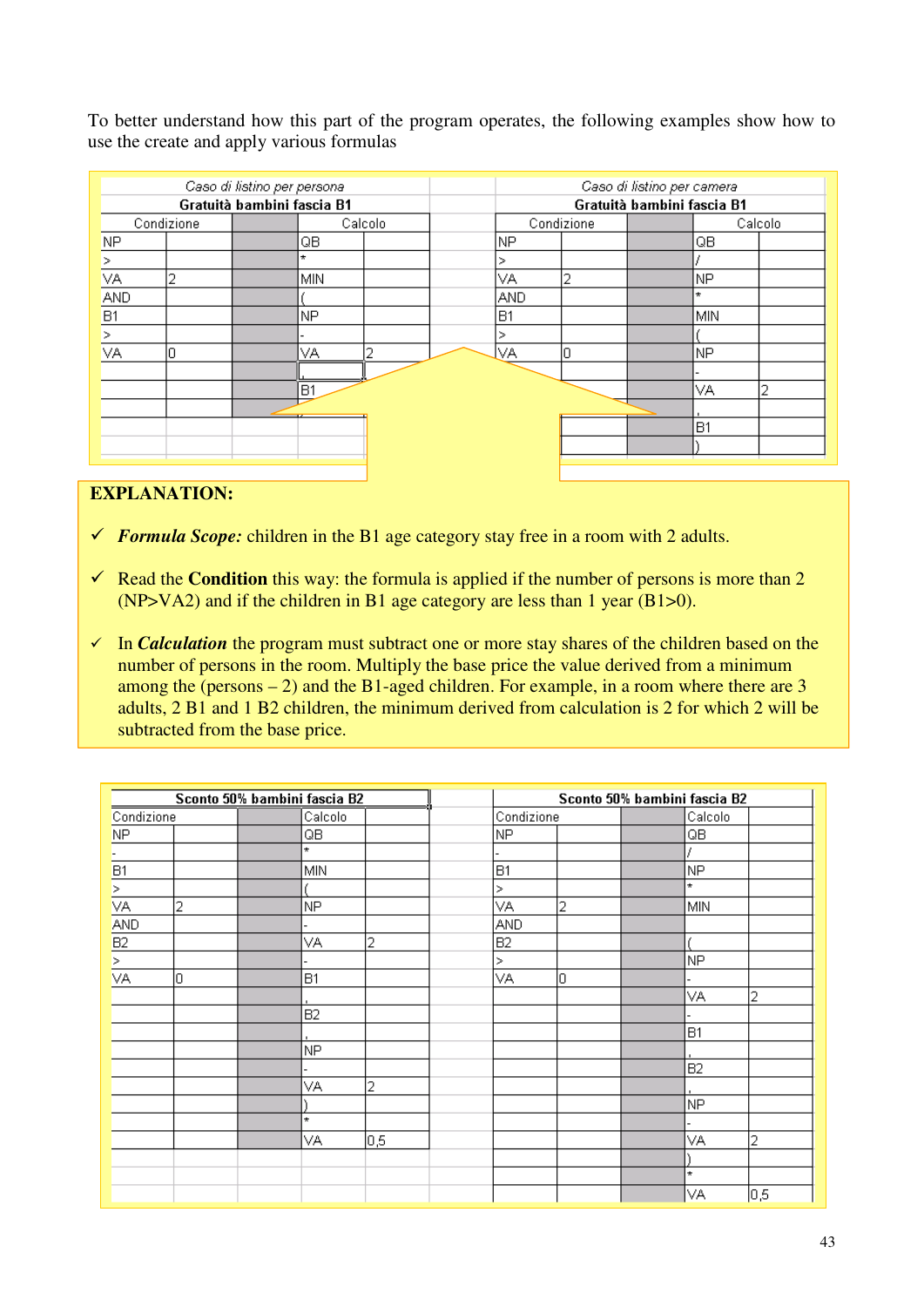To better understand how this part of the program operates, the following examples show how to use the create and apply various formulas

| Caso di listino per persona |            |  | Caso di listino per camera |         |                            |            |  |           |         |
|-----------------------------|------------|--|----------------------------|---------|----------------------------|------------|--|-----------|---------|
| Gratuità bambini fascia B1  |            |  |                            |         | Gratuità bambini fascia B1 |            |  |           |         |
|                             | Condizione |  |                            | Calcolo |                            | Condizione |  |           | Calcolo |
| <b>NP</b>                   |            |  | QB                         |         | NP                         |            |  | QB        |         |
| ⊳                           |            |  | ÷                          |         | ↘                          |            |  |           |         |
| VA.                         |            |  | MIN                        |         | VА                         | 2          |  | NP.       |         |
| AND                         |            |  |                            |         | <b>AND</b>                 |            |  | ÷         |         |
| B <sub>1</sub>              |            |  | NP                         |         | B <sub>1</sub>             |            |  | MIN       |         |
| ⋗                           |            |  |                            |         | ⋗                          |            |  |           |         |
| VA                          | Ο          |  | VА                         | ว       | lvа                        | 0          |  | NP.       |         |
|                             |            |  |                            |         |                            |            |  |           |         |
|                             |            |  | <b>B1</b>                  |         |                            |            |  | VА        | 2       |
|                             |            |  |                            |         |                            |            |  |           |         |
|                             |            |  |                            |         |                            |            |  | <b>B1</b> |         |
|                             |            |  |                            |         |                            |            |  |           |         |
|                             |            |  |                            |         |                            |            |  |           |         |

#### **EXPLANATION:**

- *Formula Scope:* children in the B1 age category stay free in a room with 2 adults.
- Read the **Condition** this way: the formula is applied if the number of persons is more than 2 (NP>VA2) and if the children in B1 age category are less than 1 year (B1>0).
- $\checkmark$  In *Calculation* the program must subtract one or more stay shares of the children based on the number of persons in the room. Multiply the base price the value derived from a minimum among the (persons  $-2$ ) and the B1-aged children. For example, in a room where there are 3 adults, 2 B1 and 1 B2 children, the minimum derived from calculation is 2 for which 2 will be subtracted from the base price.

|            | Sconto 50% bambini fascia B2 |           |     |            | Sconto 50% bambini fascia B2 |                |     |
|------------|------------------------------|-----------|-----|------------|------------------------------|----------------|-----|
| Condizione |                              | Calcolo   |     | Condizione |                              | Calcolo        |     |
| NP.        |                              | QB        |     | <b>NP</b>  |                              | QB             |     |
| н.         |                              | ¥.        |     |            |                              |                |     |
| B1         |                              | MIN       |     | <b>B1</b>  |                              | NP             |     |
| ⊵          |                              |           |     | ⋗          |                              | $\star$        |     |
| VA         | 2                            | NP.       |     | VA.        | 2                            | MIN            |     |
| AND        |                              |           |     | <b>AND</b> |                              |                |     |
| B2         |                              | VA        | 2   | <b>B2</b>  |                              |                |     |
| ⊵          |                              |           |     | $\geq$     |                              | NΡ             |     |
| VA         | lо                           | <b>B1</b> |     | VА         | lо                           |                |     |
|            |                              |           |     |            |                              | VА             | 2   |
|            |                              | <b>B2</b> |     |            |                              |                |     |
|            |                              |           |     |            |                              | B <sub>1</sub> |     |
|            |                              | NP.       |     |            |                              |                |     |
|            |                              |           |     |            |                              | B <sub>2</sub> |     |
|            |                              | VA        | 2   |            |                              |                |     |
|            |                              |           |     |            |                              | NP             |     |
|            |                              | $^\star$  |     |            |                              |                |     |
|            |                              | VA.       | 0,5 |            |                              | VA             | 2   |
|            |                              |           |     |            |                              |                |     |
|            |                              |           |     |            |                              | $\star$        |     |
|            |                              |           |     |            |                              | VA             | 0,5 |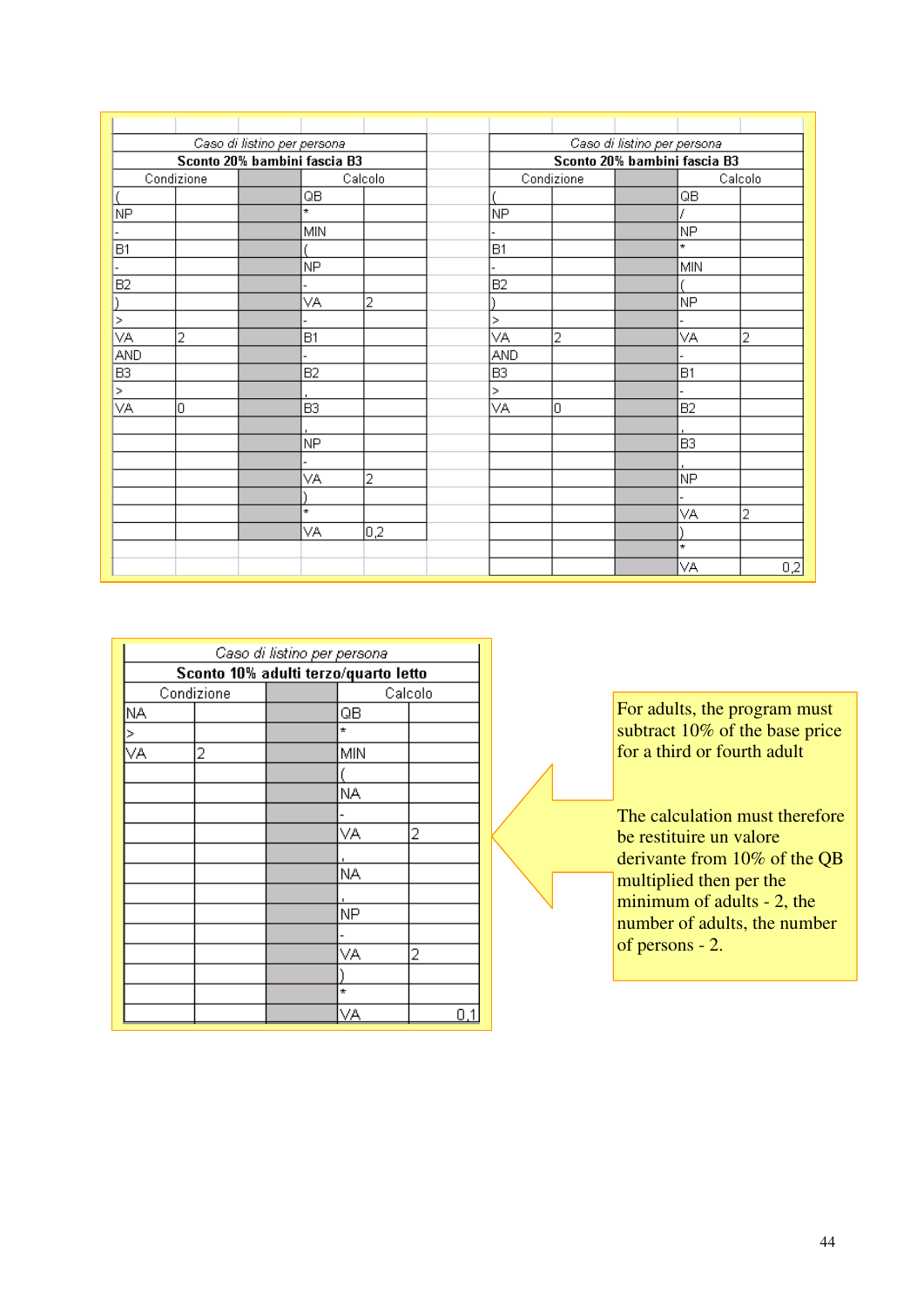|                              | Caso di listino per persona |  |                | Caso di listino per persona  |                |            |  |                |         |
|------------------------------|-----------------------------|--|----------------|------------------------------|----------------|------------|--|----------------|---------|
| Sconto 20% bambini fascia B3 |                             |  |                | Sconto 20% bambini fascia B3 |                |            |  |                |         |
|                              | Condizione                  |  |                | Calcolo                      |                | Condizione |  |                | Calcolo |
|                              |                             |  | QB             |                              |                |            |  | QB             |         |
| NΡ                           |                             |  | $\star$        |                              | NP             |            |  |                |         |
|                              |                             |  | <b>MIN</b>     |                              |                |            |  | NP.            |         |
| <b>B1</b>                    |                             |  |                |                              | B1             |            |  | $\star$        |         |
|                              |                             |  | NP.            |                              |                |            |  | MIN            |         |
| B <sub>2</sub>               |                             |  |                |                              | B2             |            |  |                |         |
|                              |                             |  | VA             | 2                            |                |            |  | NP.            |         |
| $\,>\,$                      |                             |  |                |                              | $\geq$         |            |  |                |         |
| VА                           | 2                           |  | B <sub>1</sub> |                              | VA             | 2          |  | VA             | 2       |
| AND                          |                             |  |                |                              | AND            |            |  |                |         |
| B3                           |                             |  | B <sub>2</sub> |                              | B <sub>3</sub> |            |  | B <sub>1</sub> |         |
| $\geq$                       |                             |  |                |                              | $\geq$         |            |  |                |         |
| VA                           | 0                           |  | B <sub>3</sub> |                              | VA             | O          |  | B <sub>2</sub> |         |
|                              |                             |  |                |                              |                |            |  |                |         |
|                              |                             |  | NP.            |                              |                |            |  | B <sub>3</sub> |         |
|                              |                             |  |                |                              |                |            |  |                |         |
|                              |                             |  | VA             | 2                            |                |            |  | NP             |         |
|                              |                             |  |                |                              |                |            |  |                |         |
|                              |                             |  | $\star$        |                              |                |            |  | VА             | 2       |
|                              |                             |  | VA             | 0,2                          |                |            |  |                |         |
|                              |                             |  |                |                              |                |            |  | $\star$        |         |
|                              |                             |  |                |                              |                |            |  | VA             | 0,2     |

|     | Caso di listino per persona          |  |         |   |  |  |  |  |
|-----|--------------------------------------|--|---------|---|--|--|--|--|
|     | Sconto 10% adulti terzo/quarto letto |  |         |   |  |  |  |  |
|     | Condizione                           |  | Calcolo |   |  |  |  |  |
| NA. |                                      |  | QB      |   |  |  |  |  |
|     |                                      |  | $\star$ |   |  |  |  |  |
| VÄ  | 2                                    |  | MIN     |   |  |  |  |  |
|     |                                      |  |         |   |  |  |  |  |
|     |                                      |  | NA      |   |  |  |  |  |
|     |                                      |  |         |   |  |  |  |  |
|     |                                      |  | VА      | 2 |  |  |  |  |
|     |                                      |  |         |   |  |  |  |  |
|     |                                      |  | ΝA      |   |  |  |  |  |
|     |                                      |  |         |   |  |  |  |  |
|     |                                      |  | NΡ      |   |  |  |  |  |
|     |                                      |  |         |   |  |  |  |  |
|     |                                      |  | VА      | 2 |  |  |  |  |
|     |                                      |  |         |   |  |  |  |  |
|     |                                      |  | $\star$ |   |  |  |  |  |
|     |                                      |  | VА      | Π |  |  |  |  |

For adults, the program must subtract 10% of the base price for a third or fourth adult

The calculation must therefore be restituire un valore derivante from 10% of the QB multiplied then per the  $minimum of adults - 2, the$ number of adults, the number of persons - 2.